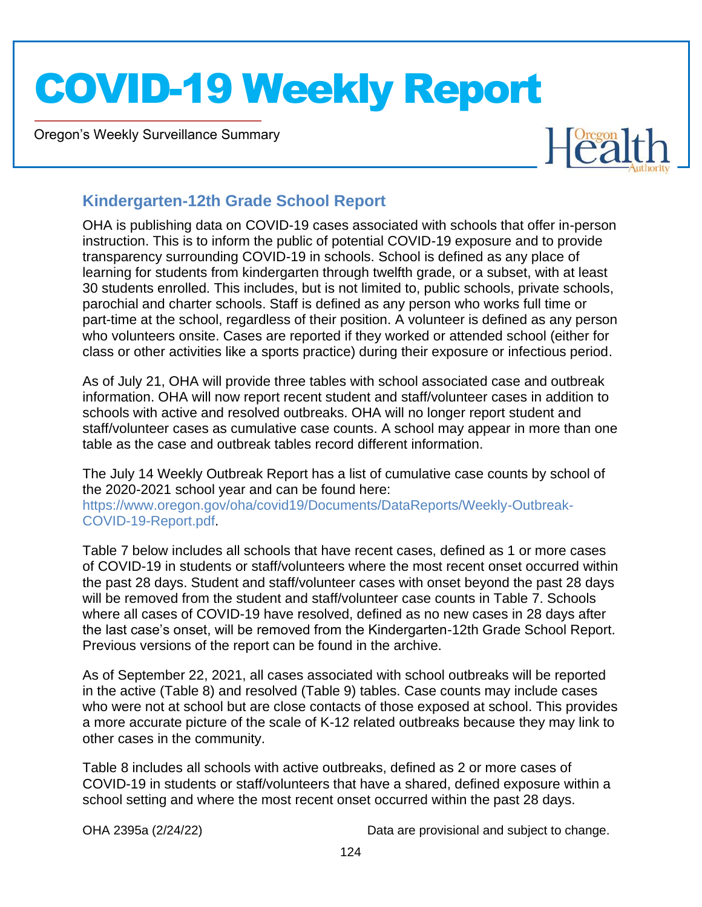Oregon's Weekly Surveillance Summary

Novel Coronavirus (COVID-19)



#### **Kindergarten-12th Grade School Report**

OHA is publishing data on COVID-19 cases associated with schools that offer in-person instruction. This is to inform the public of potential COVID-19 exposure and to provide transparency surrounding COVID-19 in schools. School is defined as any place of learning for students from kindergarten through twelfth grade, or a subset, with at least 30 students enrolled. This includes, but is not limited to, public schools, private schools, parochial and charter schools. Staff is defined as any person who works full time or part-time at the school, regardless of their position. A volunteer is defined as any person who volunteers onsite. Cases are reported if they worked or attended school (either for class or other activities like a sports practice) during their exposure or infectious period.

As of July 21, OHA will provide three tables with school associated case and outbreak information. OHA will now report recent student and staff/volunteer cases in addition to schools with active and resolved outbreaks. OHA will no longer report student and staff/volunteer cases as cumulative case counts. A school may appear in more than one table as the case and outbreak tables record different information.

The July 14 Weekly Outbreak Report has a list of cumulative case counts by school of the 2020-2021 school year and can be found here: https://www.oregon.gov/oha/covid19/Documents/DataReports/Weekly-Outbreak-COVID-19-Report.pdf.

Table 7 below includes all schools that have recent cases, defined as 1 or more cases of COVID-19 in students or staff/volunteers where the most recent onset occurred within the past 28 days. Student and staff/volunteer cases with onset beyond the past 28 days will be removed from the student and staff/volunteer case counts in Table 7. Schools where all cases of COVID-19 have resolved, defined as no new cases in 28 days after the last case's onset, will be removed from the Kindergarten-12th Grade School Report. Previous versions of the report can be found in the archive.

As of September 22, 2021, all cases associated with school outbreaks will be reported in the active (Table 8) and resolved (Table 9) tables. Case counts may include cases who were not at school but are close contacts of those exposed at school. This provides a more accurate picture of the scale of K-12 related outbreaks because they may link to other cases in the community.

Table 8 includes all schools with active outbreaks, defined as 2 or more cases of COVID-19 in students or staff/volunteers that have a shared, defined exposure within a school setting and where the most recent onset occurred within the past 28 days.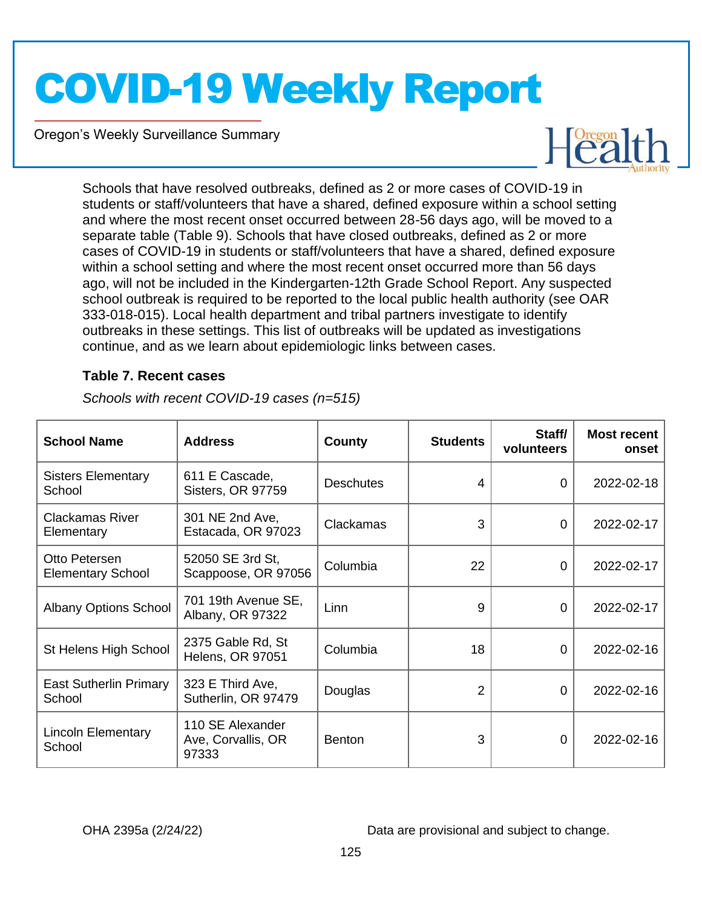Oregon's Weekly Surveillance Summary

Novel Coronavirus (COVID-19)



Schools that have resolved outbreaks, defined as 2 or more cases of COVID-19 in students or staff/volunteers that have a shared, defined exposure within a school setting and where the most recent onset occurred between 28-56 days ago, will be moved to a separate table (Table 9). Schools that have closed outbreaks, defined as 2 or more cases of COVID-19 in students or staff/volunteers that have a shared, defined exposure within a school setting and where the most recent onset occurred more than 56 days ago, will not be included in the Kindergarten-12th Grade School Report. Any suspected school outbreak is required to be reported to the local public health authority (see OAR 333-018-015). Local health department and tribal partners investigate to identify outbreaks in these settings. This list of outbreaks will be updated as investigations continue, and as we learn about epidemiologic links between cases.

#### **Table 7. Recent cases**

| <b>School Name</b>                        | <b>Address</b>                                  | County           | <b>Students</b> | Staff/<br>volunteers | <b>Most recent</b><br>onset |
|-------------------------------------------|-------------------------------------------------|------------------|-----------------|----------------------|-----------------------------|
| <b>Sisters Elementary</b><br>School       | 611 E Cascade,<br>Sisters, OR 97759             | <b>Deschutes</b> | 4               | $\Omega$             | 2022-02-18                  |
| <b>Clackamas River</b><br>Elementary      | 301 NE 2nd Ave,<br>Estacada, OR 97023           | Clackamas        | 3               | 0                    | 2022-02-17                  |
| Otto Petersen<br><b>Elementary School</b> | 52050 SE 3rd St,<br>Scappoose, OR 97056         | Columbia         | 22              | $\Omega$             | 2022-02-17                  |
| <b>Albany Options School</b>              | 701 19th Avenue SE,<br>Albany, OR 97322         | Linn             | 9               | 0                    | 2022-02-17                  |
| St Helens High School                     | 2375 Gable Rd, St<br><b>Helens, OR 97051</b>    | Columbia         | 18              | $\Omega$             | 2022-02-16                  |
| <b>East Sutherlin Primary</b><br>School   | 323 E Third Ave,<br>Sutherlin, OR 97479         | Douglas          | 2               | 0                    | 2022-02-16                  |
| <b>Lincoln Elementary</b><br>School       | 110 SE Alexander<br>Ave, Corvallis, OR<br>97333 | <b>Benton</b>    | 3               | $\Omega$             | 2022-02-16                  |

*Schools with recent COVID-19 cases (n=515)*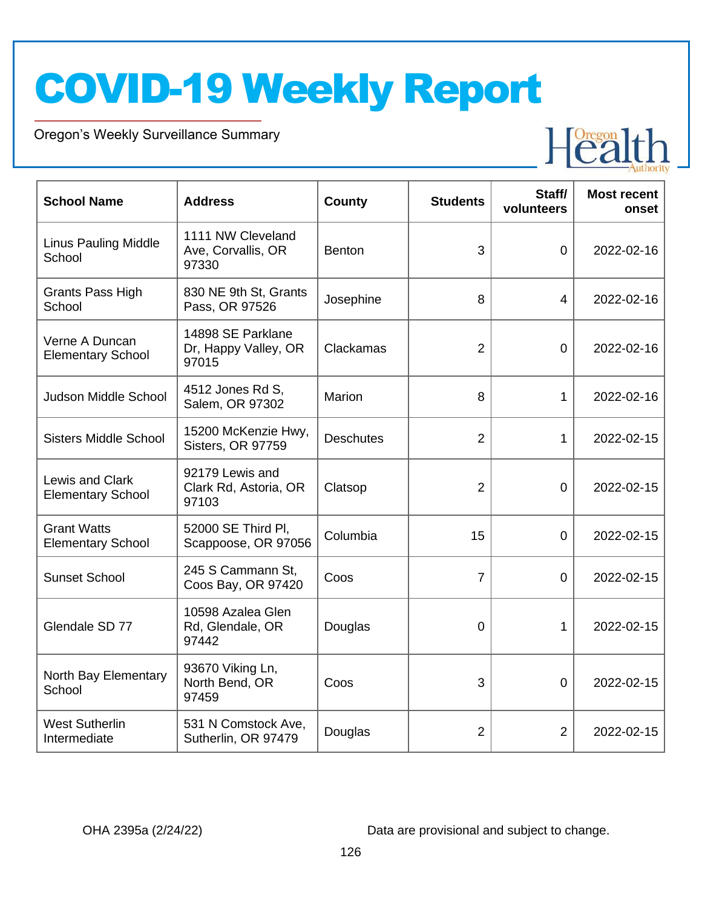Oregon's Weekly Surveillance Summary

Novel Coronavirus (COVID-19)



| <b>School Name</b>                             | <b>Address</b>                                     | <b>County</b>    | <b>Students</b> | Staff/<br>volunteers | <b>Most recent</b><br>onset |
|------------------------------------------------|----------------------------------------------------|------------------|-----------------|----------------------|-----------------------------|
| <b>Linus Pauling Middle</b><br>School          | 1111 NW Cleveland<br>Ave, Corvallis, OR<br>97330   | <b>Benton</b>    | 3               | $\Omega$             | 2022-02-16                  |
| Grants Pass High<br>School                     | 830 NE 9th St, Grants<br>Pass, OR 97526            | Josephine        | 8               | $\overline{4}$       | 2022-02-16                  |
| Verne A Duncan<br><b>Elementary School</b>     | 14898 SE Parklane<br>Dr, Happy Valley, OR<br>97015 | Clackamas        | $\overline{2}$  | $\mathbf 0$          | 2022-02-16                  |
| Judson Middle School                           | 4512 Jones Rd S,<br>Salem, OR 97302                | Marion           | 8               | 1                    | 2022-02-16                  |
| <b>Sisters Middle School</b>                   | 15200 McKenzie Hwy,<br>Sisters, OR 97759           | <b>Deschutes</b> | $\overline{2}$  | 1                    | 2022-02-15                  |
| Lewis and Clark<br><b>Elementary School</b>    | 92179 Lewis and<br>Clark Rd, Astoria, OR<br>97103  | Clatsop          | $\overline{2}$  | $\Omega$             | 2022-02-15                  |
| <b>Grant Watts</b><br><b>Elementary School</b> | 52000 SE Third PI,<br>Scappoose, OR 97056          | Columbia         | 15              | $\overline{0}$       | 2022-02-15                  |
| <b>Sunset School</b>                           | 245 S Cammann St,<br>Coos Bay, OR 97420            | Coos             | $\overline{7}$  | 0                    | 2022-02-15                  |
| Glendale SD 77                                 | 10598 Azalea Glen<br>Rd, Glendale, OR<br>97442     | Douglas          | 0               | 1                    | 2022-02-15                  |
| North Bay Elementary<br>School                 | 93670 Viking Ln,<br>North Bend, OR<br>97459        | Coos             | 3               | $\overline{0}$       | 2022-02-15                  |
| <b>West Sutherlin</b><br>Intermediate          | 531 N Comstock Ave,<br>Sutherlin, OR 97479         | Douglas          | $\overline{2}$  | $\overline{2}$       | 2022-02-15                  |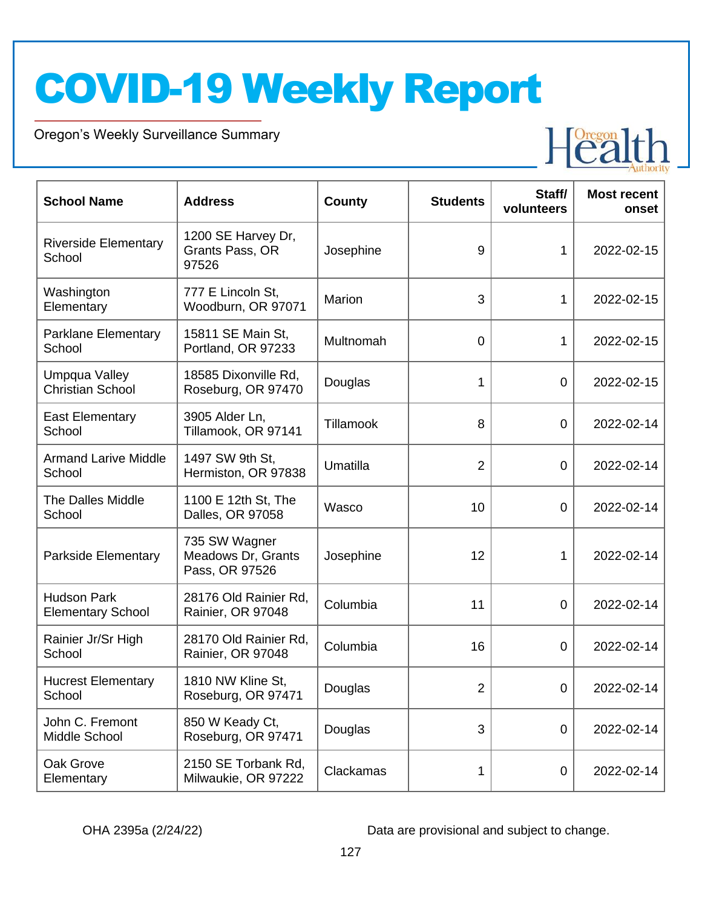Oregon's Weekly Surveillance Summary

Novel Coronavirus (COVID-19)



| <b>School Name</b>                             | <b>Address</b>                                        | <b>County</b> | <b>Students</b> | Staff/<br>volunteers | <b>Most recent</b><br>onset |
|------------------------------------------------|-------------------------------------------------------|---------------|-----------------|----------------------|-----------------------------|
| <b>Riverside Elementary</b><br>School          | 1200 SE Harvey Dr,<br>Grants Pass, OR<br>97526        | Josephine     | 9               | 1                    | 2022-02-15                  |
| Washington<br>Elementary                       | 777 E Lincoln St,<br>Woodburn, OR 97071               | Marion        | 3               | 1                    | 2022-02-15                  |
| <b>Parklane Elementary</b><br>School           | 15811 SE Main St,<br>Portland, OR 97233               | Multnomah     | $\mathbf 0$     | 1                    | 2022-02-15                  |
| Umpqua Valley<br><b>Christian School</b>       | 18585 Dixonville Rd,<br>Roseburg, OR 97470            | Douglas       | 1               | $\mathbf 0$          | 2022-02-15                  |
| <b>East Elementary</b><br>School               | 3905 Alder Ln,<br>Tillamook, OR 97141                 | Tillamook     | 8               | $\mathbf 0$          | 2022-02-14                  |
| <b>Armand Larive Middle</b><br>School          | 1497 SW 9th St,<br>Hermiston, OR 97838                | Umatilla      | $\overline{2}$  | $\overline{0}$       | 2022-02-14                  |
| The Dalles Middle<br>School                    | 1100 E 12th St, The<br>Dalles, OR 97058               | Wasco         | 10              | $\overline{0}$       | 2022-02-14                  |
| Parkside Elementary                            | 735 SW Wagner<br>Meadows Dr, Grants<br>Pass, OR 97526 | Josephine     | 12              | 1                    | 2022-02-14                  |
| <b>Hudson Park</b><br><b>Elementary School</b> | 28176 Old Rainier Rd,<br>Rainier, OR 97048            | Columbia      | 11              | $\overline{0}$       | 2022-02-14                  |
| Rainier Jr/Sr High<br>School                   | 28170 Old Rainier Rd,<br>Rainier, OR 97048            | Columbia      | 16              | 0                    | 2022-02-14                  |
| <b>Hucrest Elementary</b><br>School            | 1810 NW Kline St,<br>Roseburg, OR 97471               | Douglas       | 2               | $\Omega$             | 2022-02-14                  |
| John C. Fremont<br>Middle School               | 850 W Keady Ct,<br>Roseburg, OR 97471                 | Douglas       | 3               | $\overline{0}$       | 2022-02-14                  |
| Oak Grove<br>Elementary                        | 2150 SE Torbank Rd,<br>Milwaukie, OR 97222            | Clackamas     | 1               | 0                    | 2022-02-14                  |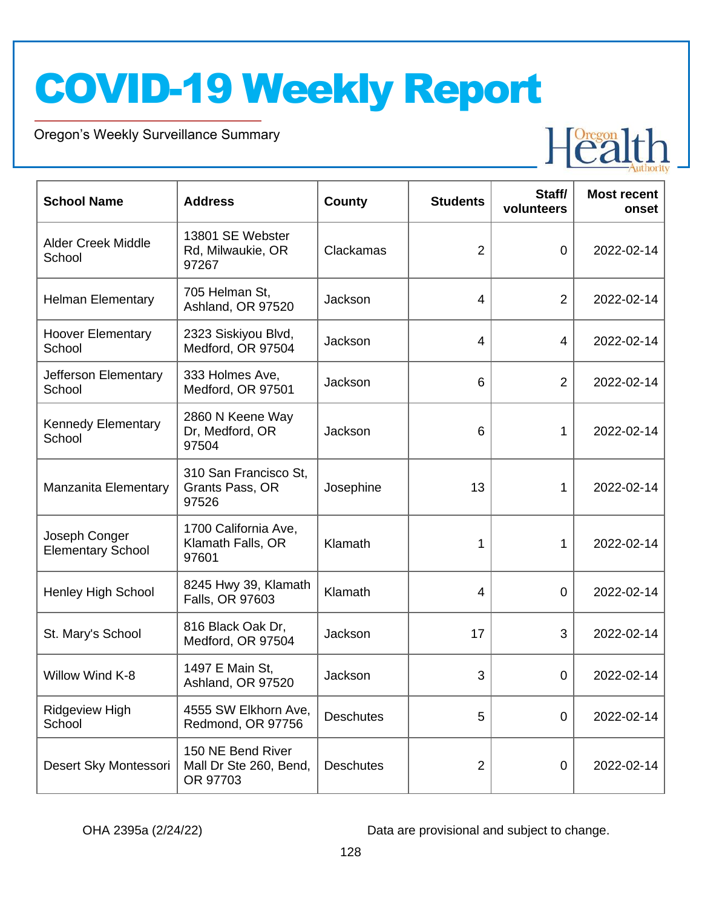Oregon's Weekly Surveillance Summary

Novel Coronavirus (COVID-19)



| <b>School Name</b>                        | <b>Address</b>                                          | County           | <b>Students</b> | Staff/<br>volunteers | <b>Most recent</b><br>onset |
|-------------------------------------------|---------------------------------------------------------|------------------|-----------------|----------------------|-----------------------------|
| <b>Alder Creek Middle</b><br>School       | 13801 SE Webster<br>Rd, Milwaukie, OR<br>97267          | Clackamas        | $\overline{2}$  | $\overline{0}$       | 2022-02-14                  |
| <b>Helman Elementary</b>                  | 705 Helman St.<br>Ashland, OR 97520                     | Jackson          | $\overline{4}$  | $\overline{2}$       | 2022-02-14                  |
| <b>Hoover Elementary</b><br>School        | 2323 Siskiyou Blvd,<br>Medford, OR 97504                | Jackson          | $\overline{4}$  | $\overline{4}$       | 2022-02-14                  |
| Jefferson Elementary<br>School            | 333 Holmes Ave,<br>Medford, OR 97501                    | Jackson          | 6               | $\overline{2}$       | 2022-02-14                  |
| <b>Kennedy Elementary</b><br>School       | 2860 N Keene Way<br>Dr, Medford, OR<br>97504            | Jackson          | 6               | 1                    | 2022-02-14                  |
| Manzanita Elementary                      | 310 San Francisco St,<br>Grants Pass, OR<br>97526       | Josephine        | 13              | 1                    | 2022-02-14                  |
| Joseph Conger<br><b>Elementary School</b> | 1700 California Ave,<br>Klamath Falls, OR<br>97601      | Klamath          | 1               | 1                    | 2022-02-14                  |
| <b>Henley High School</b>                 | 8245 Hwy 39, Klamath<br>Falls, OR 97603                 | Klamath          | $\overline{4}$  | 0                    | 2022-02-14                  |
| St. Mary's School                         | 816 Black Oak Dr,<br>Medford, OR 97504                  | Jackson          | 17              | 3                    | 2022-02-14                  |
| Willow Wind K-8                           | 1497 E Main St,<br>Ashland, OR 97520                    | Jackson          | 3               | 0                    | 2022-02-14                  |
| <b>Ridgeview High</b><br>School           | 4555 SW Elkhorn Ave,<br>Redmond, OR 97756               | <b>Deschutes</b> | 5               | 0                    | 2022-02-14                  |
| Desert Sky Montessori                     | 150 NE Bend River<br>Mall Dr Ste 260, Bend,<br>OR 97703 | <b>Deschutes</b> | $\overline{2}$  | $\mathbf 0$          | 2022-02-14                  |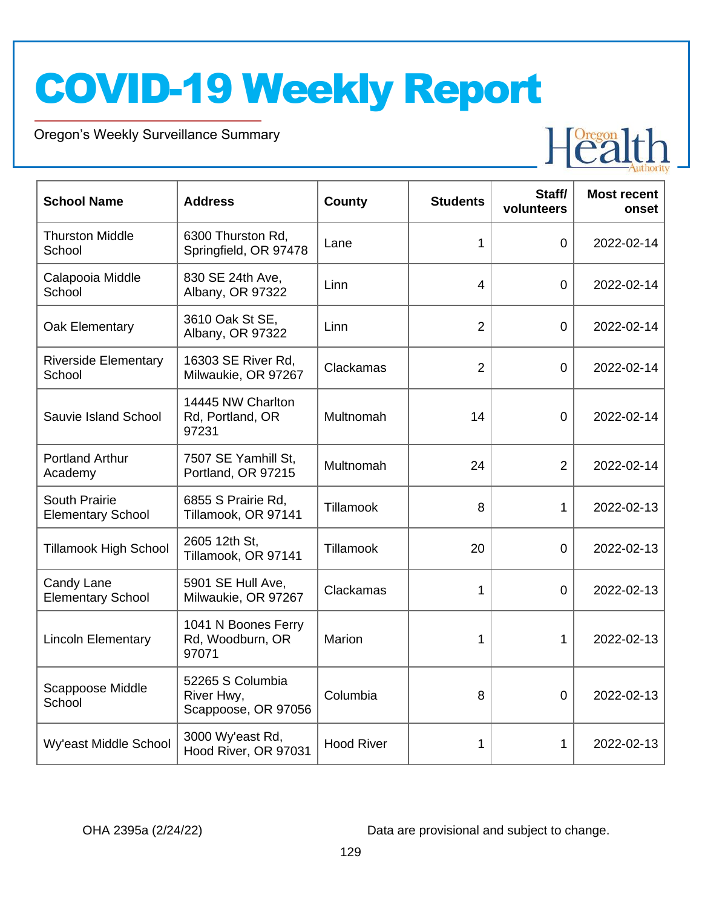Oregon's Weekly Surveillance Summary

Novel Coronavirus (COVID-19)



| <b>School Name</b>                               | <b>Address</b>                                        | <b>County</b>     | <b>Students</b> | Staff/<br>volunteers | <b>Most recent</b><br>onset |
|--------------------------------------------------|-------------------------------------------------------|-------------------|-----------------|----------------------|-----------------------------|
| <b>Thurston Middle</b><br>School                 | 6300 Thurston Rd,<br>Springfield, OR 97478            | Lane              | 1               | $\overline{0}$       | 2022-02-14                  |
| Calapooia Middle<br>School                       | 830 SE 24th Ave,<br>Albany, OR 97322                  | Linn              | 4               | $\overline{0}$       | 2022-02-14                  |
| Oak Elementary                                   | 3610 Oak St SE,<br>Albany, OR 97322                   | Linn              | $\overline{2}$  | $\overline{0}$       | 2022-02-14                  |
| <b>Riverside Elementary</b><br>School            | 16303 SE River Rd,<br>Milwaukie, OR 97267             | Clackamas         | $\overline{2}$  | $\mathbf 0$          | 2022-02-14                  |
| Sauvie Island School                             | 14445 NW Charlton<br>Rd, Portland, OR<br>97231        | Multnomah         | 14              | $\overline{0}$       | 2022-02-14                  |
| <b>Portland Arthur</b><br>Academy                | 7507 SE Yamhill St,<br>Portland, OR 97215             | Multnomah         | 24              | $\overline{2}$       | 2022-02-14                  |
| <b>South Prairie</b><br><b>Elementary School</b> | 6855 S Prairie Rd,<br>Tillamook, OR 97141             | Tillamook         | 8               | 1                    | 2022-02-13                  |
| <b>Tillamook High School</b>                     | 2605 12th St,<br>Tillamook, OR 97141                  | Tillamook         | 20              | $\overline{0}$       | 2022-02-13                  |
| Candy Lane<br><b>Elementary School</b>           | 5901 SE Hull Ave,<br>Milwaukie, OR 97267              | Clackamas         | 1               | $\overline{0}$       | 2022-02-13                  |
| <b>Lincoln Elementary</b>                        | 1041 N Boones Ferry<br>Rd, Woodburn, OR<br>97071      | Marion            | 1               | 1                    | 2022-02-13                  |
| Scappoose Middle<br>School                       | 52265 S Columbia<br>River Hwy,<br>Scappoose, OR 97056 | Columbia          | 8               | $\overline{0}$       | 2022-02-13                  |
| Wy'east Middle School                            | 3000 Wy'east Rd,<br>Hood River, OR 97031              | <b>Hood River</b> | 1               | 1                    | 2022-02-13                  |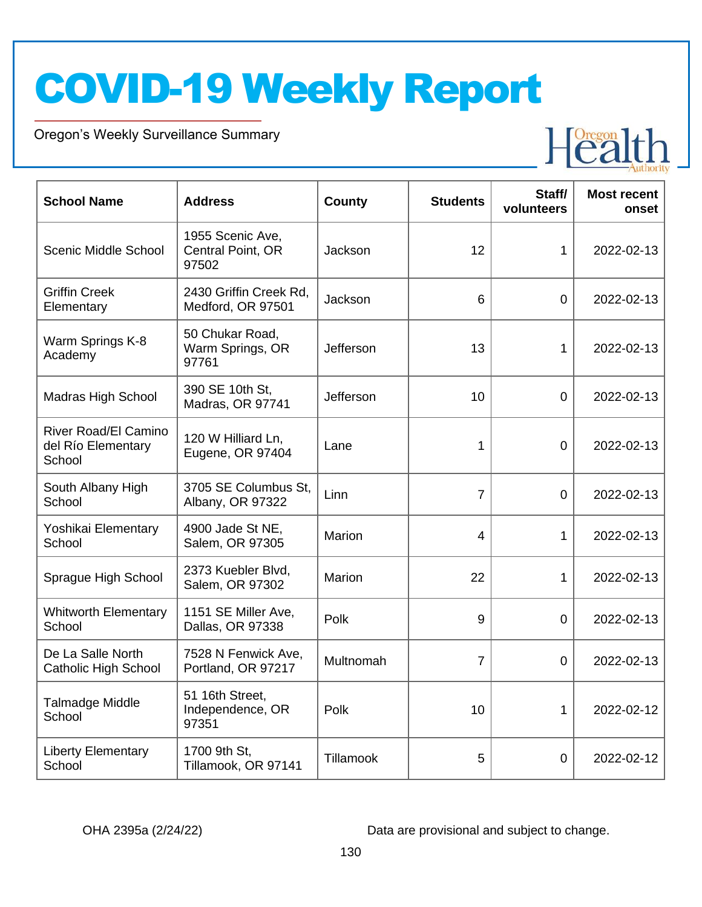Oregon's Weekly Surveillance Summary

Novel Coronavirus (COVID-19)



| <b>School Name</b>                                          | <b>Address</b>                                 | <b>County</b> | <b>Students</b> | Staff/<br>volunteers | <b>Most recent</b><br>onset |
|-------------------------------------------------------------|------------------------------------------------|---------------|-----------------|----------------------|-----------------------------|
| Scenic Middle School                                        | 1955 Scenic Ave,<br>Central Point, OR<br>97502 | Jackson       | 12              | $\mathbf 1$          | 2022-02-13                  |
| <b>Griffin Creek</b><br>Elementary                          | 2430 Griffin Creek Rd,<br>Medford, OR 97501    | Jackson       | 6               | $\mathbf 0$          | 2022-02-13                  |
| Warm Springs K-8<br>Academy                                 | 50 Chukar Road,<br>Warm Springs, OR<br>97761   | Jefferson     | 13              | 1                    | 2022-02-13                  |
| <b>Madras High School</b>                                   | 390 SE 10th St,<br>Madras, OR 97741            | Jefferson     | 10              | $\overline{0}$       | 2022-02-13                  |
| <b>River Road/El Camino</b><br>del Río Elementary<br>School | 120 W Hilliard Ln,<br>Eugene, OR 97404         | Lane          | 1               | 0                    | 2022-02-13                  |
| South Albany High<br>School                                 | 3705 SE Columbus St.<br>Albany, OR 97322       | Linn          | $\overline{7}$  | $\overline{0}$       | 2022-02-13                  |
| Yoshikai Elementary<br>School                               | 4900 Jade St NE,<br>Salem, OR 97305            | Marion        | 4               | 1                    | 2022-02-13                  |
| Sprague High School                                         | 2373 Kuebler Blvd,<br>Salem, OR 97302          | Marion        | 22              | 1                    | 2022-02-13                  |
| <b>Whitworth Elementary</b><br>School                       | 1151 SE Miller Ave,<br>Dallas, OR 97338        | Polk          | 9               | 0                    | 2022-02-13                  |
| De La Salle North<br><b>Catholic High School</b>            | 7528 N Fenwick Ave,<br>Portland, OR 97217      | Multnomah     | $\overline{7}$  | 0                    | 2022-02-13                  |
| Talmadge Middle<br>School                                   | 51 16th Street,<br>Independence, OR<br>97351   | Polk          | 10              | 1                    | 2022-02-12                  |
| <b>Liberty Elementary</b><br>School                         | 1700 9th St,<br>Tillamook, OR 97141            | Tillamook     | 5               | $\pmb{0}$            | 2022-02-12                  |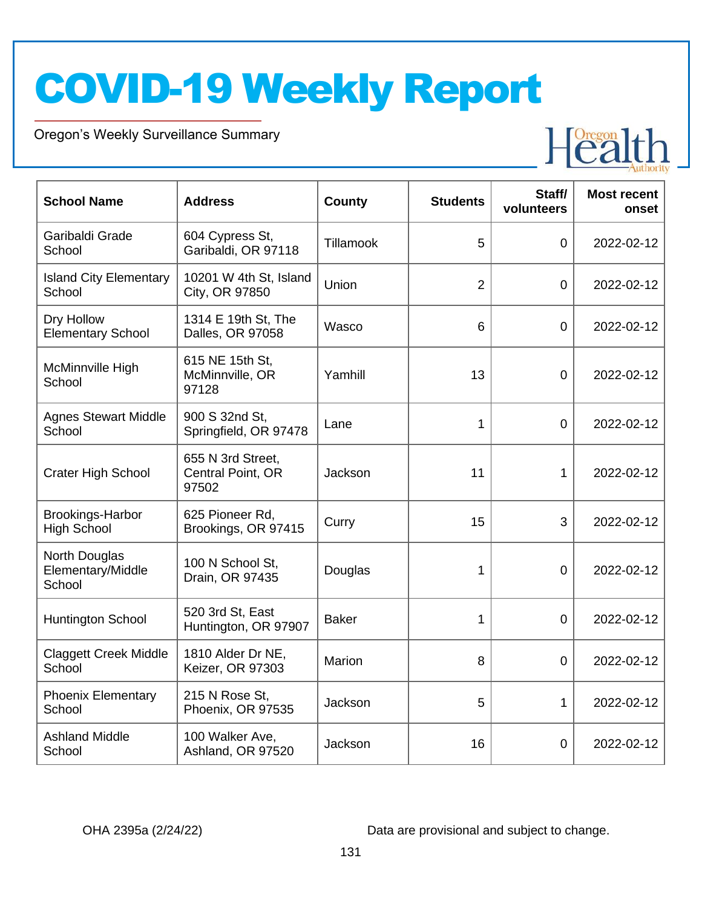Oregon's Weekly Surveillance Summary

Novel Coronavirus (COVID-19)



| <b>School Name</b>                           | <b>Address</b>                                  | <b>County</b> | <b>Students</b> | Staff/<br>volunteers | <b>Most recent</b><br>onset |
|----------------------------------------------|-------------------------------------------------|---------------|-----------------|----------------------|-----------------------------|
| Garibaldi Grade<br>School                    | 604 Cypress St,<br>Garibaldi, OR 97118          | Tillamook     | 5               | $\overline{0}$       | 2022-02-12                  |
| <b>Island City Elementary</b><br>School      | 10201 W 4th St, Island<br>City, OR 97850        | Union         | $\overline{2}$  | 0                    | 2022-02-12                  |
| Dry Hollow<br><b>Elementary School</b>       | 1314 E 19th St, The<br>Dalles, OR 97058         | Wasco         | 6               | $\overline{0}$       | 2022-02-12                  |
| McMinnville High<br>School                   | 615 NE 15th St,<br>McMinnville, OR<br>97128     | Yamhill       | 13              | $\mathbf 0$          | 2022-02-12                  |
| <b>Agnes Stewart Middle</b><br>School        | 900 S 32nd St,<br>Springfield, OR 97478         | Lane          | $\mathbf{1}$    | $\overline{0}$       | 2022-02-12                  |
| <b>Crater High School</b>                    | 655 N 3rd Street,<br>Central Point, OR<br>97502 | Jackson       | 11              | 1                    | 2022-02-12                  |
| Brookings-Harbor<br><b>High School</b>       | 625 Pioneer Rd,<br>Brookings, OR 97415          | Curry         | 15              | 3                    | 2022-02-12                  |
| North Douglas<br>Elementary/Middle<br>School | 100 N School St,<br>Drain, OR 97435             | Douglas       | 1               | 0                    | 2022-02-12                  |
| <b>Huntington School</b>                     | 520 3rd St, East<br>Huntington, OR 97907        | <b>Baker</b>  | 1               | 0                    | 2022-02-12                  |
| <b>Claggett Creek Middle</b><br>School       | 1810 Alder Dr NE,<br>Keizer, OR 97303           | Marion        | 8               | $\mathbf 0$          | 2022-02-12                  |
| <b>Phoenix Elementary</b><br>School          | 215 N Rose St,<br>Phoenix, OR 97535             | Jackson       | 5               | 1                    | 2022-02-12                  |
| <b>Ashland Middle</b><br>School              | 100 Walker Ave,<br>Ashland, OR 97520            | Jackson       | 16              | $\overline{0}$       | 2022-02-12                  |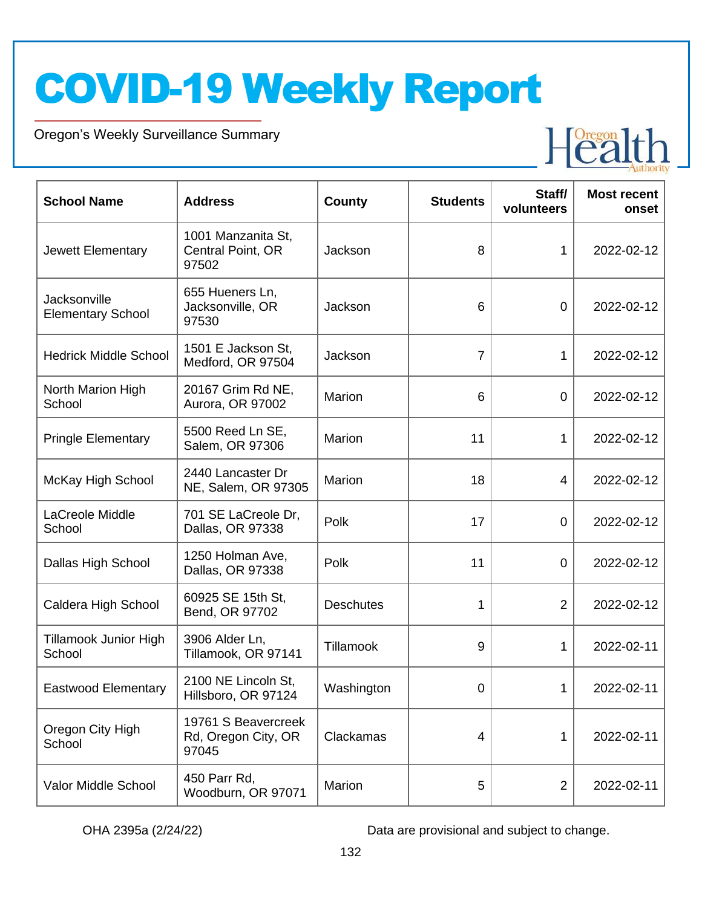Oregon's Weekly Surveillance Summary

Novel Coronavirus (COVID-19)



| <b>School Name</b>                       | <b>Address</b>                                      | <b>County</b>    | <b>Students</b> | Staff/<br>volunteers | <b>Most recent</b><br>onset |
|------------------------------------------|-----------------------------------------------------|------------------|-----------------|----------------------|-----------------------------|
| Jewett Elementary                        | 1001 Manzanita St,<br>Central Point, OR<br>97502    | Jackson          | 8               | $\mathbf 1$          | 2022-02-12                  |
| Jacksonville<br><b>Elementary School</b> | 655 Hueners Ln,<br>Jacksonville, OR<br>97530        | Jackson          | 6               | $\overline{0}$       | 2022-02-12                  |
| <b>Hedrick Middle School</b>             | 1501 E Jackson St,<br>Medford, OR 97504             | Jackson          | 7               | 1                    | 2022-02-12                  |
| North Marion High<br>School              | 20167 Grim Rd NE,<br>Aurora, OR 97002               | Marion           | 6               | $\overline{0}$       | 2022-02-12                  |
| <b>Pringle Elementary</b>                | 5500 Reed Ln SE,<br>Salem, OR 97306                 | Marion           | 11              | 1                    | 2022-02-12                  |
| McKay High School                        | 2440 Lancaster Dr<br>NE, Salem, OR 97305            | Marion           | 18              | 4                    | 2022-02-12                  |
| LaCreole Middle<br>School                | 701 SE LaCreole Dr,<br>Dallas, OR 97338             | Polk             | 17              | $\overline{0}$       | 2022-02-12                  |
| Dallas High School                       | 1250 Holman Ave,<br>Dallas, OR 97338                | Polk             | 11              | $\overline{0}$       | 2022-02-12                  |
| Caldera High School                      | 60925 SE 15th St,<br>Bend, OR 97702                 | <b>Deschutes</b> | 1               | $\overline{2}$       | 2022-02-12                  |
| Tillamook Junior High<br>School          | 3906 Alder Ln,<br>Tillamook, OR 97141               | Tillamook        | 9               | 1                    | 2022-02-11                  |
| <b>Eastwood Elementary</b>               | 2100 NE Lincoln St,<br>Hillsboro, OR 97124          | Washington       | 0               | 1                    | 2022-02-11                  |
| Oregon City High<br>School               | 19761 S Beavercreek<br>Rd, Oregon City, OR<br>97045 | Clackamas        | 4               | 1                    | 2022-02-11                  |
| Valor Middle School                      | 450 Parr Rd,<br>Woodburn, OR 97071                  | Marion           | 5               | $\overline{2}$       | 2022-02-11                  |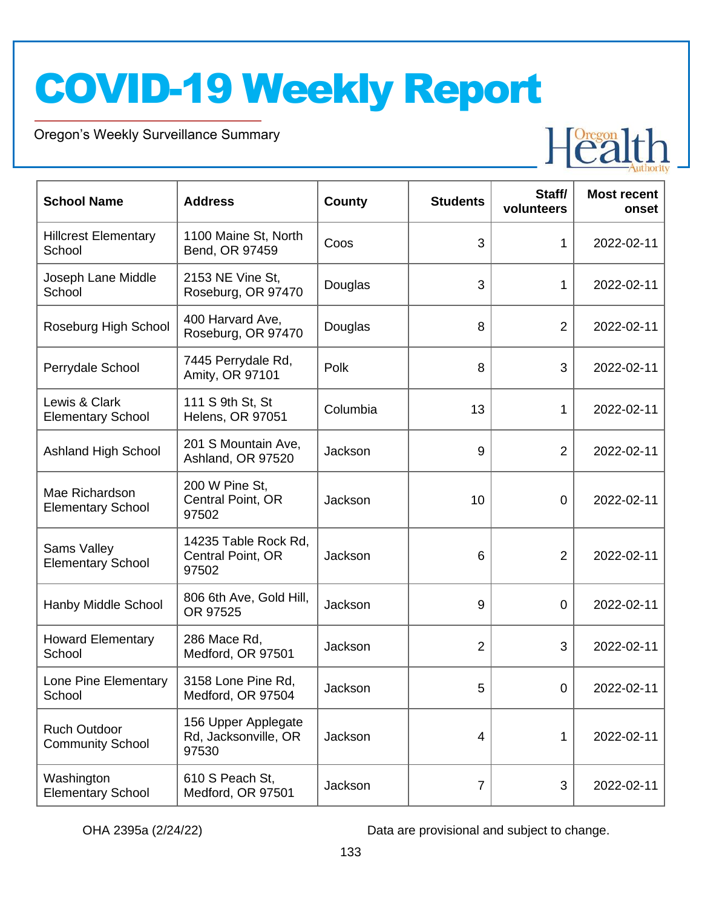Oregon's Weekly Surveillance Summary

Novel Coronavirus (COVID-19)



| <b>School Name</b>                             | <b>Address</b>                                       | County   | <b>Students</b> | Staff/<br>volunteers | <b>Most recent</b><br>onset |
|------------------------------------------------|------------------------------------------------------|----------|-----------------|----------------------|-----------------------------|
| <b>Hillcrest Elementary</b><br>School          | 1100 Maine St, North<br>Bend, OR 97459               | Coos     | 3               | 1                    | 2022-02-11                  |
| Joseph Lane Middle<br>School                   | 2153 NE Vine St,<br>Roseburg, OR 97470               | Douglas  | 3               | 1                    | 2022-02-11                  |
| Roseburg High School                           | 400 Harvard Ave,<br>Roseburg, OR 97470               | Douglas  | 8               | $\overline{2}$       | 2022-02-11                  |
| Perrydale School                               | 7445 Perrydale Rd,<br>Amity, OR 97101                | Polk     | 8               | 3                    | 2022-02-11                  |
| Lewis & Clark<br><b>Elementary School</b>      | 111 S 9th St, St<br><b>Helens, OR 97051</b>          | Columbia | 13              | 1                    | 2022-02-11                  |
| <b>Ashland High School</b>                     | 201 S Mountain Ave,<br>Ashland, OR 97520             | Jackson  | 9               | $\overline{2}$       | 2022-02-11                  |
| Mae Richardson<br><b>Elementary School</b>     | 200 W Pine St,<br>Central Point, OR<br>97502         | Jackson  | 10              | $\mathbf 0$          | 2022-02-11                  |
| Sams Valley<br><b>Elementary School</b>        | 14235 Table Rock Rd,<br>Central Point, OR<br>97502   | Jackson  | 6               | $\overline{2}$       | 2022-02-11                  |
| Hanby Middle School                            | 806 6th Ave, Gold Hill,<br>OR 97525                  | Jackson  | 9               | $\mathbf 0$          | 2022-02-11                  |
| <b>Howard Elementary</b><br>School             | 286 Mace Rd,<br>Medford, OR 97501                    | Jackson  | $\overline{2}$  | 3                    | 2022-02-11                  |
| Lone Pine Elementary<br>School                 | 3158 Lone Pine Rd,<br>Medford, OR 97504              | Jackson  | 5               | $\mathbf 0$          | 2022-02-11                  |
| <b>Ruch Outdoor</b><br><b>Community School</b> | 156 Upper Applegate<br>Rd, Jacksonville, OR<br>97530 | Jackson  | 4               | 1                    | 2022-02-11                  |
| Washington<br><b>Elementary School</b>         | 610 S Peach St,<br>Medford, OR 97501                 | Jackson  | 7               | 3                    | 2022-02-11                  |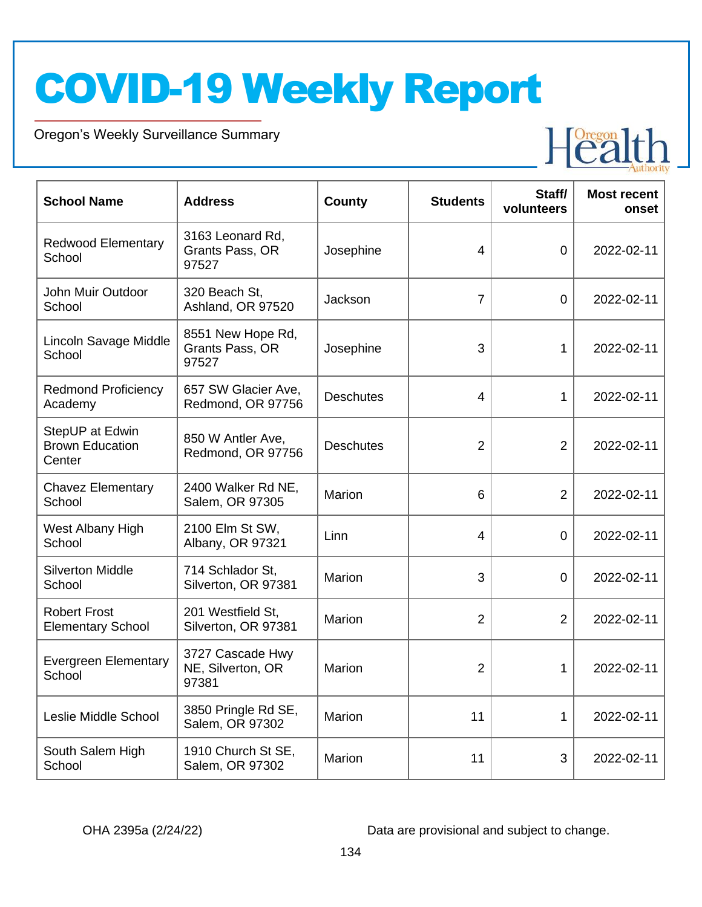Oregon's Weekly Surveillance Summary

Novel Coronavirus (COVID-19)



| <b>School Name</b>                                  | <b>Address</b>                                 | <b>County</b>    | <b>Students</b> | Staff/<br>volunteers | <b>Most recent</b><br>onset |
|-----------------------------------------------------|------------------------------------------------|------------------|-----------------|----------------------|-----------------------------|
| <b>Redwood Elementary</b><br>School                 | 3163 Leonard Rd,<br>Grants Pass, OR<br>97527   | Josephine        | 4               | $\mathbf 0$          | 2022-02-11                  |
| John Muir Outdoor<br>School                         | 320 Beach St.<br>Ashland, OR 97520             | Jackson          | $\overline{7}$  | $\mathbf 0$          | 2022-02-11                  |
| Lincoln Savage Middle<br>School                     | 8551 New Hope Rd,<br>Grants Pass, OR<br>97527  | Josephine        | 3               | 1                    | 2022-02-11                  |
| <b>Redmond Proficiency</b><br>Academy               | 657 SW Glacier Ave,<br>Redmond, OR 97756       | <b>Deschutes</b> | 4               | 1                    | 2022-02-11                  |
| StepUP at Edwin<br><b>Brown Education</b><br>Center | 850 W Antler Ave,<br>Redmond, OR 97756         | <b>Deschutes</b> | $\overline{2}$  | $\overline{2}$       | 2022-02-11                  |
| <b>Chavez Elementary</b><br>School                  | 2400 Walker Rd NE,<br>Salem, OR 97305          | Marion           | 6               | $\overline{2}$       | 2022-02-11                  |
| West Albany High<br>School                          | 2100 Elm St SW,<br>Albany, OR 97321            | Linn             | 4               | 0                    | 2022-02-11                  |
| <b>Silverton Middle</b><br>School                   | 714 Schlador St,<br>Silverton, OR 97381        | <b>Marion</b>    | 3               | $\overline{0}$       | 2022-02-11                  |
| <b>Robert Frost</b><br><b>Elementary School</b>     | 201 Westfield St,<br>Silverton, OR 97381       | Marion           | 2               | $\overline{2}$       | 2022-02-11                  |
| <b>Evergreen Elementary</b><br>School               | 3727 Cascade Hwy<br>NE, Silverton, OR<br>97381 | Marion           | 2               | 1                    | 2022-02-11                  |
| Leslie Middle School                                | 3850 Pringle Rd SE,<br>Salem, OR 97302         | Marion           | 11              | 1                    | 2022-02-11                  |
| South Salem High<br>School                          | 1910 Church St SE,<br>Salem, OR 97302          | Marion           | 11              | $\sqrt{3}$           | 2022-02-11                  |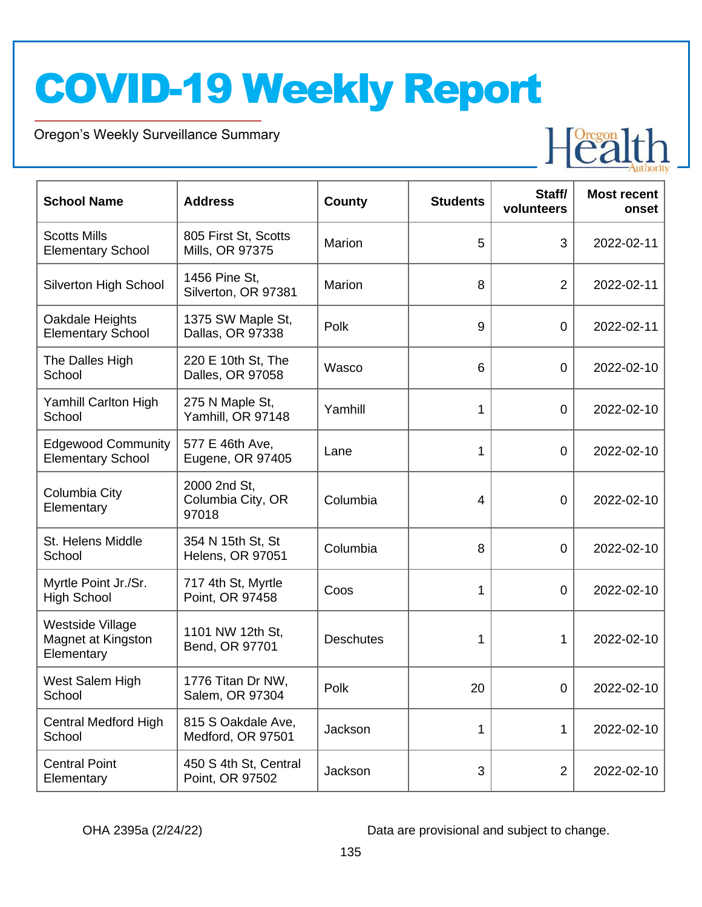Oregon's Weekly Surveillance Summary

Novel Coronavirus (COVID-19)



| <b>School Name</b>                                          | <b>Address</b>                               | County           | <b>Students</b> | Staff/<br>volunteers | <b>Most recent</b><br>onset |
|-------------------------------------------------------------|----------------------------------------------|------------------|-----------------|----------------------|-----------------------------|
| <b>Scotts Mills</b><br><b>Elementary School</b>             | 805 First St, Scotts<br>Mills, OR 97375      | Marion           | 5               | 3                    | 2022-02-11                  |
| Silverton High School                                       | 1456 Pine St,<br>Silverton, OR 97381         | Marion           | 8               | $\overline{2}$       | 2022-02-11                  |
| Oakdale Heights<br><b>Elementary School</b>                 | 1375 SW Maple St,<br>Dallas, OR 97338        | Polk             | 9               | $\overline{0}$       | 2022-02-11                  |
| The Dalles High<br>School                                   | 220 E 10th St, The<br>Dalles, OR 97058       | Wasco            | 6               | $\overline{0}$       | 2022-02-10                  |
| Yamhill Carlton High<br>School                              | 275 N Maple St,<br>Yamhill, OR 97148         | Yamhill          | 1               | $\mathbf 0$          | 2022-02-10                  |
| <b>Edgewood Community</b><br><b>Elementary School</b>       | 577 E 46th Ave,<br>Eugene, OR 97405          | Lane             | 1               | $\overline{0}$       | 2022-02-10                  |
| Columbia City<br>Elementary                                 | 2000 2nd St,<br>Columbia City, OR<br>97018   | Columbia         | $\overline{4}$  | 0                    | 2022-02-10                  |
| St. Helens Middle<br>School                                 | 354 N 15th St, St<br><b>Helens, OR 97051</b> | Columbia         | 8               | $\overline{0}$       | 2022-02-10                  |
| Myrtle Point Jr./Sr.<br><b>High School</b>                  | 717 4th St, Myrtle<br>Point, OR 97458        | Coos             | 1               | $\overline{0}$       | 2022-02-10                  |
| <b>Westside Village</b><br>Magnet at Kingston<br>Elementary | 1101 NW 12th St,<br>Bend, OR 97701           | <b>Deschutes</b> | 1               | 1                    | 2022-02-10                  |
| West Salem High<br>School                                   | 1776 Titan Dr NW,<br>Salem, OR 97304         | Polk             | 20              | $\mathbf 0$          | 2022-02-10                  |
| <b>Central Medford High</b><br>School                       | 815 S Oakdale Ave,<br>Medford, OR 97501      | Jackson          | 1               | 1                    | 2022-02-10                  |
| <b>Central Point</b><br>Elementary                          | 450 S 4th St, Central<br>Point, OR 97502     | Jackson          | 3               | $\overline{2}$       | 2022-02-10                  |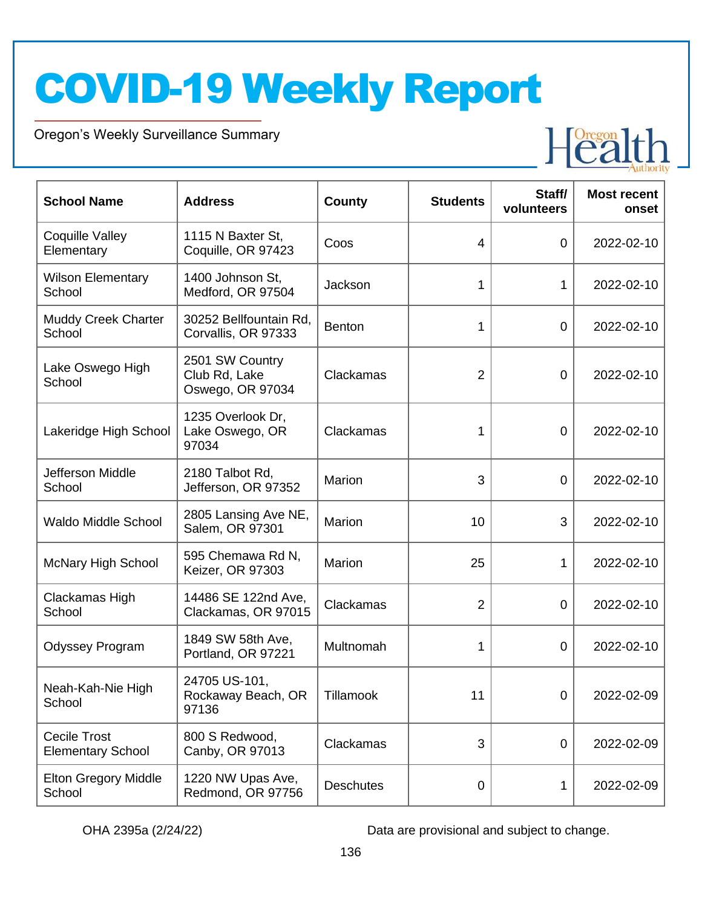Oregon's Weekly Surveillance Summary

Novel Coronavirus (COVID-19)



| <b>School Name</b>                              | <b>Address</b>                                       | <b>County</b>    | <b>Students</b> | Staff/<br>volunteers | <b>Most recent</b><br>onset |
|-------------------------------------------------|------------------------------------------------------|------------------|-----------------|----------------------|-----------------------------|
| Coquille Valley<br>Elementary                   | 1115 N Baxter St,<br>Coquille, OR 97423              | Coos             | $\overline{4}$  | $\mathbf 0$          | 2022-02-10                  |
| <b>Wilson Elementary</b><br>School              | 1400 Johnson St,<br>Medford, OR 97504                | Jackson          | 1               | 1                    | 2022-02-10                  |
| <b>Muddy Creek Charter</b><br>School            | 30252 Bellfountain Rd,<br>Corvallis, OR 97333        | <b>Benton</b>    | 1               | $\mathbf 0$          | 2022-02-10                  |
| Lake Oswego High<br>School                      | 2501 SW Country<br>Club Rd, Lake<br>Oswego, OR 97034 | Clackamas        | $\overline{2}$  | $\mathbf 0$          | 2022-02-10                  |
| Lakeridge High School                           | 1235 Overlook Dr,<br>Lake Oswego, OR<br>97034        | Clackamas        | 1               | 0                    | 2022-02-10                  |
| Jefferson Middle<br>School                      | 2180 Talbot Rd,<br>Jefferson, OR 97352               | Marion           | 3               | $\mathbf 0$          | 2022-02-10                  |
| <b>Waldo Middle School</b>                      | 2805 Lansing Ave NE,<br>Salem, OR 97301              | Marion           | 10              | 3                    | 2022-02-10                  |
| <b>McNary High School</b>                       | 595 Chemawa Rd N,<br>Keizer, OR 97303                | Marion           | 25              | 1                    | 2022-02-10                  |
| Clackamas High<br>School                        | 14486 SE 122nd Ave,<br>Clackamas, OR 97015           | Clackamas        | $\overline{2}$  | $\overline{0}$       | 2022-02-10                  |
| <b>Odyssey Program</b>                          | 1849 SW 58th Ave,<br>Portland, OR 97221              | Multnomah        | 1               | $\overline{0}$       | 2022-02-10                  |
| Neah-Kah-Nie High<br>School                     | 24705 US-101,<br>Rockaway Beach, OR<br>97136         | Tillamook        | 11              | 0                    | 2022-02-09                  |
| <b>Cecile Trost</b><br><b>Elementary School</b> | 800 S Redwood,<br>Canby, OR 97013                    | Clackamas        | 3               | $\mathbf 0$          | 2022-02-09                  |
| <b>Elton Gregory Middle</b><br>School           | 1220 NW Upas Ave,<br>Redmond, OR 97756               | <b>Deschutes</b> | 0               | 1                    | 2022-02-09                  |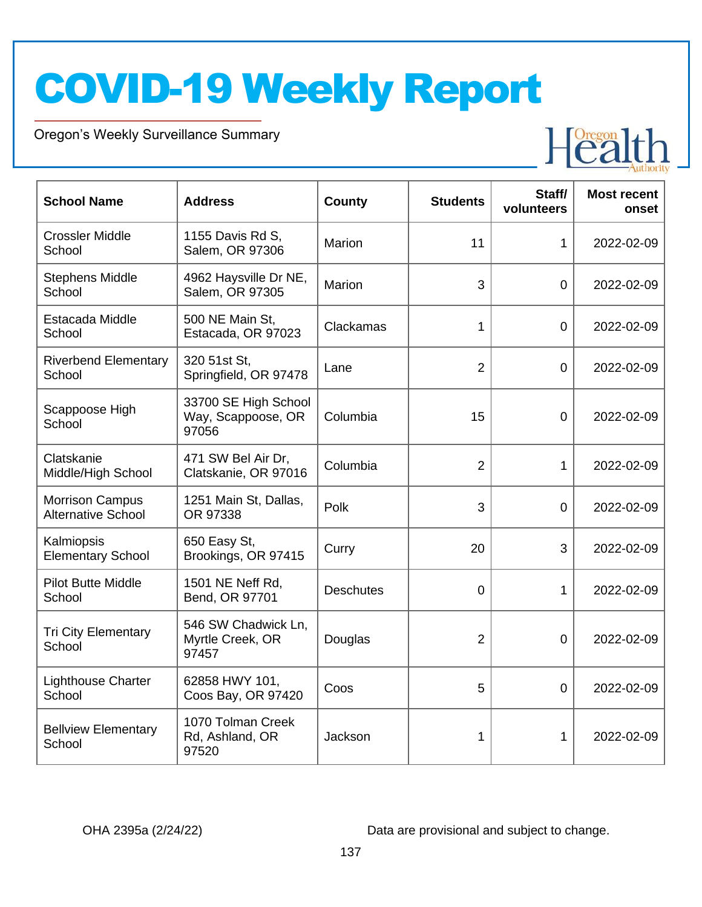Oregon's Weekly Surveillance Summary

Novel Coronavirus (COVID-19)



| <b>School Name</b>                                  | <b>Address</b>                                      | <b>County</b>    | <b>Students</b> | Staff/<br>volunteers | <b>Most recent</b><br>onset |
|-----------------------------------------------------|-----------------------------------------------------|------------------|-----------------|----------------------|-----------------------------|
| <b>Crossler Middle</b><br>School                    | 1155 Davis Rd S,<br>Salem, OR 97306                 | Marion           | 11              | 1                    | 2022-02-09                  |
| <b>Stephens Middle</b><br>School                    | 4962 Haysville Dr NE,<br>Salem, OR 97305            | Marion           | 3               | $\mathbf 0$          | 2022-02-09                  |
| Estacada Middle<br>School                           | 500 NE Main St,<br>Estacada, OR 97023               | Clackamas        | 1               | $\mathbf 0$          | 2022-02-09                  |
| <b>Riverbend Elementary</b><br>School               | 320 51st St,<br>Springfield, OR 97478               | Lane             | $\overline{2}$  | $\mathbf 0$          | 2022-02-09                  |
| Scappoose High<br>School                            | 33700 SE High School<br>Way, Scappoose, OR<br>97056 | Columbia         | 15              | 0                    | 2022-02-09                  |
| Clatskanie<br>Middle/High School                    | 471 SW Bel Air Dr,<br>Clatskanie, OR 97016          | Columbia         | $\overline{2}$  | $\mathbf{1}$         | 2022-02-09                  |
| <b>Morrison Campus</b><br><b>Alternative School</b> | 1251 Main St, Dallas,<br>OR 97338                   | Polk             | 3               | $\mathbf 0$          | 2022-02-09                  |
| Kalmiopsis<br><b>Elementary School</b>              | 650 Easy St,<br>Brookings, OR 97415                 | Curry            | 20              | 3                    | 2022-02-09                  |
| <b>Pilot Butte Middle</b><br>School                 | 1501 NE Neff Rd,<br>Bend, OR 97701                  | <b>Deschutes</b> | 0               | $\mathbf{1}$         | 2022-02-09                  |
| <b>Tri City Elementary</b><br>School                | 546 SW Chadwick Ln,<br>Myrtle Creek, OR<br>97457    | Douglas          | $\overline{2}$  | 0                    | 2022-02-09                  |
| <b>Lighthouse Charter</b><br>School                 | 62858 HWY 101,<br>Coos Bay, OR 97420                | Coos             | 5               | $\overline{0}$       | 2022-02-09                  |
| <b>Bellview Elementary</b><br>School                | 1070 Tolman Creek<br>Rd, Ashland, OR<br>97520       | Jackson          | 1               | 1                    | 2022-02-09                  |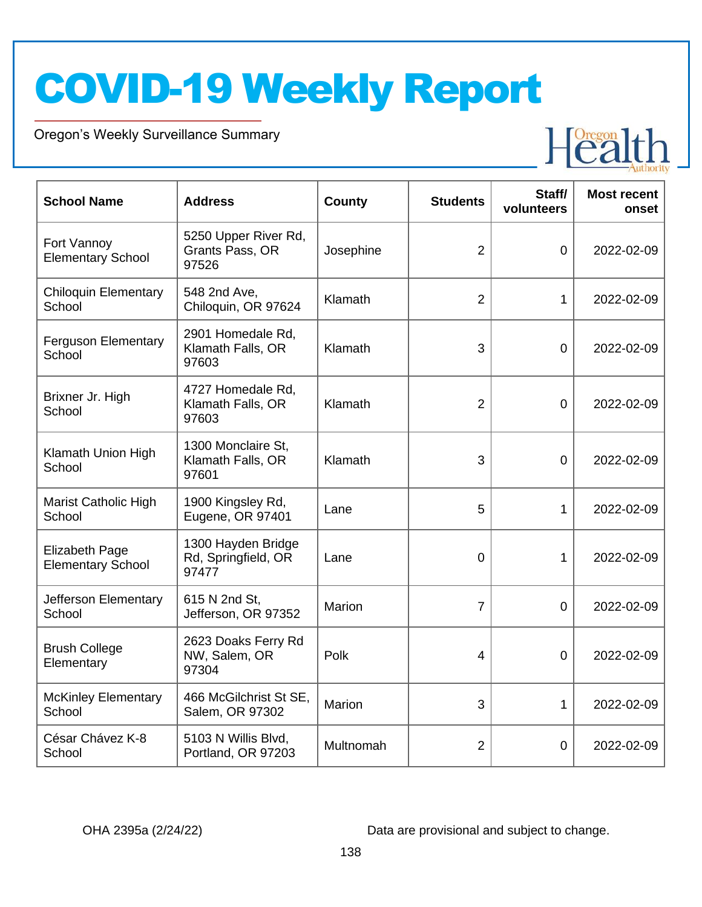Oregon's Weekly Surveillance Summary

Novel Coronavirus (COVID-19)



| <b>School Name</b>                                | <b>Address</b>                                     | County        | <b>Students</b> | Staff/<br>volunteers | <b>Most recent</b><br>onset |
|---------------------------------------------------|----------------------------------------------------|---------------|-----------------|----------------------|-----------------------------|
| Fort Vannoy<br><b>Elementary School</b>           | 5250 Upper River Rd,<br>Grants Pass, OR<br>97526   | Josephine     | $\overline{2}$  | $\mathbf 0$          | 2022-02-09                  |
| <b>Chiloquin Elementary</b><br>School             | 548 2nd Ave,<br>Chiloquin, OR 97624                | Klamath       | $\overline{2}$  | 1                    | 2022-02-09                  |
| <b>Ferguson Elementary</b><br>School              | 2901 Homedale Rd,<br>Klamath Falls, OR<br>97603    | Klamath       | 3               | 0                    | 2022-02-09                  |
| Brixner Jr. High<br>School                        | 4727 Homedale Rd,<br>Klamath Falls, OR<br>97603    | Klamath       | $\overline{2}$  | $\overline{0}$       | 2022-02-09                  |
| Klamath Union High<br>School                      | 1300 Monclaire St,<br>Klamath Falls, OR<br>97601   | Klamath       | 3               | $\mathbf 0$          | 2022-02-09                  |
| <b>Marist Catholic High</b><br>School             | 1900 Kingsley Rd,<br>Eugene, OR 97401              | Lane          | 5               | $\mathbf{1}$         | 2022-02-09                  |
| <b>Elizabeth Page</b><br><b>Elementary School</b> | 1300 Hayden Bridge<br>Rd, Springfield, OR<br>97477 | Lane          | $\overline{0}$  | 1                    | 2022-02-09                  |
| Jefferson Elementary<br>School                    | 615 N 2nd St,<br>Jefferson, OR 97352               | <b>Marion</b> | $\overline{7}$  | $\Omega$             | 2022-02-09                  |
| <b>Brush College</b><br>Elementary                | 2623 Doaks Ferry Rd<br>NW, Salem, OR<br>97304      | Polk          | $\overline{4}$  | 0                    | 2022-02-09                  |
| <b>McKinley Elementary</b><br>School              | 466 McGilchrist St SE,<br>Salem, OR 97302          | Marion        | 3               | $\mathbf{1}$         | 2022-02-09                  |
| César Chávez K-8<br>School                        | 5103 N Willis Blvd,<br>Portland, OR 97203          | Multnomah     | $\overline{2}$  | 0                    | 2022-02-09                  |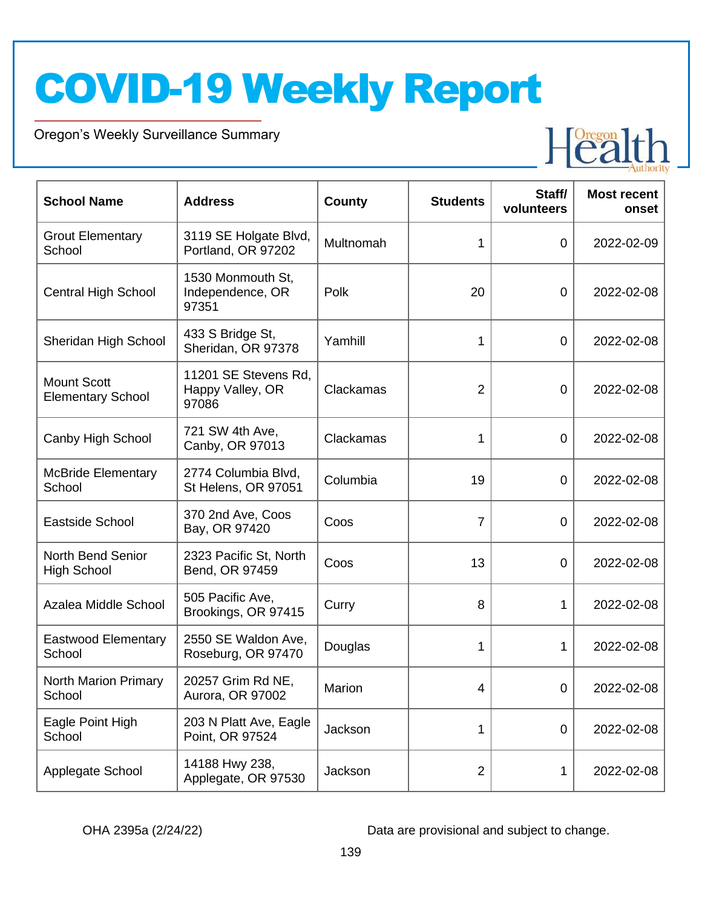Oregon's Weekly Surveillance Summary

Novel Coronavirus (COVID-19)



| <b>School Name</b>                             | <b>Address</b>                                    | <b>County</b> | <b>Students</b> | Staff/<br>volunteers | <b>Most recent</b><br>onset |
|------------------------------------------------|---------------------------------------------------|---------------|-----------------|----------------------|-----------------------------|
| <b>Grout Elementary</b><br>School              | 3119 SE Holgate Blvd,<br>Portland, OR 97202       | Multnomah     | 1               | $\overline{0}$       | 2022-02-09                  |
| <b>Central High School</b>                     | 1530 Monmouth St,<br>Independence, OR<br>97351    | Polk          | 20              | $\overline{0}$       | 2022-02-08                  |
| Sheridan High School                           | 433 S Bridge St,<br>Sheridan, OR 97378            | Yamhill       | 1               | $\overline{0}$       | 2022-02-08                  |
| <b>Mount Scott</b><br><b>Elementary School</b> | 11201 SE Stevens Rd,<br>Happy Valley, OR<br>97086 | Clackamas     | $\overline{2}$  | $\overline{0}$       | 2022-02-08                  |
| Canby High School                              | 721 SW 4th Ave,<br>Canby, OR 97013                | Clackamas     | 1               | $\overline{0}$       | 2022-02-08                  |
| <b>McBride Elementary</b><br>School            | 2774 Columbia Blvd,<br>St Helens, OR 97051        | Columbia      | 19              | $\overline{0}$       | 2022-02-08                  |
| <b>Eastside School</b>                         | 370 2nd Ave, Coos<br>Bay, OR 97420                | Coos          | $\overline{7}$  | $\overline{0}$       | 2022-02-08                  |
| <b>North Bend Senior</b><br><b>High School</b> | 2323 Pacific St, North<br>Bend, OR 97459          | Coos          | 13              | 0                    | 2022-02-08                  |
| Azalea Middle School                           | 505 Pacific Ave,<br>Brookings, OR 97415           | Curry         | 8               | 1                    | 2022-02-08                  |
| <b>Eastwood Elementary</b><br>School           | 2550 SE Waldon Ave,<br>Roseburg, OR 97470         | Douglas       | 1               | 1                    | 2022-02-08                  |
| <b>North Marion Primary</b><br>School          | 20257 Grim Rd NE,<br>Aurora, OR 97002             | Marion        | 4               | $\mathbf 0$          | 2022-02-08                  |
| Eagle Point High<br>School                     | 203 N Platt Ave, Eagle<br>Point, OR 97524         | Jackson       | 1               | $\mathbf 0$          | 2022-02-08                  |
| Applegate School                               | 14188 Hwy 238,<br>Applegate, OR 97530             | Jackson       | $\overline{2}$  | 1                    | 2022-02-08                  |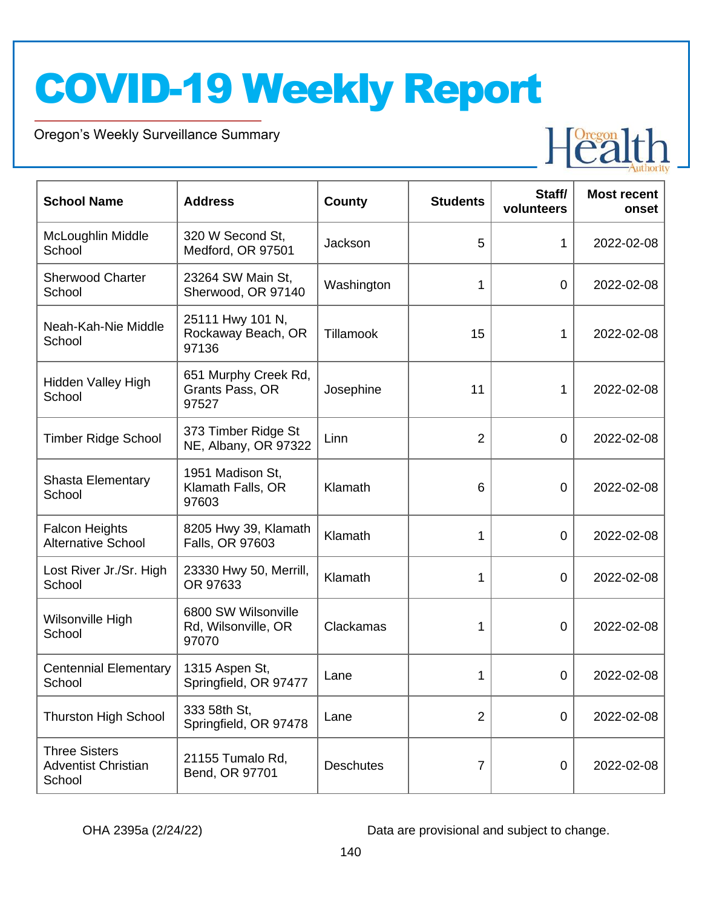Oregon's Weekly Surveillance Summary

Novel Coronavirus (COVID-19)



| <b>School Name</b>                                           | <b>Address</b>                                      | <b>County</b>    | <b>Students</b> | Staff/<br>volunteers | <b>Most recent</b><br>onset |
|--------------------------------------------------------------|-----------------------------------------------------|------------------|-----------------|----------------------|-----------------------------|
| McLoughlin Middle<br>School                                  | 320 W Second St,<br>Medford, OR 97501               | Jackson          | 5               | 1                    | 2022-02-08                  |
| <b>Sherwood Charter</b><br>School                            | 23264 SW Main St,<br>Sherwood, OR 97140             | Washington       | 1               | $\overline{0}$       | 2022-02-08                  |
| Neah-Kah-Nie Middle<br>School                                | 25111 Hwy 101 N,<br>Rockaway Beach, OR<br>97136     | <b>Tillamook</b> | 15              | 1                    | 2022-02-08                  |
| Hidden Valley High<br>School                                 | 651 Murphy Creek Rd,<br>Grants Pass, OR<br>97527    | Josephine        | 11              | 1                    | 2022-02-08                  |
| <b>Timber Ridge School</b>                                   | 373 Timber Ridge St<br>NE, Albany, OR 97322         | Linn             | $\overline{2}$  | $\mathbf 0$          | 2022-02-08                  |
| <b>Shasta Elementary</b><br>School                           | 1951 Madison St,<br>Klamath Falls, OR<br>97603      | Klamath          | 6               | $\overline{0}$       | 2022-02-08                  |
| <b>Falcon Heights</b><br><b>Alternative School</b>           | 8205 Hwy 39, Klamath<br>Falls, OR 97603             | Klamath          | 1               | $\overline{0}$       | 2022-02-08                  |
| Lost River Jr./Sr. High<br>School                            | 23330 Hwy 50, Merrill,<br>OR 97633                  | Klamath          | 1               | 0                    | 2022-02-08                  |
| Wilsonville High<br>School                                   | 6800 SW Wilsonville<br>Rd, Wilsonville, OR<br>97070 | Clackamas        | 1               | $\mathbf 0$          | 2022-02-08                  |
| <b>Centennial Elementary</b><br>School                       | 1315 Aspen St,<br>Springfield, OR 97477             | Lane             | 1               | $\overline{0}$       | 2022-02-08                  |
| <b>Thurston High School</b>                                  | 333 58th St,<br>Springfield, OR 97478               | Lane             | $\overline{2}$  | $\mathbf 0$          | 2022-02-08                  |
| <b>Three Sisters</b><br><b>Adventist Christian</b><br>School | 21155 Tumalo Rd,<br>Bend, OR 97701                  | <b>Deschutes</b> | 7               | $\mathbf 0$          | 2022-02-08                  |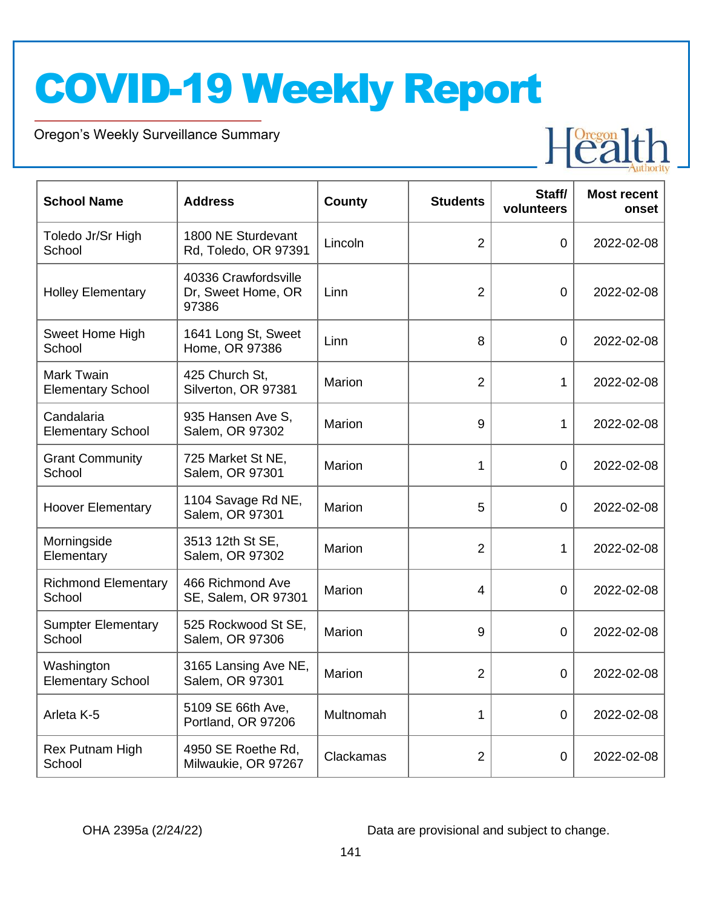Oregon's Weekly Surveillance Summary

Novel Coronavirus (COVID-19)



| <b>School Name</b>                     | <b>Address</b>                                      | <b>County</b> | <b>Students</b> | Staff/<br>volunteers | <b>Most recent</b><br>onset |
|----------------------------------------|-----------------------------------------------------|---------------|-----------------|----------------------|-----------------------------|
| Toledo Jr/Sr High<br>School            | 1800 NE Sturdevant<br>Rd, Toledo, OR 97391          | Lincoln       | $\overline{2}$  | $\overline{0}$       | 2022-02-08                  |
| <b>Holley Elementary</b>               | 40336 Crawfordsville<br>Dr, Sweet Home, OR<br>97386 | Linn          | $\overline{2}$  | $\overline{0}$       | 2022-02-08                  |
| Sweet Home High<br>School              | 1641 Long St, Sweet<br>Home, OR 97386               | Linn          | 8               | $\overline{0}$       | 2022-02-08                  |
| Mark Twain<br><b>Elementary School</b> | 425 Church St,<br>Silverton, OR 97381               | Marion        | $\overline{2}$  | 1                    | 2022-02-08                  |
| Candalaria<br><b>Elementary School</b> | 935 Hansen Ave S,<br>Salem, OR 97302                | Marion        | 9               | 1                    | 2022-02-08                  |
| <b>Grant Community</b><br>School       | 725 Market St NE,<br>Salem, OR 97301                | Marion        | 1               | 0                    | 2022-02-08                  |
| <b>Hoover Elementary</b>               | 1104 Savage Rd NE,<br>Salem, OR 97301               | Marion        | 5               | 0                    | 2022-02-08                  |
| Morningside<br>Elementary              | 3513 12th St SE,<br>Salem, OR 97302                 | Marion        | $\overline{2}$  | 1                    | 2022-02-08                  |
| <b>Richmond Elementary</b><br>School   | 466 Richmond Ave<br>SE, Salem, OR 97301             | Marion        | 4               | 0                    | 2022-02-08                  |
| <b>Sumpter Elementary</b><br>School    | 525 Rockwood St SE,<br>Salem, OR 97306              | Marion        | 9               | $\overline{0}$       | 2022-02-08                  |
| Washington<br><b>Elementary School</b> | 3165 Lansing Ave NE,<br>Salem, OR 97301             | Marion        | $\overline{2}$  | 0                    | 2022-02-08                  |
| Arleta K-5                             | 5109 SE 66th Ave,<br>Portland, OR 97206             | Multnomah     | 1               | $\overline{0}$       | 2022-02-08                  |
| Rex Putnam High<br>School              | 4950 SE Roethe Rd,<br>Milwaukie, OR 97267           | Clackamas     | $\overline{2}$  | 0                    | 2022-02-08                  |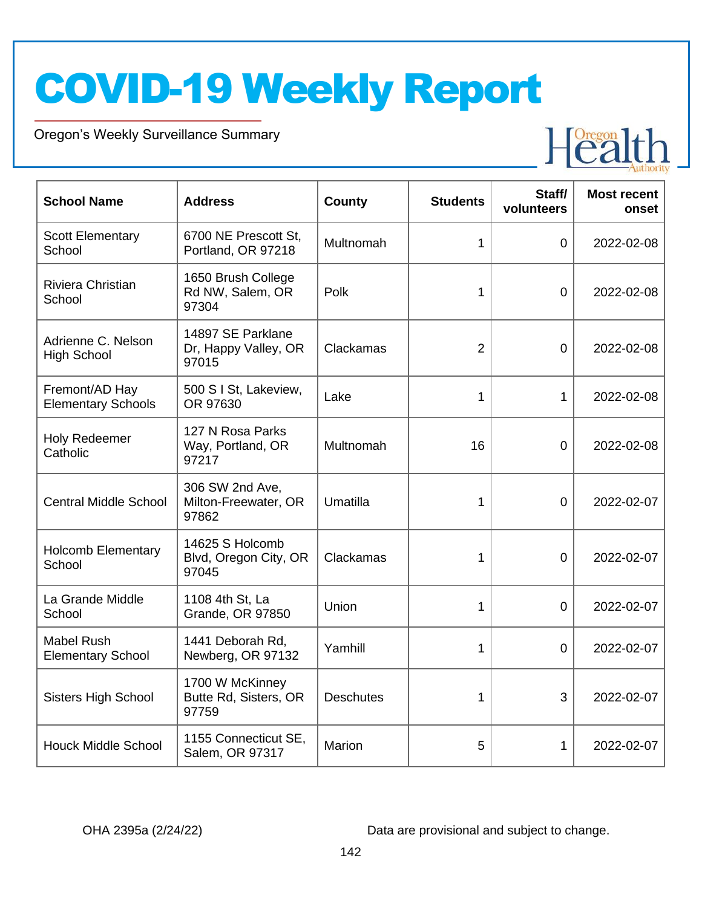Oregon's Weekly Surveillance Summary

Novel Coronavirus (COVID-19)



| <b>School Name</b>                            | <b>Address</b>                                     | <b>County</b>    | <b>Students</b> | Staff/<br>volunteers | <b>Most recent</b><br>onset |
|-----------------------------------------------|----------------------------------------------------|------------------|-----------------|----------------------|-----------------------------|
| <b>Scott Elementary</b><br>School             | 6700 NE Prescott St,<br>Portland, OR 97218         | Multnomah        | 1               | 0                    | 2022-02-08                  |
| Riviera Christian<br>School                   | 1650 Brush College<br>Rd NW, Salem, OR<br>97304    | Polk             | 1               | $\overline{0}$       | 2022-02-08                  |
| Adrienne C. Nelson<br><b>High School</b>      | 14897 SE Parklane<br>Dr, Happy Valley, OR<br>97015 | Clackamas        | $\overline{2}$  | $\overline{0}$       | 2022-02-08                  |
| Fremont/AD Hay<br><b>Elementary Schools</b>   | 500 S I St, Lakeview,<br>OR 97630                  | Lake             | 1               | $\mathbf 1$          | 2022-02-08                  |
| <b>Holy Redeemer</b><br>Catholic              | 127 N Rosa Parks<br>Way, Portland, OR<br>97217     | Multnomah        | 16              | 0                    | 2022-02-08                  |
| <b>Central Middle School</b>                  | 306 SW 2nd Ave,<br>Milton-Freewater, OR<br>97862   | Umatilla         | 1               | $\overline{0}$       | 2022-02-07                  |
| <b>Holcomb Elementary</b><br>School           | 14625 S Holcomb<br>Blvd, Oregon City, OR<br>97045  | Clackamas        | 1               | $\Omega$             | 2022-02-07                  |
| La Grande Middle<br>School                    | 1108 4th St, La<br>Grande, OR 97850                | Union            | 1               | $\overline{0}$       | 2022-02-07                  |
| <b>Mabel Rush</b><br><b>Elementary School</b> | 1441 Deborah Rd,<br>Newberg, OR 97132              | Yamhill          | 1               | $\mathbf 0$          | 2022-02-07                  |
| <b>Sisters High School</b>                    | 1700 W McKinney<br>Butte Rd, Sisters, OR<br>97759  | <b>Deschutes</b> | 1               | 3                    | 2022-02-07                  |
| <b>Houck Middle School</b>                    | 1155 Connecticut SE,<br>Salem, OR 97317            | Marion           | 5               | 1                    | 2022-02-07                  |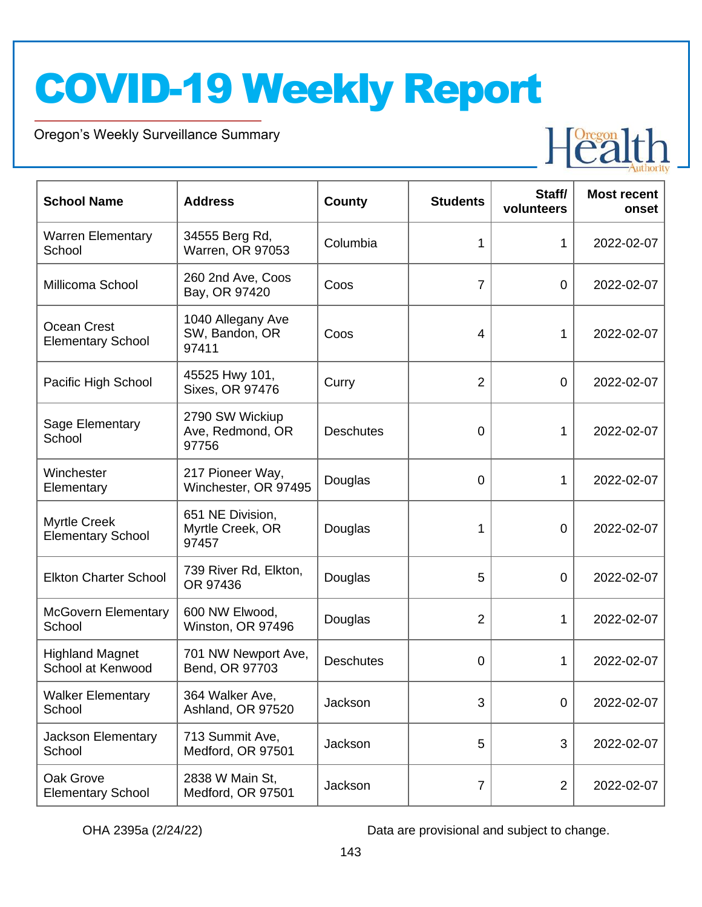Oregon's Weekly Surveillance Summary

Novel Coronavirus (COVID-19)



| <b>School Name</b>                              | <b>Address</b>                                | <b>County</b>    | <b>Students</b> | Staff/<br>volunteers | <b>Most recent</b><br>onset |
|-------------------------------------------------|-----------------------------------------------|------------------|-----------------|----------------------|-----------------------------|
| <b>Warren Elementary</b><br>School              | 34555 Berg Rd,<br>Warren, OR 97053            | Columbia         | 1               | 1                    | 2022-02-07                  |
| Millicoma School                                | 260 2nd Ave, Coos<br>Bay, OR 97420            | Coos             | $\overline{7}$  | $\mathbf 0$          | 2022-02-07                  |
| Ocean Crest<br><b>Elementary School</b>         | 1040 Allegany Ave<br>SW, Bandon, OR<br>97411  | Coos             | 4               | 1                    | 2022-02-07                  |
| Pacific High School                             | 45525 Hwy 101,<br>Sixes, OR 97476             | Curry            | $\overline{2}$  | 0                    | 2022-02-07                  |
| Sage Elementary<br>School                       | 2790 SW Wickiup<br>Ave, Redmond, OR<br>97756  | <b>Deschutes</b> | 0               | 1                    | 2022-02-07                  |
| Winchester<br>Elementary                        | 217 Pioneer Way,<br>Winchester, OR 97495      | Douglas          | 0               | 1                    | 2022-02-07                  |
| <b>Myrtle Creek</b><br><b>Elementary School</b> | 651 NE Division,<br>Myrtle Creek, OR<br>97457 | Douglas          | 1               | $\mathbf 0$          | 2022-02-07                  |
| <b>Elkton Charter School</b>                    | 739 River Rd, Elkton,<br>OR 97436             | Douglas          | 5               | 0                    | 2022-02-07                  |
| <b>McGovern Elementary</b><br>School            | 600 NW Elwood,<br>Winston, OR 97496           | Douglas          | $\overline{2}$  | 1                    | 2022-02-07                  |
| <b>Highland Magnet</b><br>School at Kenwood     | 701 NW Newport Ave,<br>Bend, OR 97703         | <b>Deschutes</b> | 0               | 1                    | 2022-02-07                  |
| Walker Elementary<br>School                     | 364 Walker Ave,<br>Ashland, OR 97520          | Jackson          | 3               | $\mathbf 0$          | 2022-02-07                  |
| Jackson Elementary<br>School                    | 713 Summit Ave,<br>Medford, OR 97501          | Jackson          | 5               | 3                    | 2022-02-07                  |
| Oak Grove<br><b>Elementary School</b>           | 2838 W Main St,<br>Medford, OR 97501          | Jackson          | $\overline{7}$  | $\overline{2}$       | 2022-02-07                  |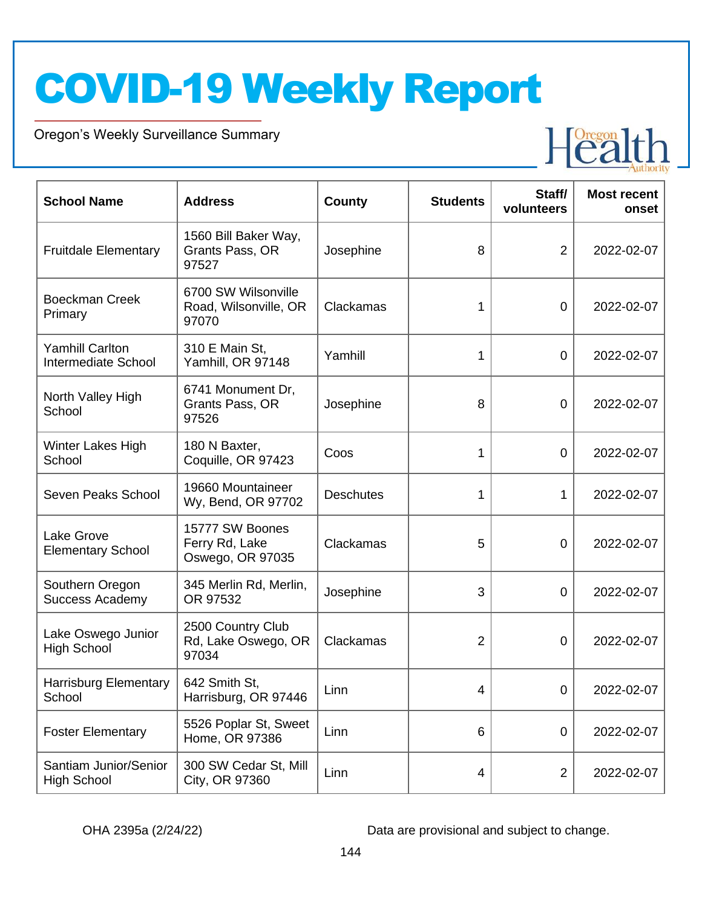Oregon's Weekly Surveillance Summary

Novel Coronavirus (COVID-19)



| <b>School Name</b>                                   | <b>Address</b>                                        | County           | <b>Students</b> | Staff/<br>volunteers | <b>Most recent</b><br>onset |
|------------------------------------------------------|-------------------------------------------------------|------------------|-----------------|----------------------|-----------------------------|
| <b>Fruitdale Elementary</b>                          | 1560 Bill Baker Way,<br>Grants Pass, OR<br>97527      | Josephine        | 8               | $\overline{2}$       | 2022-02-07                  |
| <b>Boeckman Creek</b><br>Primary                     | 6700 SW Wilsonville<br>Road, Wilsonville, OR<br>97070 | Clackamas        | 1               | $\overline{0}$       | 2022-02-07                  |
| <b>Yamhill Carlton</b><br><b>Intermediate School</b> | 310 E Main St,<br>Yamhill, OR 97148                   | Yamhill          | 1               | $\overline{0}$       | 2022-02-07                  |
| North Valley High<br>School                          | 6741 Monument Dr,<br>Grants Pass, OR<br>97526         | Josephine        | 8               | $\overline{0}$       | 2022-02-07                  |
| Winter Lakes High<br>School                          | 180 N Baxter,<br>Coquille, OR 97423                   | Coos             | 1               | 0                    | 2022-02-07                  |
| Seven Peaks School                                   | 19660 Mountaineer<br>Wy, Bend, OR 97702               | <b>Deschutes</b> | 1               | 1                    | 2022-02-07                  |
| Lake Grove<br><b>Elementary School</b>               | 15777 SW Boones<br>Ferry Rd, Lake<br>Oswego, OR 97035 | Clackamas        | 5               | 0                    | 2022-02-07                  |
| Southern Oregon<br><b>Success Academy</b>            | 345 Merlin Rd, Merlin,<br>OR 97532                    | Josephine        | 3               | 0                    | 2022-02-07                  |
| Lake Oswego Junior<br><b>High School</b>             | 2500 Country Club<br>Rd, Lake Oswego, OR<br>97034     | Clackamas        | $\overline{2}$  | 0                    | 2022-02-07                  |
| <b>Harrisburg Elementary</b><br>School               | 642 Smith St,<br>Harrisburg, OR 97446                 | Linn             | 4               | $\mathbf 0$          | 2022-02-07                  |
| <b>Foster Elementary</b>                             | 5526 Poplar St, Sweet<br>Home, OR 97386               | Linn             | 6               | 0                    | 2022-02-07                  |
| Santiam Junior/Senior<br><b>High School</b>          | 300 SW Cedar St, Mill<br>City, OR 97360               | Linn             | 4               | $\overline{2}$       | 2022-02-07                  |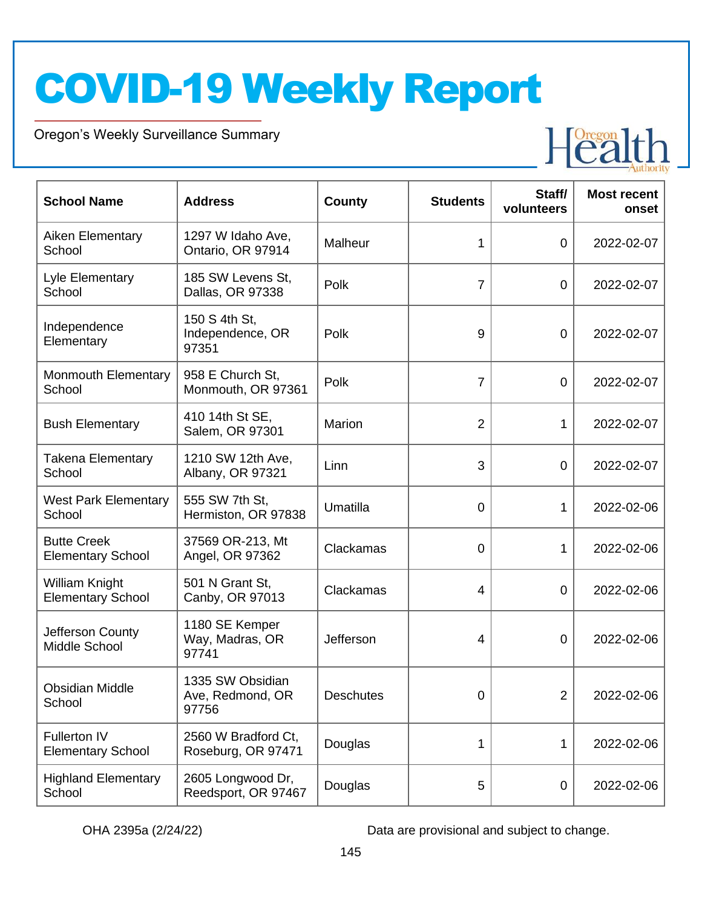Oregon's Weekly Surveillance Summary

Novel Coronavirus (COVID-19)



| <b>School Name</b>                             | <b>Address</b>                                | <b>County</b>    | <b>Students</b> | Staff/<br>volunteers | <b>Most recent</b><br>onset |
|------------------------------------------------|-----------------------------------------------|------------------|-----------------|----------------------|-----------------------------|
| Aiken Elementary<br>School                     | 1297 W Idaho Ave,<br>Ontario, OR 97914        | Malheur          | 1               | $\overline{0}$       | 2022-02-07                  |
| Lyle Elementary<br>School                      | 185 SW Levens St,<br>Dallas, OR 97338         | Polk             | $\overline{7}$  | $\overline{0}$       | 2022-02-07                  |
| Independence<br>Elementary                     | 150 S 4th St,<br>Independence, OR<br>97351    | Polk             | 9               | $\overline{0}$       | 2022-02-07                  |
| <b>Monmouth Elementary</b><br>School           | 958 E Church St,<br>Monmouth, OR 97361        | Polk             | $\overline{7}$  | $\overline{0}$       | 2022-02-07                  |
| <b>Bush Elementary</b>                         | 410 14th St SE,<br>Salem, OR 97301            | Marion           | $\overline{2}$  | 1                    | 2022-02-07                  |
| <b>Takena Elementary</b><br>School             | 1210 SW 12th Ave,<br>Albany, OR 97321         | Linn             | 3               | $\overline{0}$       | 2022-02-07                  |
| <b>West Park Elementary</b><br>School          | 555 SW 7th St,<br>Hermiston, OR 97838         | Umatilla         | 0               | 1                    | 2022-02-06                  |
| <b>Butte Creek</b><br><b>Elementary School</b> | 37569 OR-213, Mt<br>Angel, OR 97362           | Clackamas        | 0               | 1                    | 2022-02-06                  |
| William Knight<br><b>Elementary School</b>     | 501 N Grant St,<br>Canby, OR 97013            | Clackamas        | 4               | 0                    | 2022-02-06                  |
| Jefferson County<br>Middle School              | 1180 SE Kemper<br>Way, Madras, OR<br>97741    | Jefferson        | 4               | 0                    | 2022-02-06                  |
| <b>Obsidian Middle</b><br>School               | 1335 SW Obsidian<br>Ave, Redmond, OR<br>97756 | <b>Deschutes</b> | 0               | $\overline{2}$       | 2022-02-06                  |
| Fullerton IV<br><b>Elementary School</b>       | 2560 W Bradford Ct,<br>Roseburg, OR 97471     | Douglas          | 1               | 1                    | 2022-02-06                  |
| <b>Highland Elementary</b><br>School           | 2605 Longwood Dr,<br>Reedsport, OR 97467      | Douglas          | 5               | 0                    | 2022-02-06                  |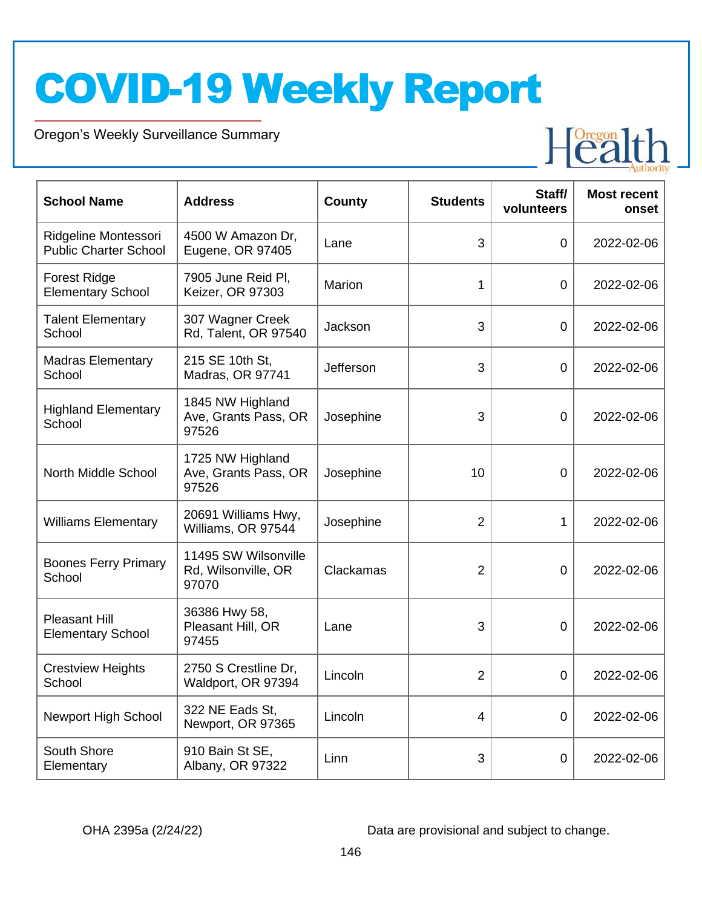Oregon's Weekly Surveillance Summary

Novel Coronavirus (COVID-19)



| <b>School Name</b>                                   | <b>Address</b>                                       | <b>County</b> | <b>Students</b> | Staff/<br>volunteers | <b>Most recent</b><br>onset |
|------------------------------------------------------|------------------------------------------------------|---------------|-----------------|----------------------|-----------------------------|
| Ridgeline Montessori<br><b>Public Charter School</b> | 4500 W Amazon Dr,<br>Eugene, OR 97405                | Lane          | 3               | $\overline{0}$       | 2022-02-06                  |
| <b>Forest Ridge</b><br><b>Elementary School</b>      | 7905 June Reid Pl,<br>Keizer, OR 97303               | Marion        | 1               | $\mathbf 0$          | 2022-02-06                  |
| <b>Talent Elementary</b><br>School                   | 307 Wagner Creek<br>Rd, Talent, OR 97540             | Jackson       | 3               | $\overline{0}$       | 2022-02-06                  |
| <b>Madras Elementary</b><br>School                   | 215 SE 10th St,<br>Madras, OR 97741                  | Jefferson     | 3               | $\overline{0}$       | 2022-02-06                  |
| <b>Highland Elementary</b><br>School                 | 1845 NW Highland<br>Ave, Grants Pass, OR<br>97526    | Josephine     | 3               | 0                    | 2022-02-06                  |
| North Middle School                                  | 1725 NW Highland<br>Ave, Grants Pass, OR<br>97526    | Josephine     | 10              | 0                    | 2022-02-06                  |
| <b>Williams Elementary</b>                           | 20691 Williams Hwy,<br>Williams, OR 97544            | Josephine     | $\overline{2}$  | 1                    | 2022-02-06                  |
| <b>Boones Ferry Primary</b><br>School                | 11495 SW Wilsonville<br>Rd, Wilsonville, OR<br>97070 | Clackamas     | 2               | 0                    | 2022-02-06                  |
| <b>Pleasant Hill</b><br><b>Elementary School</b>     | 36386 Hwy 58,<br>Pleasant Hill, OR<br>97455          | Lane          | 3               | 0                    | 2022-02-06                  |
| <b>Crestview Heights</b><br>School                   | 2750 S Crestline Dr,<br>Waldport, OR 97394           | Lincoln       | 2               | 0                    | 2022-02-06                  |
| Newport High School                                  | 322 NE Eads St,<br>Newport, OR 97365                 | Lincoln       | 4               | $\boldsymbol{0}$     | 2022-02-06                  |
| South Shore<br>Elementary                            | 910 Bain St SE,<br>Albany, OR 97322                  | Linn          | 3               | $\pmb{0}$            | 2022-02-06                  |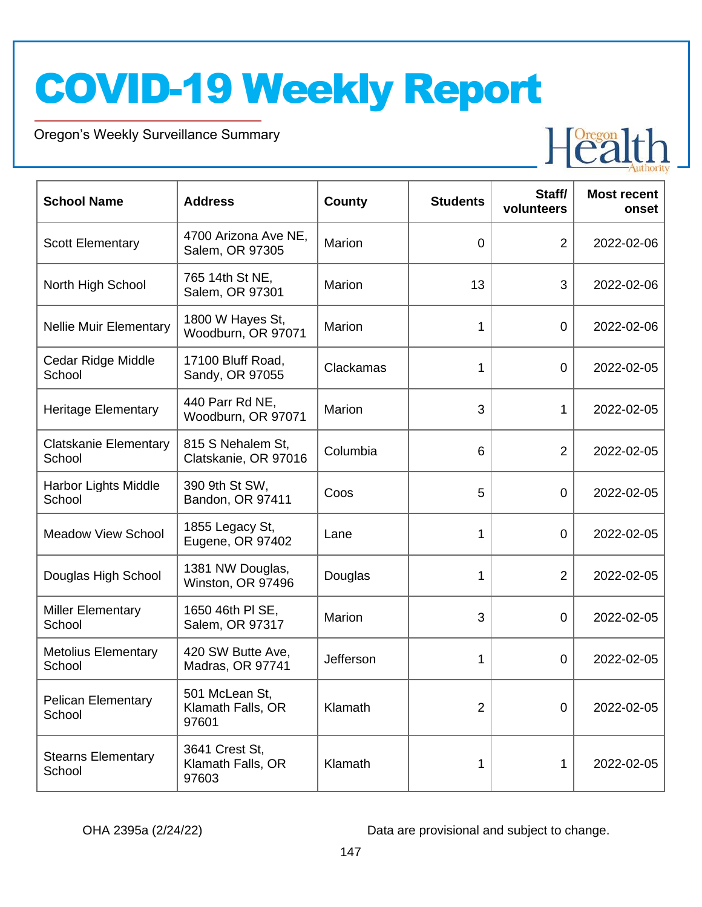Oregon's Weekly Surveillance Summary

Novel Coronavirus (COVID-19)



| <b>School Name</b>                     | <b>Address</b>                               | <b>County</b> | <b>Students</b> | Staff/<br>volunteers | <b>Most recent</b><br>onset |
|----------------------------------------|----------------------------------------------|---------------|-----------------|----------------------|-----------------------------|
| <b>Scott Elementary</b>                | 4700 Arizona Ave NE,<br>Salem, OR 97305      | Marion        | $\overline{0}$  | $\overline{2}$       | 2022-02-06                  |
| North High School                      | 765 14th St NE,<br>Salem, OR 97301           | Marion        | 13              | 3                    | 2022-02-06                  |
| <b>Nellie Muir Elementary</b>          | 1800 W Hayes St,<br>Woodburn, OR 97071       | Marion        | 1               | 0                    | 2022-02-06                  |
| Cedar Ridge Middle<br>School           | 17100 Bluff Road,<br>Sandy, OR 97055         | Clackamas     | 1               | 0                    | 2022-02-05                  |
| <b>Heritage Elementary</b>             | 440 Parr Rd NE,<br>Woodburn, OR 97071        | Marion        | 3               | 1                    | 2022-02-05                  |
| <b>Clatskanie Elementary</b><br>School | 815 S Nehalem St,<br>Clatskanie, OR 97016    | Columbia      | 6               | $\overline{2}$       | 2022-02-05                  |
| Harbor Lights Middle<br>School         | 390 9th St SW,<br>Bandon, OR 97411           | Coos          | 5               | 0                    | 2022-02-05                  |
| <b>Meadow View School</b>              | 1855 Legacy St,<br>Eugene, OR 97402          | Lane          | 1               | 0                    | 2022-02-05                  |
| Douglas High School                    | 1381 NW Douglas,<br>Winston, OR 97496        | Douglas       | 1               | $\overline{2}$       | 2022-02-05                  |
| <b>Miller Elementary</b><br>School     | 1650 46th PI SE,<br>Salem, OR 97317          | Marion        | 3               | 0                    | 2022-02-05                  |
| <b>Metolius Elementary</b><br>School   | 420 SW Butte Ave,<br>Madras, OR 97741        | Jefferson     | 1               | 0                    | 2022-02-05                  |
| <b>Pelican Elementary</b><br>School    | 501 McLean St,<br>Klamath Falls, OR<br>97601 | Klamath       | $\overline{2}$  | $\mathbf 0$          | 2022-02-05                  |
| <b>Stearns Elementary</b><br>School    | 3641 Crest St,<br>Klamath Falls, OR<br>97603 | Klamath       |                 | 1                    | 2022-02-05                  |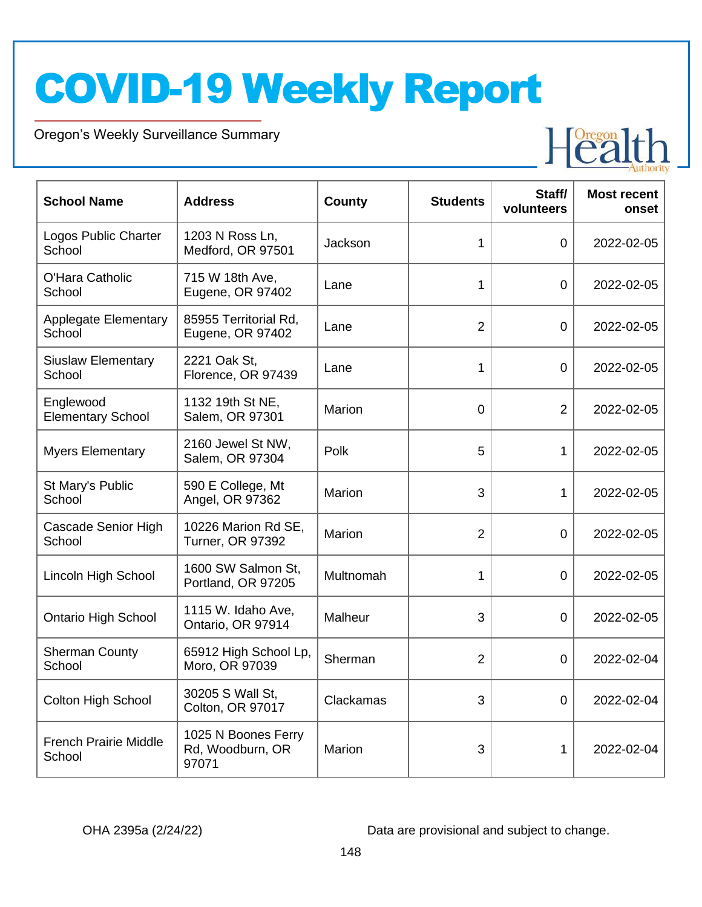Oregon's Weekly Surveillance Summary

Novel Coronavirus (COVID-19)



| <b>School Name</b>                     | <b>Address</b>                                   | County    | <b>Students</b> | Staff/<br>volunteers | <b>Most recent</b><br>onset |
|----------------------------------------|--------------------------------------------------|-----------|-----------------|----------------------|-----------------------------|
| Logos Public Charter<br>School         | 1203 N Ross Ln,<br>Medford, OR 97501             | Jackson   | 1               | 0                    | 2022-02-05                  |
| O'Hara Catholic<br>School              | 715 W 18th Ave,<br>Eugene, OR 97402              | Lane      | 1               | 0                    | 2022-02-05                  |
| <b>Applegate Elementary</b><br>School  | 85955 Territorial Rd,<br>Eugene, OR 97402        | Lane      | $\overline{2}$  | 0                    | 2022-02-05                  |
| <b>Siuslaw Elementary</b><br>School    | 2221 Oak St,<br>Florence, OR 97439               | Lane      | 1               | 0                    | 2022-02-05                  |
| Englewood<br><b>Elementary School</b>  | 1132 19th St NE,<br>Salem, OR 97301              | Marion    | 0               | $\overline{2}$       | 2022-02-05                  |
| <b>Myers Elementary</b>                | 2160 Jewel St NW,<br>Salem, OR 97304             | Polk      | 5               | $\mathbf{1}$         | 2022-02-05                  |
| St Mary's Public<br>School             | 590 E College, Mt<br>Angel, OR 97362             | Marion    | 3               | 1                    | 2022-02-05                  |
| Cascade Senior High<br>School          | 10226 Marion Rd SE,<br><b>Turner, OR 97392</b>   | Marion    | $\overline{2}$  | 0                    | 2022-02-05                  |
| Lincoln High School                    | 1600 SW Salmon St.<br>Portland, OR 97205         | Multnomah | 1               | $\mathbf 0$          | 2022-02-05                  |
| <b>Ontario High School</b>             | 1115 W. Idaho Ave,<br>Ontario, OR 97914          | Malheur   | 3               | $\overline{0}$       | 2022-02-05                  |
| <b>Sherman County</b><br>School        | 65912 High School Lp,<br>Moro, OR 97039          | Sherman   | $\overline{2}$  | 0                    | 2022-02-04                  |
| Colton High School                     | 30205 S Wall St,<br>Colton, OR 97017             | Clackamas | 3               | 0                    | 2022-02-04                  |
| <b>French Prairie Middle</b><br>School | 1025 N Boones Ferry<br>Rd, Woodburn, OR<br>97071 | Marion    | 3               | 1                    | 2022-02-04                  |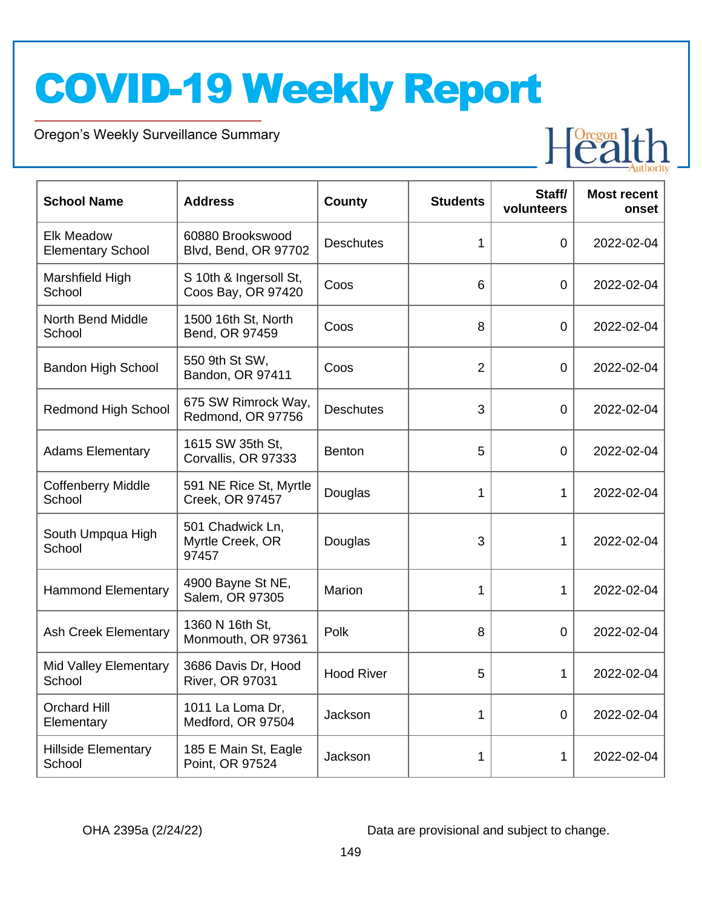Oregon's Weekly Surveillance Summary

Novel Coronavirus (COVID-19)



| <b>School Name</b>                            | <b>Address</b>                                | <b>County</b>     | <b>Students</b> | Staff/<br>volunteers | <b>Most recent</b><br>onset |
|-----------------------------------------------|-----------------------------------------------|-------------------|-----------------|----------------------|-----------------------------|
| <b>Elk Meadow</b><br><b>Elementary School</b> | 60880 Brookswood<br>Blvd, Bend, OR 97702      | <b>Deschutes</b>  | 1               | $\mathbf 0$          | 2022-02-04                  |
| Marshfield High<br>School                     | S 10th & Ingersoll St,<br>Coos Bay, OR 97420  | Coos              | 6               | $\mathbf 0$          | 2022-02-04                  |
| North Bend Middle<br>School                   | 1500 16th St, North<br>Bend, OR 97459         | Coos              | 8               | $\mathbf 0$          | 2022-02-04                  |
| <b>Bandon High School</b>                     | 550 9th St SW,<br>Bandon, OR 97411            | Coos              | $\overline{2}$  | $\mathbf 0$          | 2022-02-04                  |
| <b>Redmond High School</b>                    | 675 SW Rimrock Way,<br>Redmond, OR 97756      | <b>Deschutes</b>  | 3               | $\mathbf 0$          | 2022-02-04                  |
| <b>Adams Elementary</b>                       | 1615 SW 35th St,<br>Corvallis, OR 97333       | <b>Benton</b>     | 5               | $\mathbf 0$          | 2022-02-04                  |
| <b>Coffenberry Middle</b><br>School           | 591 NE Rice St, Myrtle<br>Creek, OR 97457     | Douglas           | 1               | 1                    | 2022-02-04                  |
| South Umpqua High<br>School                   | 501 Chadwick Ln,<br>Myrtle Creek, OR<br>97457 | Douglas           | 3               | 1                    | 2022-02-04                  |
| <b>Hammond Elementary</b>                     | 4900 Bayne St NE,<br>Salem, OR 97305          | Marion            | 1               | 1                    | 2022-02-04                  |
| Ash Creek Elementary                          | 1360 N 16th St,<br>Monmouth, OR 97361         | Polk              | 8               | $\overline{0}$       | 2022-02-04                  |
| Mid Valley Elementary<br>School               | 3686 Davis Dr, Hood<br><b>River, OR 97031</b> | <b>Hood River</b> | 5               | 1                    | 2022-02-04                  |
| <b>Orchard Hill</b><br>Elementary             | 1011 La Loma Dr,<br>Medford, OR 97504         | Jackson           | 1               | $\mathbf 0$          | 2022-02-04                  |
| <b>Hillside Elementary</b><br>School          | 185 E Main St, Eagle<br>Point, OR 97524       | Jackson           | 1               | 1                    | 2022-02-04                  |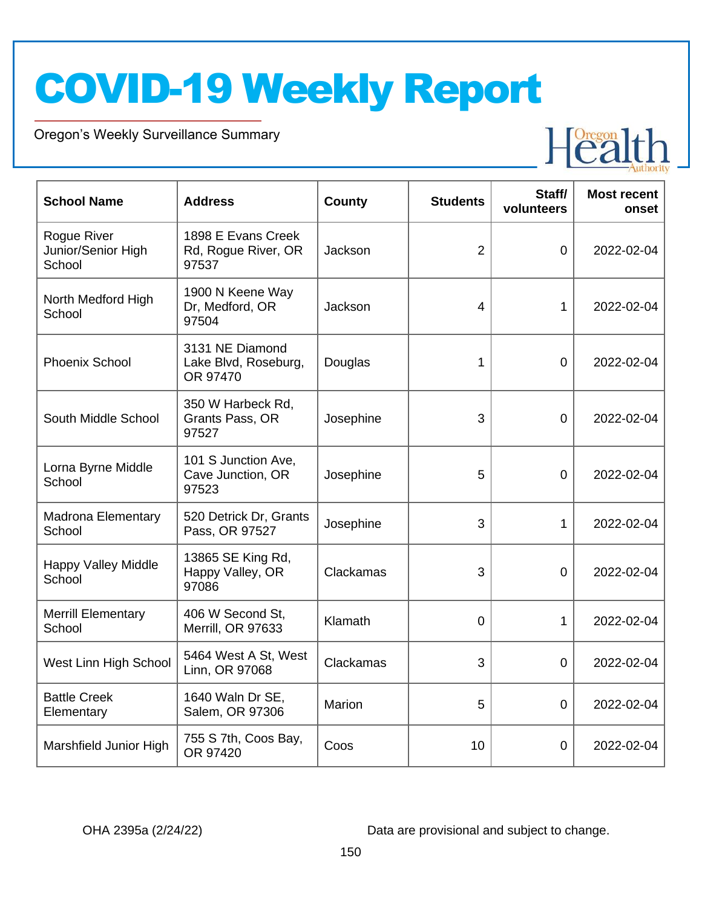Oregon's Weekly Surveillance Summary

Novel Coronavirus (COVID-19)



| <b>School Name</b>                          | <b>Address</b>                                      | County    | <b>Students</b> | Staff/<br>volunteers | <b>Most recent</b><br>onset |
|---------------------------------------------|-----------------------------------------------------|-----------|-----------------|----------------------|-----------------------------|
| Rogue River<br>Junior/Senior High<br>School | 1898 E Evans Creek<br>Rd, Rogue River, OR<br>97537  | Jackson   | $\overline{2}$  | $\overline{0}$       | 2022-02-04                  |
| North Medford High<br>School                | 1900 N Keene Way<br>Dr, Medford, OR<br>97504        | Jackson   | $\overline{4}$  | 1                    | 2022-02-04                  |
| <b>Phoenix School</b>                       | 3131 NE Diamond<br>Lake Blvd, Roseburg,<br>OR 97470 | Douglas   | 1               | $\overline{0}$       | 2022-02-04                  |
| South Middle School                         | 350 W Harbeck Rd,<br>Grants Pass, OR<br>97527       | Josephine | 3               | $\overline{0}$       | 2022-02-04                  |
| Lorna Byrne Middle<br>School                | 101 S Junction Ave,<br>Cave Junction, OR<br>97523   | Josephine | 5               | $\overline{0}$       | 2022-02-04                  |
| <b>Madrona Elementary</b><br>School         | 520 Detrick Dr, Grants<br>Pass, OR 97527            | Josephine | 3               | 1                    | 2022-02-04                  |
| <b>Happy Valley Middle</b><br>School        | 13865 SE King Rd,<br>Happy Valley, OR<br>97086      | Clackamas | 3               | $\mathbf 0$          | 2022-02-04                  |
| <b>Merrill Elementary</b><br>School         | 406 W Second St,<br>Merrill, OR 97633               | Klamath   | $\overline{0}$  | 1                    | 2022-02-04                  |
| West Linn High School                       | 5464 West A St, West<br>Linn, OR 97068              | Clackamas | 3               | $\overline{0}$       | 2022-02-04                  |
| <b>Battle Creek</b><br>Elementary           | 1640 Waln Dr SE,<br>Salem, OR 97306                 | Marion    | 5               | $\overline{0}$       | 2022-02-04                  |
| Marshfield Junior High                      | 755 S 7th, Coos Bay,<br>OR 97420                    | Coos      | 10              | 0                    | 2022-02-04                  |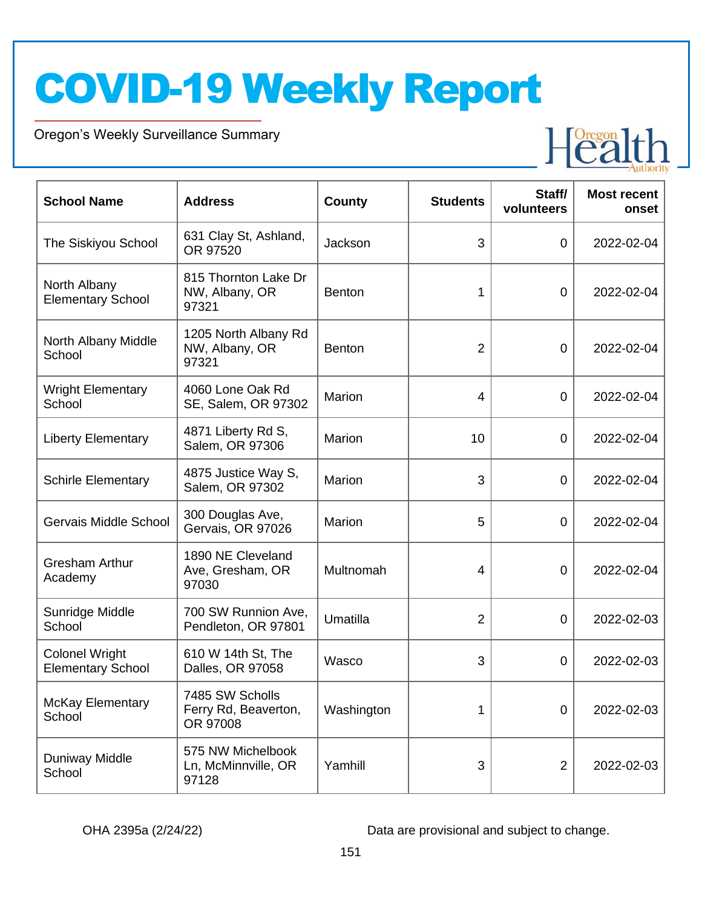Oregon's Weekly Surveillance Summary

Novel Coronavirus (COVID-19)



| <b>School Name</b>                                | <b>Address</b>                                      | <b>County</b> | <b>Students</b> | Staff/<br>volunteers | <b>Most recent</b><br>onset |
|---------------------------------------------------|-----------------------------------------------------|---------------|-----------------|----------------------|-----------------------------|
| The Siskiyou School                               | 631 Clay St, Ashland,<br>OR 97520                   | Jackson       | 3               | $\mathbf 0$          | 2022-02-04                  |
| North Albany<br><b>Elementary School</b>          | 815 Thornton Lake Dr<br>NW, Albany, OR<br>97321     | <b>Benton</b> | 1               | 0                    | 2022-02-04                  |
| North Albany Middle<br>School                     | 1205 North Albany Rd<br>NW, Albany, OR<br>97321     | <b>Benton</b> | 2               | $\mathbf 0$          | 2022-02-04                  |
| <b>Wright Elementary</b><br>School                | 4060 Lone Oak Rd<br>SE, Salem, OR 97302             | Marion        | 4               | $\mathbf 0$          | 2022-02-04                  |
| <b>Liberty Elementary</b>                         | 4871 Liberty Rd S,<br>Salem, OR 97306               | Marion        | 10              | 0                    | 2022-02-04                  |
| <b>Schirle Elementary</b>                         | 4875 Justice Way S,<br>Salem, OR 97302              | Marion        | 3               | 0                    | 2022-02-04                  |
| Gervais Middle School                             | 300 Douglas Ave,<br>Gervais, OR 97026               | Marion        | 5               | 0                    | 2022-02-04                  |
| <b>Gresham Arthur</b><br>Academy                  | 1890 NE Cleveland<br>Ave, Gresham, OR<br>97030      | Multnomah     | 4               | 0                    | 2022-02-04                  |
| Sunridge Middle<br>School                         | 700 SW Runnion Ave,<br>Pendleton, OR 97801          | Umatilla      | 2               | 0                    | 2022-02-03                  |
| <b>Colonel Wright</b><br><b>Elementary School</b> | 610 W 14th St, The<br>Dalles, OR 97058              | Wasco         | 3               | 0                    | 2022-02-03                  |
| <b>McKay Elementary</b><br>School                 | 7485 SW Scholls<br>Ferry Rd, Beaverton,<br>OR 97008 | Washington    | 1               | $\mathbf 0$          | 2022-02-03                  |
| Duniway Middle<br>School                          | 575 NW Michelbook<br>Ln, McMinnville, OR<br>97128   | Yamhill       | 3               | $\overline{2}$       | 2022-02-03                  |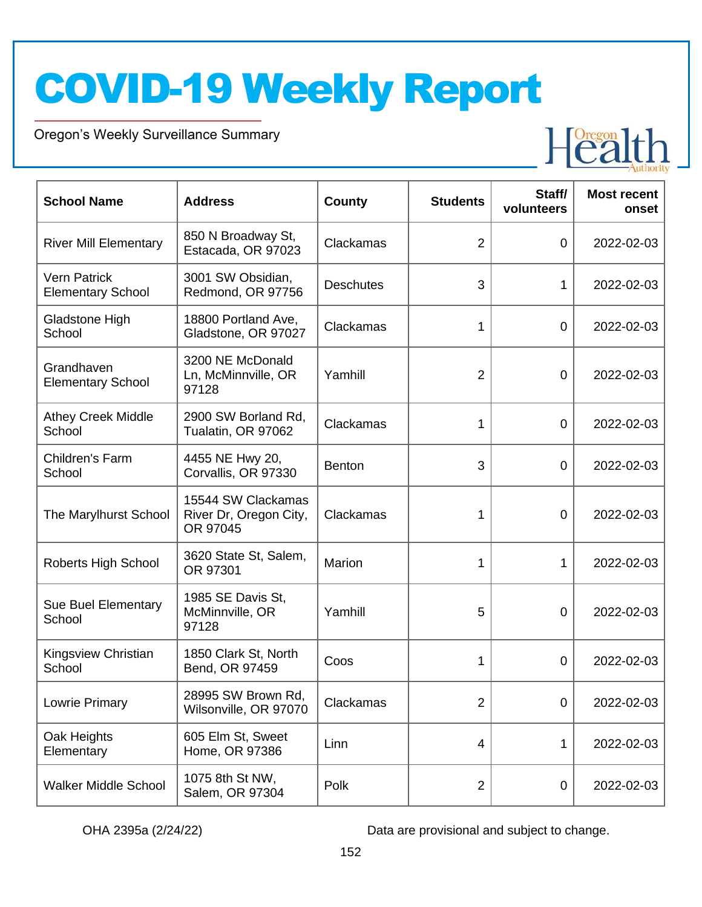Oregon's Weekly Surveillance Summary

Novel Coronavirus (COVID-19)



| <b>School Name</b>                              | <b>Address</b>                                           | <b>County</b>    | <b>Students</b> | Staff/<br>volunteers | <b>Most recent</b><br>onset |
|-------------------------------------------------|----------------------------------------------------------|------------------|-----------------|----------------------|-----------------------------|
| <b>River Mill Elementary</b>                    | 850 N Broadway St,<br>Estacada, OR 97023                 | Clackamas        | $\overline{2}$  | $\overline{0}$       | 2022-02-03                  |
| <b>Vern Patrick</b><br><b>Elementary School</b> | 3001 SW Obsidian,<br>Redmond, OR 97756                   | <b>Deschutes</b> | 3               | 1                    | 2022-02-03                  |
| Gladstone High<br>School                        | 18800 Portland Ave,<br>Gladstone, OR 97027               | Clackamas        | 1               | $\overline{0}$       | 2022-02-03                  |
| Grandhaven<br><b>Elementary School</b>          | 3200 NE McDonald<br>Ln, McMinnville, OR<br>97128         | Yamhill          | $\overline{2}$  | $\overline{0}$       | 2022-02-03                  |
| <b>Athey Creek Middle</b><br>School             | 2900 SW Borland Rd,<br>Tualatin, OR 97062                | Clackamas        | 1               | $\overline{0}$       | 2022-02-03                  |
| Children's Farm<br>School                       | 4455 NE Hwy 20,<br>Corvallis, OR 97330                   | <b>Benton</b>    | 3               | 0                    | 2022-02-03                  |
| The Marylhurst School                           | 15544 SW Clackamas<br>River Dr, Oregon City,<br>OR 97045 | Clackamas        | 1               | 0                    | 2022-02-03                  |
| Roberts High School                             | 3620 State St, Salem,<br>OR 97301                        | Marion           | 1               | 1                    | 2022-02-03                  |
| Sue Buel Elementary<br>School                   | 1985 SE Davis St,<br>McMinnville, OR<br>97128            | Yamhill          | 5               | 0                    | 2022-02-03                  |
| Kingsview Christian<br>School                   | 1850 Clark St, North<br>Bend, OR 97459                   | Coos             | 1               | 0                    | 2022-02-03                  |
| Lowrie Primary                                  | 28995 SW Brown Rd,<br>Wilsonville, OR 97070              | Clackamas        | $\overline{2}$  | 0                    | 2022-02-03                  |
| Oak Heights<br>Elementary                       | 605 Elm St, Sweet<br>Home, OR 97386                      | Linn             | $\overline{4}$  | 1                    | 2022-02-03                  |
| <b>Walker Middle School</b>                     | 1075 8th St NW,<br>Salem, OR 97304                       | Polk             | $\overline{2}$  | 0                    | 2022-02-03                  |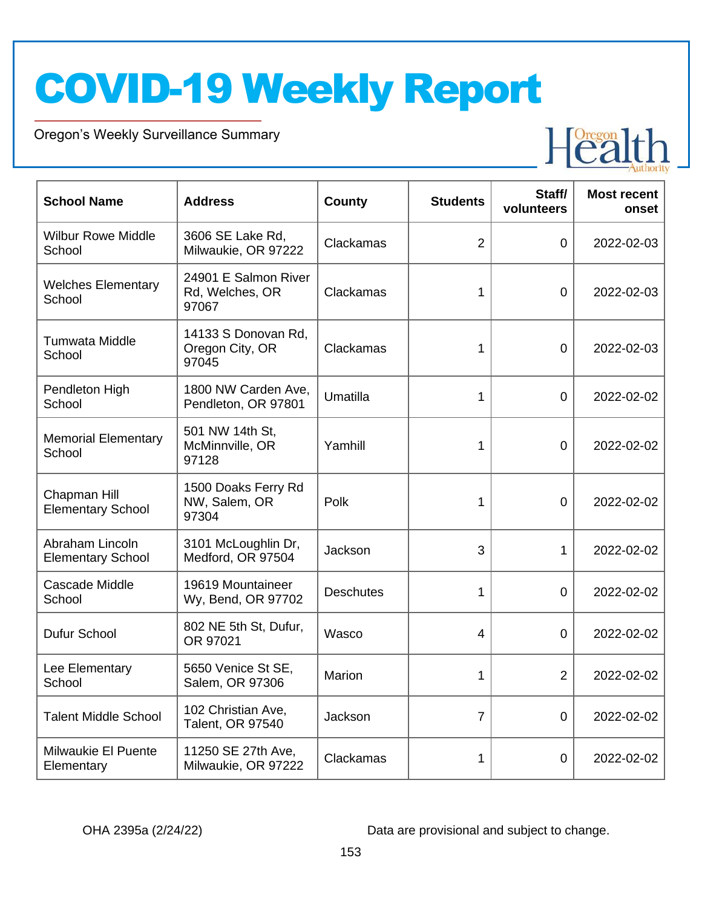Oregon's Weekly Surveillance Summary

Novel Coronavirus (COVID-19)



| <b>School Name</b>                          | <b>Address</b>                                   | <b>County</b>    | <b>Students</b> | Staff/<br>volunteers | <b>Most recent</b><br>onset |
|---------------------------------------------|--------------------------------------------------|------------------|-----------------|----------------------|-----------------------------|
| <b>Wilbur Rowe Middle</b><br>School         | 3606 SE Lake Rd,<br>Milwaukie, OR 97222          | Clackamas        | $\overline{2}$  | $\overline{0}$       | 2022-02-03                  |
| <b>Welches Elementary</b><br>School         | 24901 E Salmon River<br>Rd, Welches, OR<br>97067 | Clackamas        | 1               | $\mathbf 0$          | 2022-02-03                  |
| Tumwata Middle<br>School                    | 14133 S Donovan Rd,<br>Oregon City, OR<br>97045  | Clackamas        | 1               | $\mathbf 0$          | 2022-02-03                  |
| Pendleton High<br>School                    | 1800 NW Carden Ave,<br>Pendleton, OR 97801       | Umatilla         | 1               | $\overline{0}$       | 2022-02-02                  |
| <b>Memorial Elementary</b><br>School        | 501 NW 14th St,<br>McMinnville, OR<br>97128      | Yamhill          | 1               | 0                    | 2022-02-02                  |
| Chapman Hill<br><b>Elementary School</b>    | 1500 Doaks Ferry Rd<br>NW, Salem, OR<br>97304    | Polk             | 1               | 0                    | 2022-02-02                  |
| Abraham Lincoln<br><b>Elementary School</b> | 3101 McLoughlin Dr,<br>Medford, OR 97504         | Jackson          | 3               | 1                    | 2022-02-02                  |
| <b>Cascade Middle</b><br>School             | 19619 Mountaineer<br>Wy, Bend, OR 97702          | <b>Deschutes</b> | 1               | $\overline{0}$       | 2022-02-02                  |
| Dufur School                                | 802 NE 5th St, Dufur,<br>OR 97021                | Wasco            | $\overline{4}$  | 0                    | 2022-02-02                  |
| Lee Elementary<br>School                    | 5650 Venice St SE,<br>Salem, OR 97306            | Marion           | 1               | $\overline{2}$       | 2022-02-02                  |
| <b>Talent Middle School</b>                 | 102 Christian Ave,<br>Talent, OR 97540           | Jackson          | $\overline{7}$  | $\mathbf 0$          | 2022-02-02                  |
| Milwaukie El Puente<br>Elementary           | 11250 SE 27th Ave,<br>Milwaukie, OR 97222        | Clackamas        | 1               | $\mathbf 0$          | 2022-02-02                  |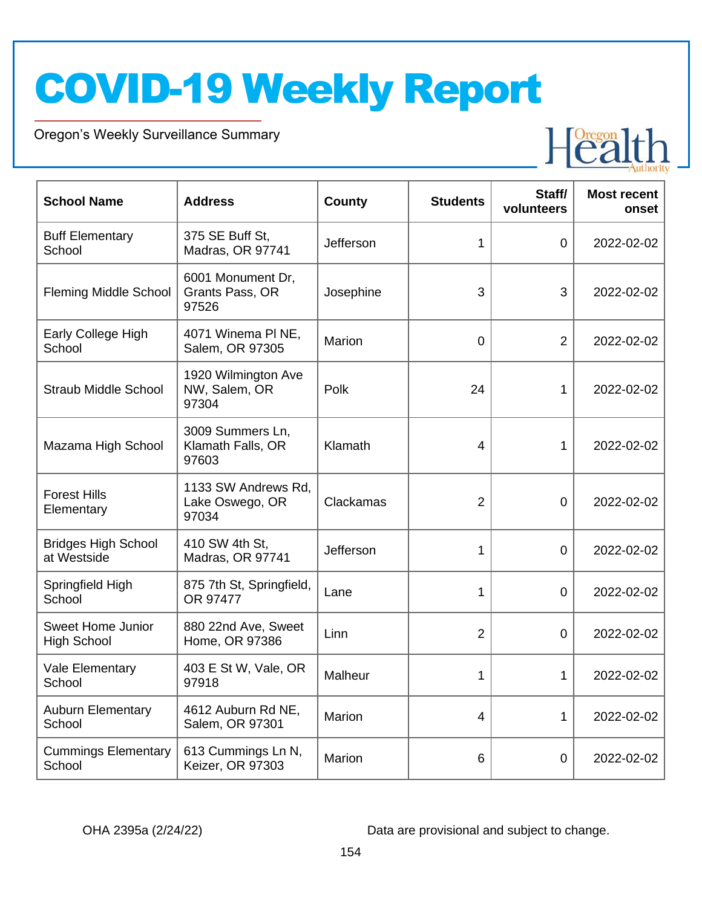Oregon's Weekly Surveillance Summary

Novel Coronavirus (COVID-19)



| <b>School Name</b>                             | <b>Address</b>                                  | <b>County</b> | <b>Students</b> | Staff/<br>volunteers | <b>Most recent</b><br>onset |
|------------------------------------------------|-------------------------------------------------|---------------|-----------------|----------------------|-----------------------------|
| <b>Buff Elementary</b><br>School               | 375 SE Buff St,<br>Madras, OR 97741             | Jefferson     | 1               | $\overline{0}$       | 2022-02-02                  |
| <b>Fleming Middle School</b>                   | 6001 Monument Dr,<br>Grants Pass, OR<br>97526   | Josephine     | 3               | 3                    | 2022-02-02                  |
| Early College High<br>School                   | 4071 Winema PI NE,<br>Salem, OR 97305           | Marion        | $\mathbf 0$     | 2                    | 2022-02-02                  |
| <b>Straub Middle School</b>                    | 1920 Wilmington Ave<br>NW, Salem, OR<br>97304   | Polk          | 24              | 1                    | 2022-02-02                  |
| Mazama High School                             | 3009 Summers Ln,<br>Klamath Falls, OR<br>97603  | Klamath       | 4               | 1                    | 2022-02-02                  |
| <b>Forest Hills</b><br>Elementary              | 1133 SW Andrews Rd,<br>Lake Oswego, OR<br>97034 | Clackamas     | $\overline{2}$  | 0                    | 2022-02-02                  |
| <b>Bridges High School</b><br>at Westside      | 410 SW 4th St,<br>Madras, OR 97741              | Jefferson     | 1               | $\overline{0}$       | 2022-02-02                  |
| Springfield High<br>School                     | 875 7th St, Springfield,<br>OR 97477            | Lane          | 1               | 0                    | 2022-02-02                  |
| <b>Sweet Home Junior</b><br><b>High School</b> | 880 22nd Ave, Sweet<br>Home, OR 97386           | Linn          | $\overline{2}$  | 0                    | 2022-02-02                  |
| Vale Elementary<br>School                      | 403 E St W, Vale, OR<br>97918                   | Malheur       | 1               | 1                    | 2022-02-02                  |
| <b>Auburn Elementary</b><br>School             | 4612 Auburn Rd NE,<br>Salem, OR 97301           | Marion        | 4               | 1                    | 2022-02-02                  |
| <b>Cummings Elementary</b><br>School           | 613 Cummings Ln N,<br>Keizer, OR 97303          | Marion        | 6               | 0                    | 2022-02-02                  |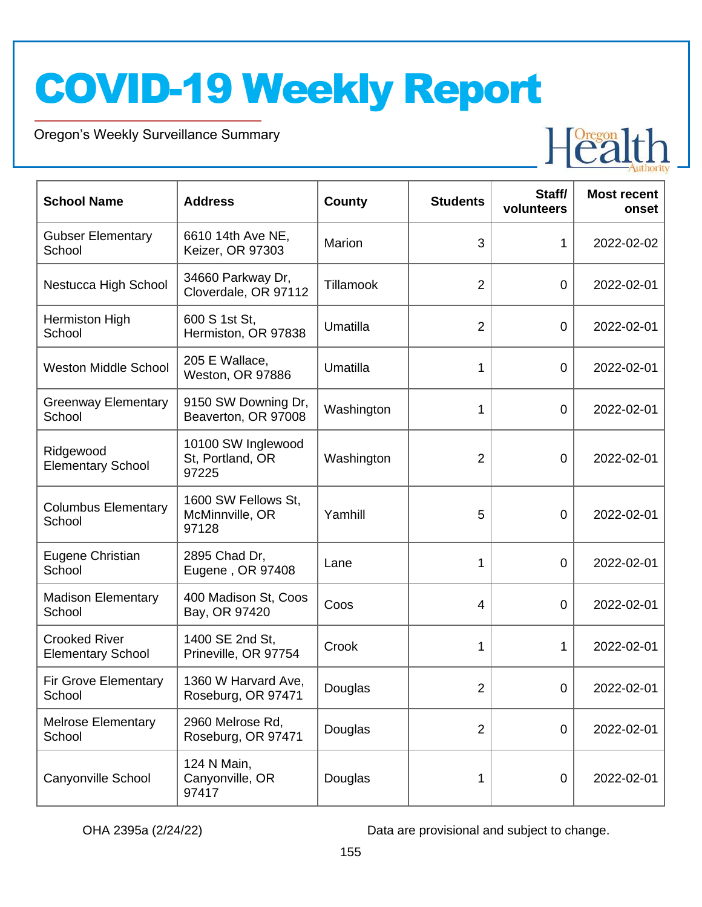Oregon's Weekly Surveillance Summary

Novel Coronavirus (COVID-19)



| <b>School Name</b>                               | <b>Address</b>                                  | <b>County</b> | <b>Students</b> | Staff/<br>volunteers | <b>Most recent</b><br>onset |
|--------------------------------------------------|-------------------------------------------------|---------------|-----------------|----------------------|-----------------------------|
| <b>Gubser Elementary</b><br>School               | 6610 14th Ave NE,<br>Keizer, OR 97303           | Marion        | 3               | 1                    | 2022-02-02                  |
| Nestucca High School                             | 34660 Parkway Dr,<br>Cloverdale, OR 97112       | Tillamook     | $\overline{2}$  | 0                    | 2022-02-01                  |
| Hermiston High<br>School                         | 600 S 1st St,<br>Hermiston, OR 97838            | Umatilla      | $\overline{2}$  | 0                    | 2022-02-01                  |
| <b>Weston Middle School</b>                      | 205 E Wallace,<br>Weston, OR 97886              | Umatilla      | 1               | $\mathbf 0$          | 2022-02-01                  |
| <b>Greenway Elementary</b><br>School             | 9150 SW Downing Dr,<br>Beaverton, OR 97008      | Washington    | 1               | $\mathbf 0$          | 2022-02-01                  |
| Ridgewood<br><b>Elementary School</b>            | 10100 SW Inglewood<br>St, Portland, OR<br>97225 | Washington    | $\overline{2}$  | 0                    | 2022-02-01                  |
| <b>Columbus Elementary</b><br>School             | 1600 SW Fellows St,<br>McMinnville, OR<br>97128 | Yamhill       | 5               | $\mathbf 0$          | 2022-02-01                  |
| Eugene Christian<br>School                       | 2895 Chad Dr,<br>Eugene, OR 97408               | Lane          | 1               | 0                    | 2022-02-01                  |
| <b>Madison Elementary</b><br>School              | 400 Madison St, Coos<br>Bay, OR 97420           | Coos          | 4               | $\overline{0}$       | 2022-02-01                  |
| <b>Crooked River</b><br><b>Elementary School</b> | 1400 SE 2nd St,<br>Prineville, OR 97754         | Crook         | 1               | 1                    | 2022-02-01                  |
| <b>Fir Grove Elementary</b><br>School            | 1360 W Harvard Ave,<br>Roseburg, OR 97471       | Douglas       | $\overline{c}$  | 0                    | 2022-02-01                  |
| <b>Melrose Elementary</b><br>School              | 2960 Melrose Rd,<br>Roseburg, OR 97471          | Douglas       | $\overline{2}$  | $\mathbf 0$          | 2022-02-01                  |
| Canyonville School                               | 124 N Main,<br>Canyonville, OR<br>97417         | Douglas       | 1               | $\mathbf 0$          | 2022-02-01                  |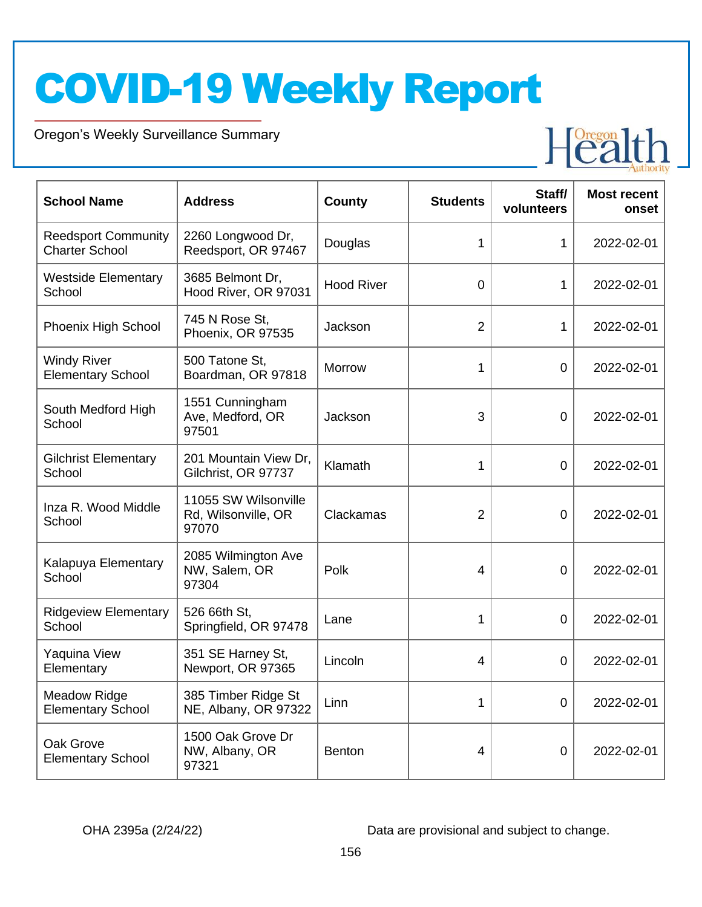Oregon's Weekly Surveillance Summary

Novel Coronavirus (COVID-19)



| <b>School Name</b>                                  | <b>Address</b>                                       | <b>County</b>     | <b>Students</b> | Staff/<br>volunteers | <b>Most recent</b><br>onset |
|-----------------------------------------------------|------------------------------------------------------|-------------------|-----------------|----------------------|-----------------------------|
| <b>Reedsport Community</b><br><b>Charter School</b> | 2260 Longwood Dr,<br>Reedsport, OR 97467             | Douglas           | 1               | 1                    | 2022-02-01                  |
| <b>Westside Elementary</b><br>School                | 3685 Belmont Dr,<br>Hood River, OR 97031             | <b>Hood River</b> | $\mathbf 0$     | 1                    | 2022-02-01                  |
| Phoenix High School                                 | 745 N Rose St,<br>Phoenix, OR 97535                  | Jackson           | $\overline{2}$  | 1                    | 2022-02-01                  |
| <b>Windy River</b><br><b>Elementary School</b>      | 500 Tatone St,<br>Boardman, OR 97818                 | <b>Morrow</b>     | 1               | $\overline{0}$       | 2022-02-01                  |
| South Medford High<br>School                        | 1551 Cunningham<br>Ave, Medford, OR<br>97501         | Jackson           | 3               | 0                    | 2022-02-01                  |
| <b>Gilchrist Elementary</b><br>School               | 201 Mountain View Dr,<br>Gilchrist, OR 97737         | Klamath           | 1               | $\overline{0}$       | 2022-02-01                  |
| Inza R. Wood Middle<br>School                       | 11055 SW Wilsonville<br>Rd, Wilsonville, OR<br>97070 | Clackamas         | 2               | 0                    | 2022-02-01                  |
| Kalapuya Elementary<br>School                       | 2085 Wilmington Ave<br>NW, Salem, OR<br>97304        | Polk              | 4               | 0                    | 2022-02-01                  |
| <b>Ridgeview Elementary</b><br>School               | 526 66th St,<br>Springfield, OR 97478                | Lane              | 1               | 0                    | 2022-02-01                  |
| Yaquina View<br>Elementary                          | 351 SE Harney St,<br>Newport, OR 97365               | Lincoln           | 4               | 0                    | 2022-02-01                  |
| <b>Meadow Ridge</b><br><b>Elementary School</b>     | 385 Timber Ridge St<br>NE, Albany, OR 97322          | Linn              | 1               | $\mathbf 0$          | 2022-02-01                  |
| Oak Grove<br><b>Elementary School</b>               | 1500 Oak Grove Dr<br>NW, Albany, OR<br>97321         | <b>Benton</b>     | 4               | $\boldsymbol{0}$     | 2022-02-01                  |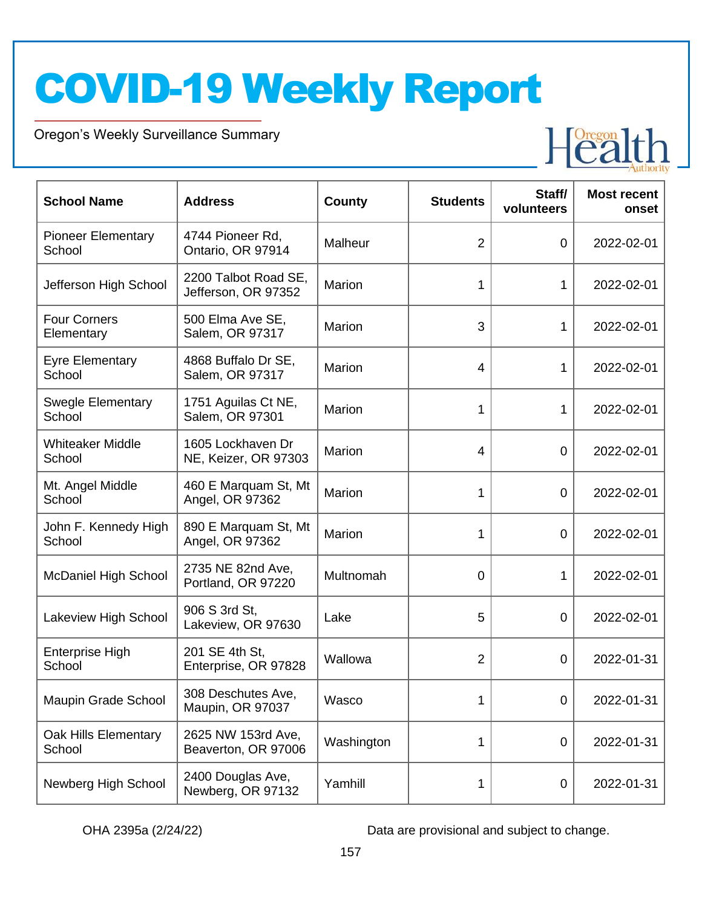Oregon's Weekly Surveillance Summary

Novel Coronavirus (COVID-19)



| <b>School Name</b>                  | <b>Address</b>                              | <b>County</b> | <b>Students</b> | Staff/<br>volunteers | <b>Most recent</b><br>onset |
|-------------------------------------|---------------------------------------------|---------------|-----------------|----------------------|-----------------------------|
| <b>Pioneer Elementary</b><br>School | 4744 Pioneer Rd,<br>Ontario, OR 97914       | Malheur       | $\overline{2}$  | $\mathbf 0$          | 2022-02-01                  |
| Jefferson High School               | 2200 Talbot Road SE,<br>Jefferson, OR 97352 | Marion        | 1               | 1                    | 2022-02-01                  |
| <b>Four Corners</b><br>Elementary   | 500 Elma Ave SE,<br>Salem, OR 97317         | Marion        | 3               | 1                    | 2022-02-01                  |
| <b>Eyre Elementary</b><br>School    | 4868 Buffalo Dr SE,<br>Salem, OR 97317      | Marion        | $\overline{4}$  | 1                    | 2022-02-01                  |
| <b>Swegle Elementary</b><br>School  | 1751 Aguilas Ct NE,<br>Salem, OR 97301      | Marion        | 1               | 1                    | 2022-02-01                  |
| <b>Whiteaker Middle</b><br>School   | 1605 Lockhaven Dr<br>NE, Keizer, OR 97303   | Marion        | $\overline{4}$  | $\mathbf 0$          | 2022-02-01                  |
| Mt. Angel Middle<br>School          | 460 E Marquam St, Mt<br>Angel, OR 97362     | Marion        | 1               | $\overline{0}$       | 2022-02-01                  |
| John F. Kennedy High<br>School      | 890 E Marquam St, Mt<br>Angel, OR 97362     | Marion        | 1               | $\overline{0}$       | 2022-02-01                  |
| <b>McDaniel High School</b>         | 2735 NE 82nd Ave,<br>Portland, OR 97220     | Multnomah     | 0               | 1                    | 2022-02-01                  |
| Lakeview High School                | 906 S 3rd St,<br>Lakeview, OR 97630         | Lake          | 5               | $\mathbf 0$          | 2022-02-01                  |
| <b>Enterprise High</b><br>School    | 201 SE 4th St,<br>Enterprise, OR 97828      | Wallowa       | $\overline{2}$  | 0                    | 2022-01-31                  |
| <b>Maupin Grade School</b>          | 308 Deschutes Ave,<br>Maupin, OR 97037      | Wasco         | 1               | $\overline{0}$       | 2022-01-31                  |
| Oak Hills Elementary<br>School      | 2625 NW 153rd Ave,<br>Beaverton, OR 97006   | Washington    | 1               | $\overline{0}$       | 2022-01-31                  |
| Newberg High School                 | 2400 Douglas Ave,<br>Newberg, OR 97132      | Yamhill       | 1               | $\mathbf 0$          | 2022-01-31                  |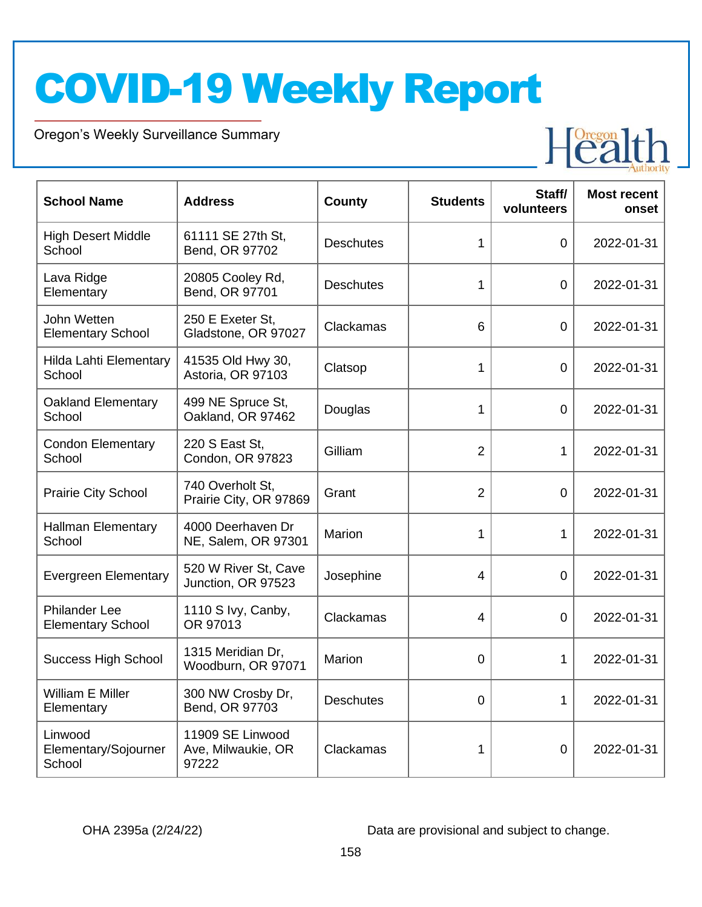Oregon's Weekly Surveillance Summary

Novel Coronavirus (COVID-19)



| <b>School Name</b>                               | <b>Address</b>                                  | County           | <b>Students</b> | Staff/<br>volunteers | <b>Most recent</b><br>onset |
|--------------------------------------------------|-------------------------------------------------|------------------|-----------------|----------------------|-----------------------------|
| <b>High Desert Middle</b><br>School              | 61111 SE 27th St,<br>Bend, OR 97702             | <b>Deschutes</b> | 1               | 0                    | 2022-01-31                  |
| Lava Ridge<br>Elementary                         | 20805 Cooley Rd,<br>Bend, OR 97701              | <b>Deschutes</b> | 1               | $\Omega$             | 2022-01-31                  |
| John Wetten<br><b>Elementary School</b>          | 250 E Exeter St,<br>Gladstone, OR 97027         | Clackamas        | 6               | $\overline{0}$       | 2022-01-31                  |
| Hilda Lahti Elementary<br>School                 | 41535 Old Hwy 30,<br>Astoria, OR 97103          | Clatsop          | 1               | $\overline{0}$       | 2022-01-31                  |
| <b>Oakland Elementary</b><br>School              | 499 NE Spruce St,<br>Oakland, OR 97462          | Douglas          | 1               | 0                    | 2022-01-31                  |
| <b>Condon Elementary</b><br>School               | 220 S East St,<br>Condon, OR 97823              | Gilliam          | $\overline{2}$  | 1                    | 2022-01-31                  |
| Prairie City School                              | 740 Overholt St,<br>Prairie City, OR 97869      | Grant            | $\overline{2}$  | 0                    | 2022-01-31                  |
| <b>Hallman Elementary</b><br>School              | 4000 Deerhaven Dr<br>NE, Salem, OR 97301        | Marion           | 1               | $\mathbf{1}$         | 2022-01-31                  |
| <b>Evergreen Elementary</b>                      | 520 W River St, Cave<br>Junction, OR 97523      | Josephine        | $\overline{4}$  | $\overline{0}$       | 2022-01-31                  |
| <b>Philander Lee</b><br><b>Elementary School</b> | 1110 S Ivy, Canby,<br>OR 97013                  | Clackamas        | 4               | $\Omega$             | 2022-01-31                  |
| <b>Success High School</b>                       | 1315 Meridian Dr,<br>Woodburn, OR 97071         | Marion           | 0               | 1                    | 2022-01-31                  |
| William E Miller<br>Elementary                   | 300 NW Crosby Dr,<br>Bend, OR 97703             | <b>Deschutes</b> | $\overline{0}$  | 1                    | 2022-01-31                  |
| Linwood<br>Elementary/Sojourner<br>School        | 11909 SE Linwood<br>Ave, Milwaukie, OR<br>97222 | Clackamas        | 1               | 0                    | 2022-01-31                  |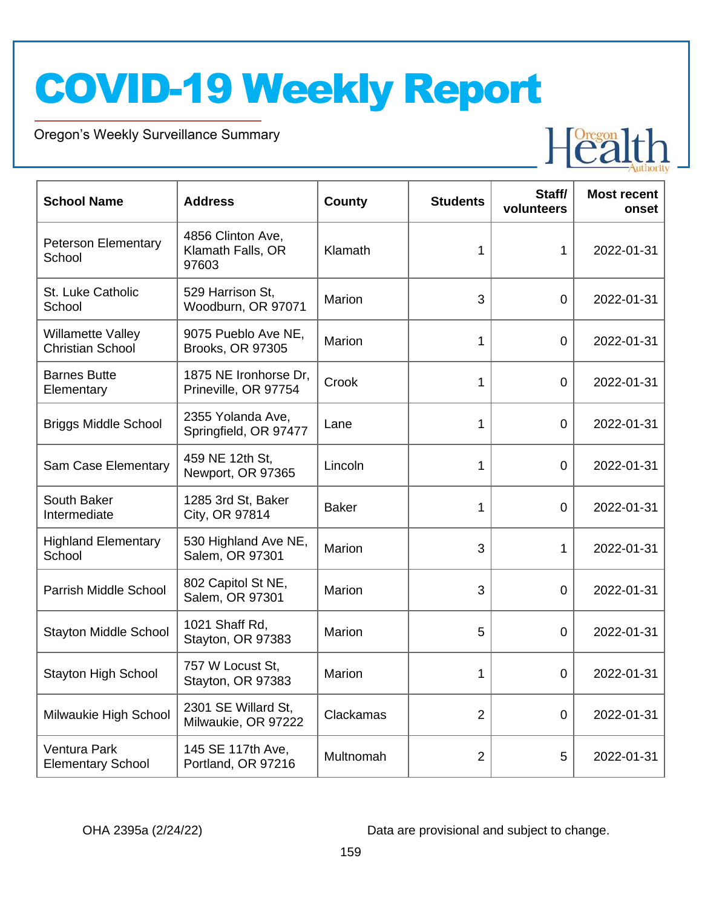Oregon's Weekly Surveillance Summary

Novel Coronavirus (COVID-19)



| <b>School Name</b>                                  | <b>Address</b>                                  | <b>County</b> | <b>Students</b> | Staff/<br>volunteers | <b>Most recent</b><br>onset |
|-----------------------------------------------------|-------------------------------------------------|---------------|-----------------|----------------------|-----------------------------|
| <b>Peterson Elementary</b><br>School                | 4856 Clinton Ave,<br>Klamath Falls, OR<br>97603 | Klamath       | 1               | $\mathbf{1}$         | 2022-01-31                  |
| St. Luke Catholic<br>School                         | 529 Harrison St,<br>Woodburn, OR 97071          | Marion        | 3               | 0                    | 2022-01-31                  |
| <b>Willamette Valley</b><br><b>Christian School</b> | 9075 Pueblo Ave NE,<br><b>Brooks, OR 97305</b>  | Marion        | 1               | $\overline{0}$       | 2022-01-31                  |
| <b>Barnes Butte</b><br>Elementary                   | 1875 NE Ironhorse Dr,<br>Prineville, OR 97754   | Crook         | 1               | $\overline{0}$       | 2022-01-31                  |
| <b>Briggs Middle School</b>                         | 2355 Yolanda Ave,<br>Springfield, OR 97477      | Lane          | 1               | $\overline{0}$       | 2022-01-31                  |
| Sam Case Elementary                                 | 459 NE 12th St,<br>Newport, OR 97365            | Lincoln       | 1               | 0                    | 2022-01-31                  |
| South Baker<br>Intermediate                         | 1285 3rd St, Baker<br>City, OR 97814            | <b>Baker</b>  | 1               | $\Omega$             | 2022-01-31                  |
| <b>Highland Elementary</b><br>School                | 530 Highland Ave NE,<br>Salem, OR 97301         | Marion        | 3               | $\mathbf{1}$         | 2022-01-31                  |
| Parrish Middle School                               | 802 Capitol St NE,<br>Salem, OR 97301           | Marion        | 3               | $\overline{0}$       | 2022-01-31                  |
| <b>Stayton Middle School</b>                        | 1021 Shaff Rd,<br>Stayton, OR 97383             | Marion        | 5               | 0                    | 2022-01-31                  |
| <b>Stayton High School</b>                          | 757 W Locust St.<br>Stayton, OR 97383           | Marion        | 1               | 0                    | 2022-01-31                  |
| Milwaukie High School                               | 2301 SE Willard St,<br>Milwaukie, OR 97222      | Clackamas     | $\overline{2}$  | $\overline{0}$       | 2022-01-31                  |
| Ventura Park<br><b>Elementary School</b>            | 145 SE 117th Ave,<br>Portland, OR 97216         | Multnomah     | $\overline{2}$  | 5                    | 2022-01-31                  |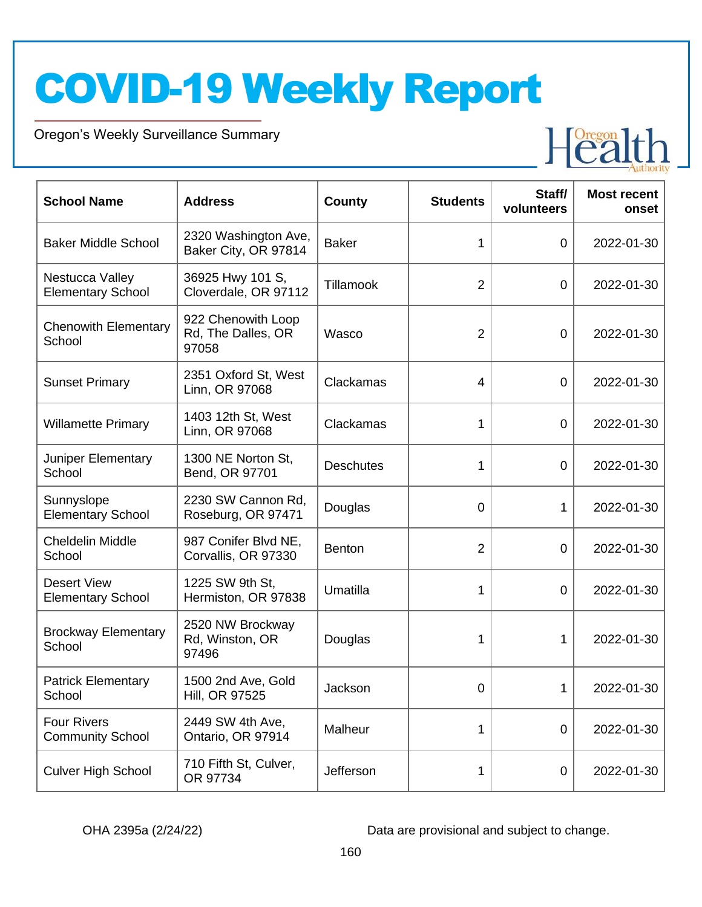Oregon's Weekly Surveillance Summary

Novel Coronavirus (COVID-19)



| <b>School Name</b>                             | <b>Address</b>                                    | <b>County</b>    | <b>Students</b> | Staff/<br>volunteers | <b>Most recent</b><br>onset |
|------------------------------------------------|---------------------------------------------------|------------------|-----------------|----------------------|-----------------------------|
| <b>Baker Middle School</b>                     | 2320 Washington Ave,<br>Baker City, OR 97814      | <b>Baker</b>     | 1               | $\mathbf 0$          | 2022-01-30                  |
| Nestucca Valley<br><b>Elementary School</b>    | 36925 Hwy 101 S,<br>Cloverdale, OR 97112          | <b>Tillamook</b> | $\overline{2}$  | $\mathbf 0$          | 2022-01-30                  |
| <b>Chenowith Elementary</b><br>School          | 922 Chenowith Loop<br>Rd, The Dalles, OR<br>97058 | Wasco            | $\overline{2}$  | $\mathbf 0$          | 2022-01-30                  |
| <b>Sunset Primary</b>                          | 2351 Oxford St, West<br>Linn, OR 97068            | Clackamas        | $\overline{4}$  | $\mathbf 0$          | 2022-01-30                  |
| <b>Willamette Primary</b>                      | 1403 12th St, West<br>Linn, OR 97068              | Clackamas        | 1               | $\mathbf 0$          | 2022-01-30                  |
| Juniper Elementary<br>School                   | 1300 NE Norton St,<br>Bend, OR 97701              | <b>Deschutes</b> | 1               | $\mathbf 0$          | 2022-01-30                  |
| Sunnyslope<br><b>Elementary School</b>         | 2230 SW Cannon Rd,<br>Roseburg, OR 97471          | Douglas          | 0               | 1                    | 2022-01-30                  |
| <b>Cheldelin Middle</b><br>School              | 987 Conifer Blvd NE,<br>Corvallis, OR 97330       | <b>Benton</b>    | $\overline{2}$  | $\mathbf 0$          | 2022-01-30                  |
| <b>Desert View</b><br><b>Elementary School</b> | 1225 SW 9th St,<br>Hermiston, OR 97838            | Umatilla         | 1               | $\overline{0}$       | 2022-01-30                  |
| <b>Brockway Elementary</b><br>School           | 2520 NW Brockway<br>Rd, Winston, OR<br>97496      | Douglas          | 1               | 1                    | 2022-01-30                  |
| <b>Patrick Elementary</b><br>School            | 1500 2nd Ave, Gold<br>Hill, OR 97525              | Jackson          | 0               | 1                    | 2022-01-30                  |
| <b>Four Rivers</b><br><b>Community School</b>  | 2449 SW 4th Ave,<br>Ontario, OR 97914             | Malheur          | 1               | $\overline{0}$       | 2022-01-30                  |
| <b>Culver High School</b>                      | 710 Fifth St, Culver,<br>OR 97734                 | Jefferson        | 1               | $\mathbf 0$          | 2022-01-30                  |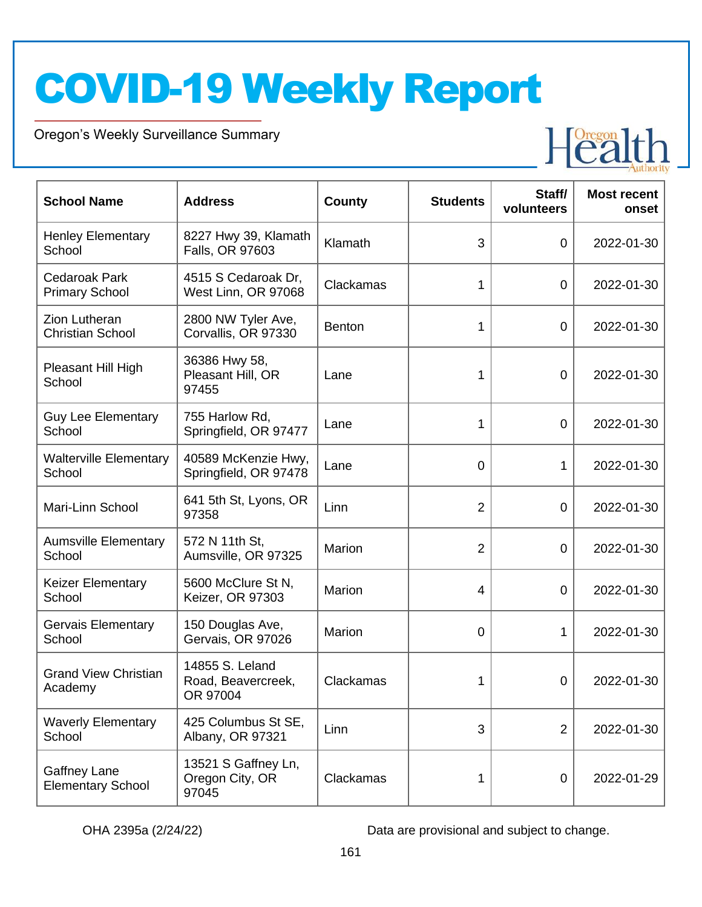Oregon's Weekly Surveillance Summary

Novel Coronavirus (COVID-19)



| <b>School Name</b>                              | <b>Address</b>                                    | <b>County</b> | <b>Students</b> | Staff/<br>volunteers | <b>Most recent</b><br>onset |
|-------------------------------------------------|---------------------------------------------------|---------------|-----------------|----------------------|-----------------------------|
| <b>Henley Elementary</b><br>School              | 8227 Hwy 39, Klamath<br>Falls, OR 97603           | Klamath       | 3               | $\overline{0}$       | 2022-01-30                  |
| <b>Cedaroak Park</b><br><b>Primary School</b>   | 4515 S Cedaroak Dr,<br>West Linn, OR 97068        | Clackamas     | 1               | $\overline{0}$       | 2022-01-30                  |
| <b>Zion Lutheran</b><br><b>Christian School</b> | 2800 NW Tyler Ave,<br>Corvallis, OR 97330         | <b>Benton</b> | 1               | $\mathbf 0$          | 2022-01-30                  |
| Pleasant Hill High<br>School                    | 36386 Hwy 58,<br>Pleasant Hill, OR<br>97455       | Lane          | 1               | $\overline{0}$       | 2022-01-30                  |
| <b>Guy Lee Elementary</b><br>School             | 755 Harlow Rd,<br>Springfield, OR 97477           | Lane          | 1               | $\overline{0}$       | 2022-01-30                  |
| <b>Walterville Elementary</b><br>School         | 40589 McKenzie Hwy,<br>Springfield, OR 97478      | Lane          | 0               | 1                    | 2022-01-30                  |
| Mari-Linn School                                | 641 5th St, Lyons, OR<br>97358                    | Linn          | $\overline{2}$  | $\overline{0}$       | 2022-01-30                  |
| <b>Aumsville Elementary</b><br>School           | 572 N 11th St,<br>Aumsville, OR 97325             | Marion        | $\overline{2}$  | $\overline{0}$       | 2022-01-30                  |
| <b>Keizer Elementary</b><br>School              | 5600 McClure St N,<br>Keizer, OR 97303            | Marion        | 4               | $\overline{0}$       | 2022-01-30                  |
| Gervais Elementary<br>School                    | 150 Douglas Ave,<br>Gervais, OR 97026             | Marion        | 0               | 1                    | 2022-01-30                  |
| <b>Grand View Christian</b><br>Academy          | 14855 S. Leland<br>Road, Beavercreek,<br>OR 97004 | Clackamas     | 1               | 0                    | 2022-01-30                  |
| <b>Waverly Elementary</b><br>School             | 425 Columbus St SE,<br>Albany, OR 97321           | Linn          | 3               | $\overline{2}$       | 2022-01-30                  |
| Gaffney Lane<br><b>Elementary School</b>        | 13521 S Gaffney Ln,<br>Oregon City, OR<br>97045   | Clackamas     | 1               | $\boldsymbol{0}$     | 2022-01-29                  |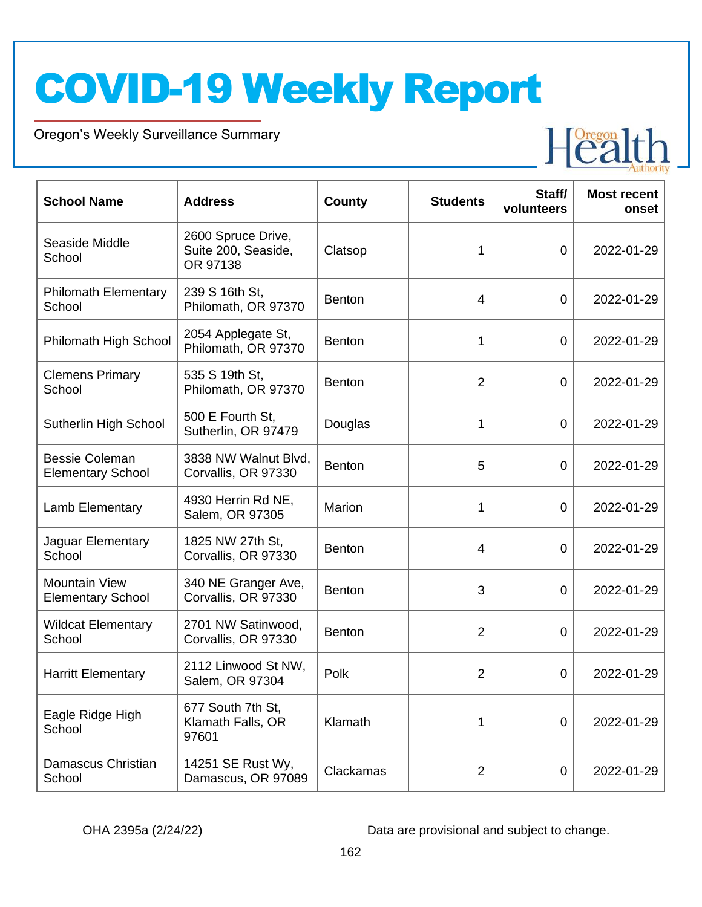Oregon's Weekly Surveillance Summary

Novel Coronavirus (COVID-19)



| <b>School Name</b>                                | <b>Address</b>                                        | <b>County</b> | <b>Students</b> | Staff/<br>volunteers | <b>Most recent</b><br>onset |
|---------------------------------------------------|-------------------------------------------------------|---------------|-----------------|----------------------|-----------------------------|
| Seaside Middle<br>School                          | 2600 Spruce Drive,<br>Suite 200, Seaside,<br>OR 97138 | Clatsop       | 1               | $\mathbf 0$          | 2022-01-29                  |
| <b>Philomath Elementary</b><br>School             | 239 S 16th St,<br>Philomath, OR 97370                 | <b>Benton</b> | $\overline{4}$  | $\mathbf 0$          | 2022-01-29                  |
| Philomath High School                             | 2054 Applegate St,<br>Philomath, OR 97370             | <b>Benton</b> | 1               | $\mathbf 0$          | 2022-01-29                  |
| <b>Clemens Primary</b><br>School                  | 535 S 19th St,<br>Philomath, OR 97370                 | <b>Benton</b> | $\overline{2}$  | $\mathbf 0$          | 2022-01-29                  |
| Sutherlin High School                             | 500 E Fourth St,<br>Sutherlin, OR 97479               | Douglas       | 1               | $\mathbf 0$          | 2022-01-29                  |
| <b>Bessie Coleman</b><br><b>Elementary School</b> | 3838 NW Walnut Blvd,<br>Corvallis, OR 97330           | <b>Benton</b> | 5               | $\mathbf 0$          | 2022-01-29                  |
| Lamb Elementary                                   | 4930 Herrin Rd NE,<br>Salem, OR 97305                 | Marion        | 1               | $\mathbf 0$          | 2022-01-29                  |
| Jaguar Elementary<br>School                       | 1825 NW 27th St,<br>Corvallis, OR 97330               | <b>Benton</b> | $\overline{4}$  | $\overline{0}$       | 2022-01-29                  |
| <b>Mountain View</b><br><b>Elementary School</b>  | 340 NE Granger Ave,<br>Corvallis, OR 97330            | <b>Benton</b> | 3               | $\overline{0}$       | 2022-01-29                  |
| <b>Wildcat Elementary</b><br>School               | 2701 NW Satinwood,<br>Corvallis, OR 97330             | <b>Benton</b> | $\overline{2}$  | $\overline{0}$       | 2022-01-29                  |
| <b>Harritt Elementary</b>                         | 2112 Linwood St NW,<br>Salem, OR 97304                | Polk          | $\overline{2}$  | $\overline{0}$       | 2022-01-29                  |
| Eagle Ridge High<br>School                        | 677 South 7th St,<br>Klamath Falls, OR<br>97601       | Klamath       | 1               | $\overline{0}$       | 2022-01-29                  |
| Damascus Christian<br>School                      | 14251 SE Rust Wy,<br>Damascus, OR 97089               | Clackamas     | $\overline{2}$  | $\mathbf 0$          | 2022-01-29                  |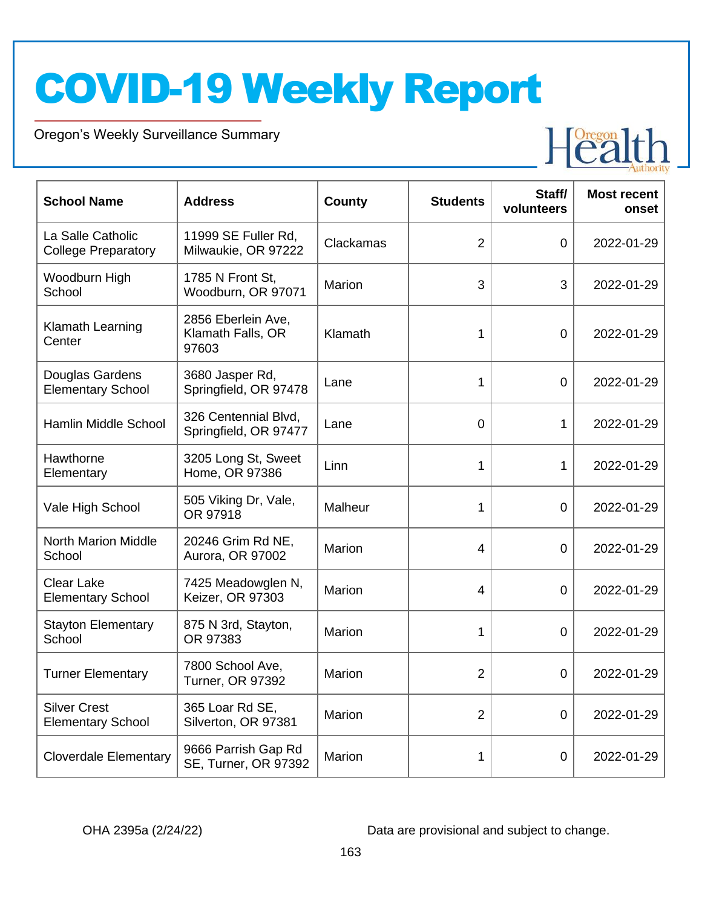Oregon's Weekly Surveillance Summary

Novel Coronavirus (COVID-19)



| <b>School Name</b>                              | <b>Address</b>                                   | <b>County</b> | <b>Students</b> | Staff/<br>volunteers | <b>Most recent</b><br>onset |
|-------------------------------------------------|--------------------------------------------------|---------------|-----------------|----------------------|-----------------------------|
| La Salle Catholic<br><b>College Preparatory</b> | 11999 SE Fuller Rd,<br>Milwaukie, OR 97222       | Clackamas     | $\overline{2}$  | 0                    | 2022-01-29                  |
| Woodburn High<br>School                         | 1785 N Front St,<br>Woodburn, OR 97071           | Marion        | 3               | 3                    | 2022-01-29                  |
| Klamath Learning<br>Center                      | 2856 Eberlein Ave,<br>Klamath Falls, OR<br>97603 | Klamath       | 1               | 0                    | 2022-01-29                  |
| Douglas Gardens<br><b>Elementary School</b>     | 3680 Jasper Rd,<br>Springfield, OR 97478         | Lane          | 1               | 0                    | 2022-01-29                  |
| Hamlin Middle School                            | 326 Centennial Blvd,<br>Springfield, OR 97477    | Lane          | 0               | 1                    | 2022-01-29                  |
| Hawthorne<br>Elementary                         | 3205 Long St, Sweet<br>Home, OR 97386            | Linn          | 1               | 1                    | 2022-01-29                  |
| Vale High School                                | 505 Viking Dr, Vale,<br>OR 97918                 | Malheur       | 1               | 0                    | 2022-01-29                  |
| <b>North Marion Middle</b><br>School            | 20246 Grim Rd NE,<br>Aurora, OR 97002            | Marion        | 4               | 0                    | 2022-01-29                  |
| <b>Clear Lake</b><br><b>Elementary School</b>   | 7425 Meadowglen N,<br>Keizer, OR 97303           | Marion        | 4               | 0                    | 2022-01-29                  |
| <b>Stayton Elementary</b><br>School             | 875 N 3rd, Stayton,<br>OR 97383                  | Marion        | 1               | 0                    | 2022-01-29                  |
| <b>Turner Elementary</b>                        | 7800 School Ave,<br><b>Turner, OR 97392</b>      | Marion        | 2               | $\overline{0}$       | 2022-01-29                  |
| <b>Silver Crest</b><br><b>Elementary School</b> | 365 Loar Rd SE,<br>Silverton, OR 97381           | Marion        | $\overline{2}$  | $\boldsymbol{0}$     | 2022-01-29                  |
| <b>Cloverdale Elementary</b>                    | 9666 Parrish Gap Rd<br>SE, Turner, OR 97392      | Marion        | 1               | 0                    | 2022-01-29                  |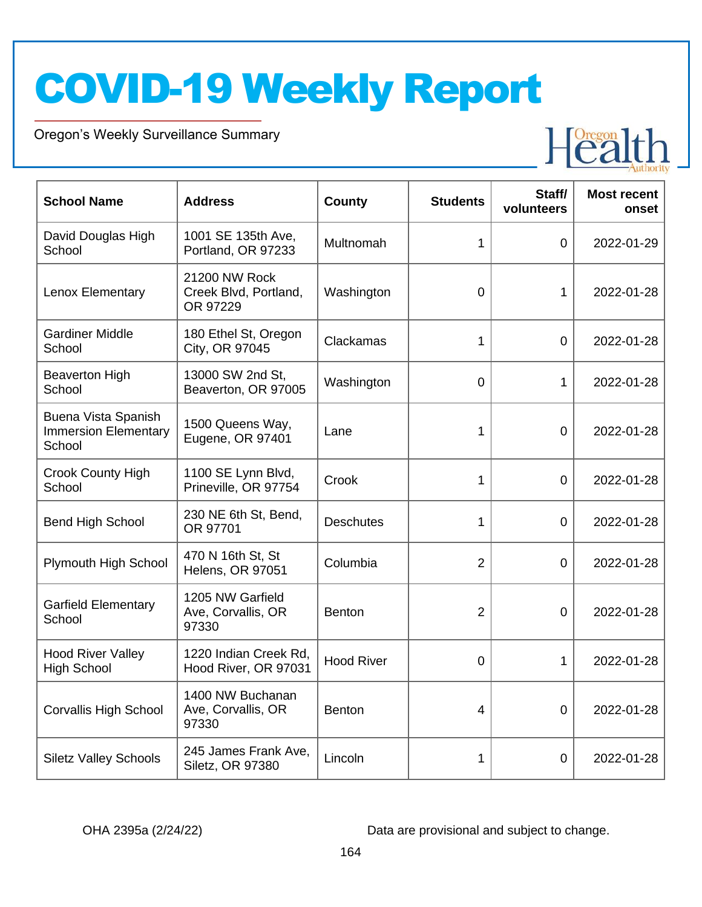Oregon's Weekly Surveillance Summary

Novel Coronavirus (COVID-19)



| <b>School Name</b>                                           | <b>Address</b>                                     | <b>County</b>     | <b>Students</b> | Staff/<br>volunteers | <b>Most recent</b><br>onset |
|--------------------------------------------------------------|----------------------------------------------------|-------------------|-----------------|----------------------|-----------------------------|
| David Douglas High<br>School                                 | 1001 SE 135th Ave,<br>Portland, OR 97233           | Multnomah         | 1               | $\overline{0}$       | 2022-01-29                  |
| Lenox Elementary                                             | 21200 NW Rock<br>Creek Blvd, Portland,<br>OR 97229 | Washington        | 0               | 1                    | 2022-01-28                  |
| <b>Gardiner Middle</b><br>School                             | 180 Ethel St, Oregon<br>City, OR 97045             | Clackamas         | 1               | 0                    | 2022-01-28                  |
| <b>Beaverton High</b><br>School                              | 13000 SW 2nd St,<br>Beaverton, OR 97005            | Washington        | 0               | 1                    | 2022-01-28                  |
| Buena Vista Spanish<br><b>Immersion Elementary</b><br>School | 1500 Queens Way,<br>Eugene, OR 97401               | Lane              | 1               | 0                    | 2022-01-28                  |
| <b>Crook County High</b><br>School                           | 1100 SE Lynn Blvd,<br>Prineville, OR 97754         | Crook             | 1               | 0                    | 2022-01-28                  |
| <b>Bend High School</b>                                      | 230 NE 6th St, Bend,<br>OR 97701                   | <b>Deschutes</b>  | 1               | $\overline{0}$       | 2022-01-28                  |
| Plymouth High School                                         | 470 N 16th St, St<br>Helens, OR 97051              | Columbia          | 2               | 0                    | 2022-01-28                  |
| <b>Garfield Elementary</b><br>School                         | 1205 NW Garfield<br>Ave, Corvallis, OR<br>97330    | <b>Benton</b>     | $\overline{2}$  | 0                    | 2022-01-28                  |
| <b>Hood River Valley</b><br><b>High School</b>               | 1220 Indian Creek Rd,<br>Hood River, OR 97031      | <b>Hood River</b> | 0               | 1                    | 2022-01-28                  |
| <b>Corvallis High School</b>                                 | 1400 NW Buchanan<br>Ave, Corvallis, OR<br>97330    | <b>Benton</b>     | 4               | $\mathbf 0$          | 2022-01-28                  |
| <b>Siletz Valley Schools</b>                                 | 245 James Frank Ave,<br>Siletz, OR 97380           | Lincoln           | 1               | 0                    | 2022-01-28                  |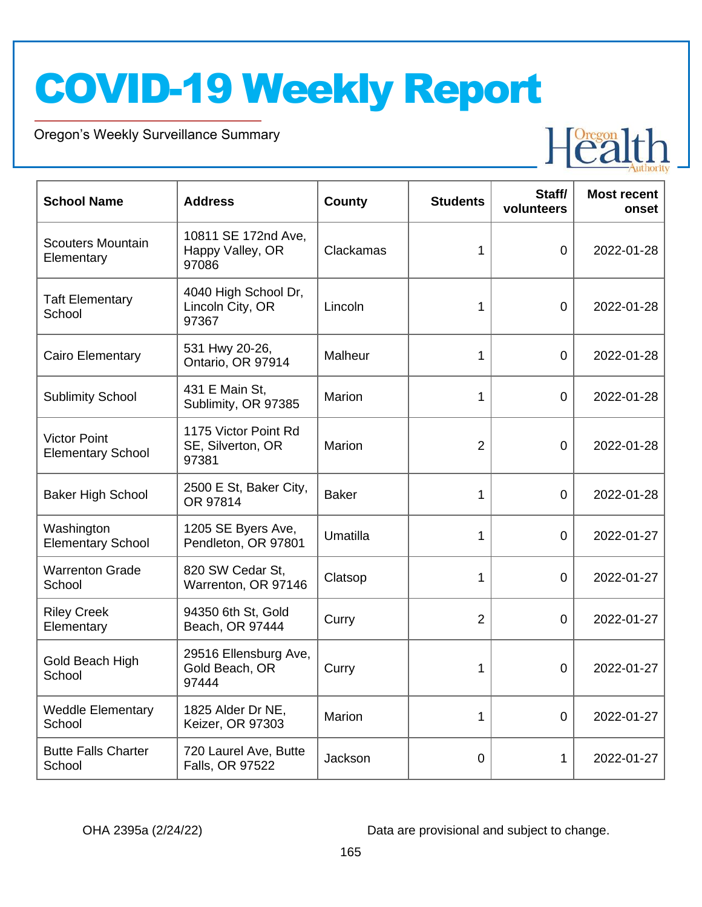Oregon's Weekly Surveillance Summary

Novel Coronavirus (COVID-19)



| <b>School Name</b>                              | <b>Address</b>                                     | County       | <b>Students</b> | Staff/<br>volunteers | <b>Most recent</b><br>onset |
|-------------------------------------------------|----------------------------------------------------|--------------|-----------------|----------------------|-----------------------------|
| <b>Scouters Mountain</b><br>Elementary          | 10811 SE 172nd Ave,<br>Happy Valley, OR<br>97086   | Clackamas    | 1               | $\overline{0}$       | 2022-01-28                  |
| <b>Taft Elementary</b><br>School                | 4040 High School Dr,<br>Lincoln City, OR<br>97367  | Lincoln      | 1               | $\overline{0}$       | 2022-01-28                  |
| Cairo Elementary                                | 531 Hwy 20-26,<br>Ontario, OR 97914                | Malheur      | 1               | $\overline{0}$       | 2022-01-28                  |
| <b>Sublimity School</b>                         | 431 E Main St,<br>Sublimity, OR 97385              | Marion       | 1               | $\overline{0}$       | 2022-01-28                  |
| <b>Victor Point</b><br><b>Elementary School</b> | 1175 Victor Point Rd<br>SE, Silverton, OR<br>97381 | Marion       | $\overline{2}$  | $\overline{0}$       | 2022-01-28                  |
| <b>Baker High School</b>                        | 2500 E St, Baker City,<br>OR 97814                 | <b>Baker</b> | 1               | $\overline{0}$       | 2022-01-28                  |
| Washington<br><b>Elementary School</b>          | 1205 SE Byers Ave,<br>Pendleton, OR 97801          | Umatilla     | 1               | $\overline{0}$       | 2022-01-27                  |
| <b>Warrenton Grade</b><br>School                | 820 SW Cedar St,<br>Warrenton, OR 97146            | Clatsop      | 1               | $\overline{0}$       | 2022-01-27                  |
| <b>Riley Creek</b><br>Elementary                | 94350 6th St, Gold<br>Beach, OR 97444              | Curry        | $\overline{2}$  | 0                    | 2022-01-27                  |
| Gold Beach High<br>School                       | 29516 Ellensburg Ave,<br>Gold Beach, OR<br>97444   | Curry        | 1               | 0                    | 2022-01-27                  |
| <b>Weddle Elementary</b><br>School              | 1825 Alder Dr NE,<br>Keizer, OR 97303              | Marion       | 1               | $\overline{0}$       | 2022-01-27                  |
| <b>Butte Falls Charter</b><br>School            | 720 Laurel Ave, Butte<br>Falls, OR 97522           | Jackson      | 0               | 1                    | 2022-01-27                  |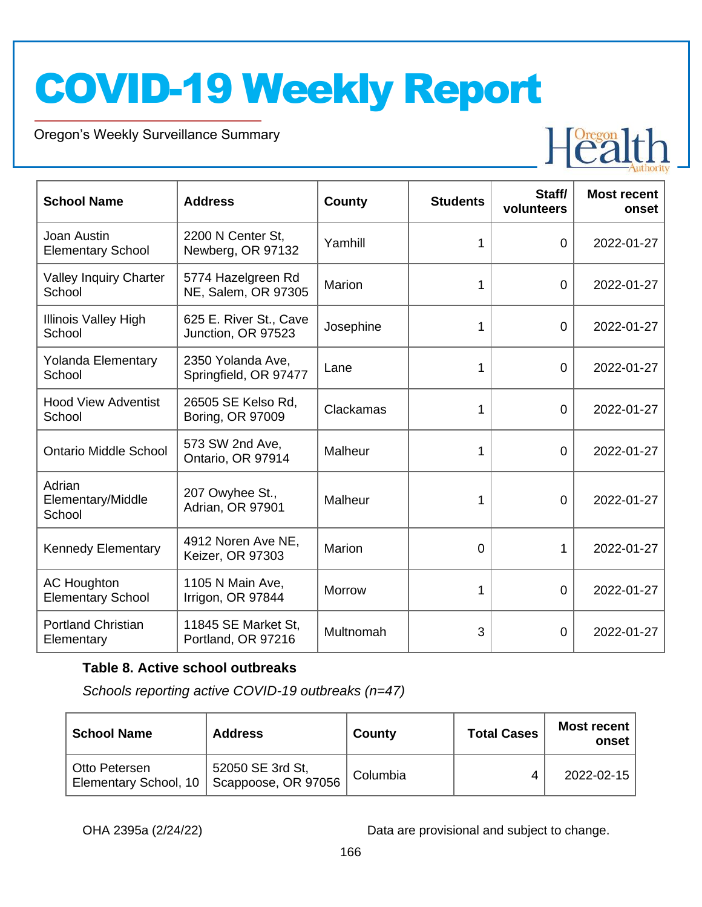Oregon's Weekly Surveillance Summary

Novel Coronavirus (COVID-19)



| <b>School Name</b>                             | <b>Address</b>                               | <b>County</b> | <b>Students</b> | Staff/<br>volunteers | <b>Most recent</b><br>onset |
|------------------------------------------------|----------------------------------------------|---------------|-----------------|----------------------|-----------------------------|
| Joan Austin<br><b>Elementary School</b>        | 2200 N Center St.<br>Newberg, OR 97132       | Yamhill       | 1               | $\overline{0}$       | 2022-01-27                  |
| <b>Valley Inquiry Charter</b><br>School        | 5774 Hazelgreen Rd<br>NE, Salem, OR 97305    | Marion        | 1               | 0                    | 2022-01-27                  |
| <b>Illinois Valley High</b><br>School          | 625 E. River St., Cave<br>Junction, OR 97523 | Josephine     | 1               | $\overline{0}$       | 2022-01-27                  |
| <b>Yolanda Elementary</b><br>School            | 2350 Yolanda Ave,<br>Springfield, OR 97477   | Lane          | 1               | $\overline{0}$       | 2022-01-27                  |
| <b>Hood View Adventist</b><br>School           | 26505 SE Kelso Rd.<br>Boring, OR 97009       | Clackamas     | 1               | 0                    | 2022-01-27                  |
| <b>Ontario Middle School</b>                   | 573 SW 2nd Ave,<br>Ontario, OR 97914         | Malheur       | 1               | $\Omega$             | 2022-01-27                  |
| Adrian<br>Elementary/Middle<br>School          | 207 Owyhee St.,<br>Adrian, OR 97901          | Malheur       | 1               | $\overline{0}$       | 2022-01-27                  |
| <b>Kennedy Elementary</b>                      | 4912 Noren Ave NE,<br>Keizer, OR 97303       | <b>Marion</b> | 0               | 1                    | 2022-01-27                  |
| <b>AC Houghton</b><br><b>Elementary School</b> | 1105 N Main Ave,<br>Irrigon, OR 97844        | <b>Morrow</b> | 1               | $\Omega$             | 2022-01-27                  |
| <b>Portland Christian</b><br>Elementary        | 11845 SE Market St,<br>Portland, OR 97216    | Multnomah     | 3               | 0                    | 2022-01-27                  |

#### **Table 8. Active school outbreaks**

*Schools reporting active COVID-19 outbreaks (n=47)*

| <b>School Name</b> | <b>Address</b>                                                  | County   | <b>Total Cases</b> | Most recent<br>onset |
|--------------------|-----------------------------------------------------------------|----------|--------------------|----------------------|
| Otto Petersen      | 52050 SE 3rd St,<br>Elementary School, 10   Scappoose, OR 97056 | Columbia |                    | 2022-02-15           |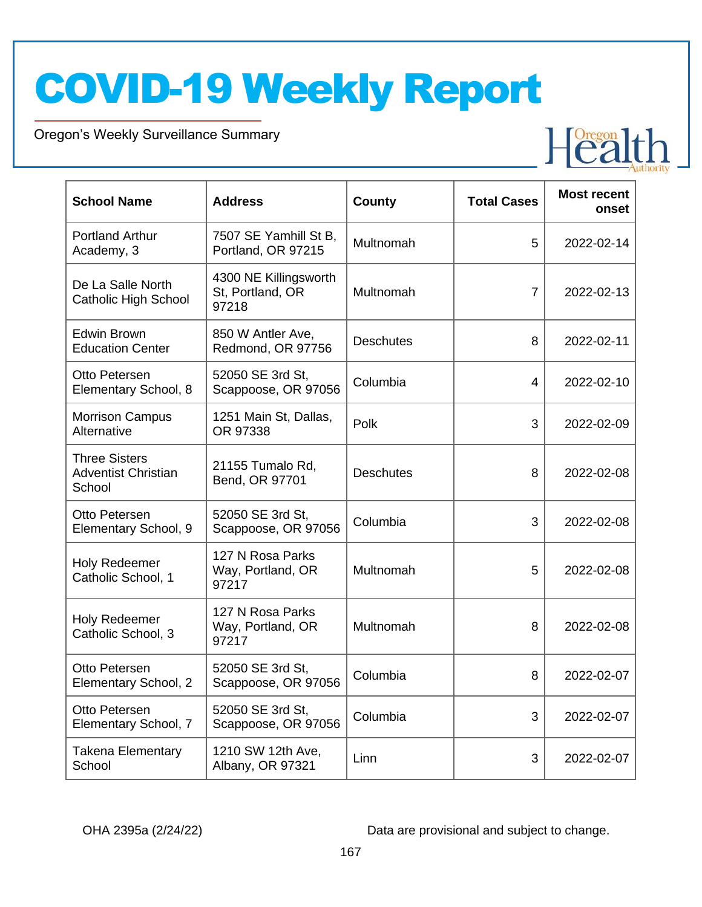Oregon's Weekly Surveillance Summary

Novel Coronavirus (COVID-19)

| <b>School Name</b>                                           | <b>Address</b>                                     | County           | <b>Total Cases</b> | <b>Most recent</b><br>onset |
|--------------------------------------------------------------|----------------------------------------------------|------------------|--------------------|-----------------------------|
| <b>Portland Arthur</b><br>Academy, 3                         | 7507 SE Yamhill St B,<br>Portland, OR 97215        | Multnomah        | 5                  | 2022-02-14                  |
| De La Salle North<br><b>Catholic High School</b>             | 4300 NE Killingsworth<br>St, Portland, OR<br>97218 | Multnomah        | $\overline{7}$     | 2022-02-13                  |
| Edwin Brown<br><b>Education Center</b>                       | 850 W Antler Ave,<br>Redmond, OR 97756             | <b>Deschutes</b> | 8                  | 2022-02-11                  |
| Otto Petersen<br>Elementary School, 8                        | 52050 SE 3rd St,<br>Scappoose, OR 97056            | Columbia         | 4                  | 2022-02-10                  |
| <b>Morrison Campus</b><br>Alternative                        | 1251 Main St, Dallas,<br>OR 97338                  | Polk             | 3                  | 2022-02-09                  |
| <b>Three Sisters</b><br><b>Adventist Christian</b><br>School | 21155 Tumalo Rd,<br>Bend, OR 97701                 | <b>Deschutes</b> | 8                  | 2022-02-08                  |
| Otto Petersen<br>Elementary School, 9                        | 52050 SE 3rd St,<br>Scappoose, OR 97056            | Columbia         | 3                  | 2022-02-08                  |
| <b>Holy Redeemer</b><br>Catholic School, 1                   | 127 N Rosa Parks<br>Way, Portland, OR<br>97217     | Multnomah        | 5                  | 2022-02-08                  |
| <b>Holy Redeemer</b><br>Catholic School, 3                   | 127 N Rosa Parks<br>Way, Portland, OR<br>97217     | Multnomah        | 8                  | 2022-02-08                  |
| Otto Petersen<br>Elementary School, 2                        | 52050 SE 3rd St,<br>Scappoose, OR 97056            | Columbia         | 8                  | 2022-02-07                  |
| Otto Petersen<br>Elementary School, 7                        | 52050 SE 3rd St,<br>Scappoose, OR 97056            | Columbia         | 3                  | 2022-02-07                  |
| <b>Takena Elementary</b><br>School                           | 1210 SW 12th Ave,<br>Albany, OR 97321              | Linn             | 3                  | 2022-02-07                  |

OHA 2395a (2/24/22) Data are provisional and subject to change.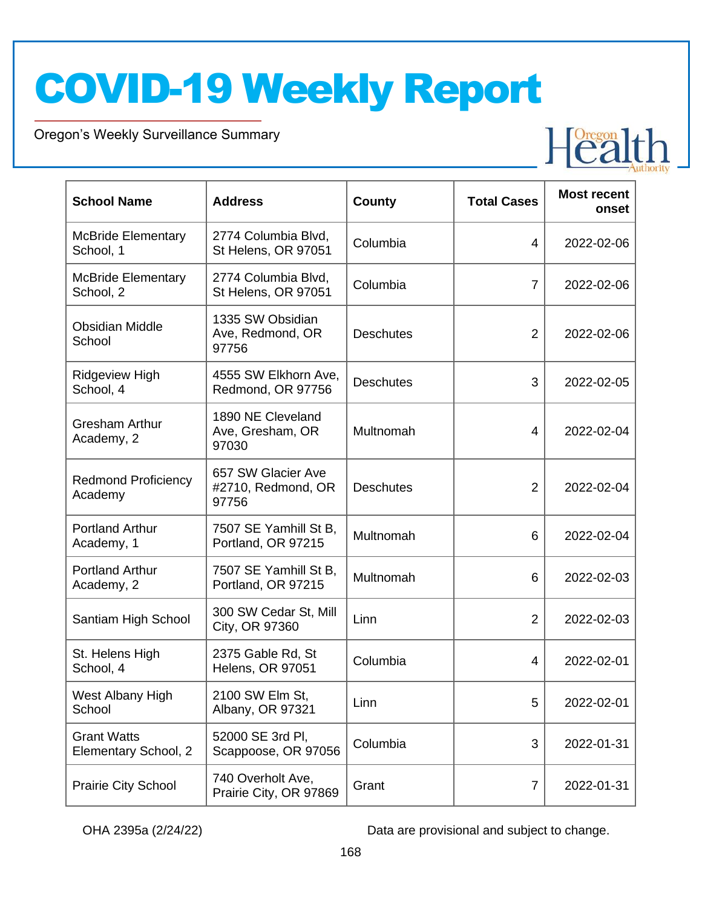Oregon's Weekly Surveillance Summary

Novel Coronavirus (COVID-19)

| <b>School Name</b>                         | <b>Address</b>                                    | County           | <b>Total Cases</b> | <b>Most recent</b><br>onset |
|--------------------------------------------|---------------------------------------------------|------------------|--------------------|-----------------------------|
| <b>McBride Elementary</b><br>School, 1     | 2774 Columbia Blvd,<br>St Helens, OR 97051        | Columbia         | 4                  | 2022-02-06                  |
| <b>McBride Elementary</b><br>School, 2     | 2774 Columbia Blvd,<br>St Helens, OR 97051        | Columbia         | $\overline{7}$     | 2022-02-06                  |
| <b>Obsidian Middle</b><br>School           | 1335 SW Obsidian<br>Ave, Redmond, OR<br>97756     | <b>Deschutes</b> | $\overline{2}$     | 2022-02-06                  |
| <b>Ridgeview High</b><br>School, 4         | 4555 SW Elkhorn Ave,<br>Redmond, OR 97756         | <b>Deschutes</b> | 3                  | 2022-02-05                  |
| <b>Gresham Arthur</b><br>Academy, 2        | 1890 NE Cleveland<br>Ave, Gresham, OR<br>97030    | Multnomah        | 4                  | 2022-02-04                  |
| <b>Redmond Proficiency</b><br>Academy      | 657 SW Glacier Ave<br>#2710, Redmond, OR<br>97756 | <b>Deschutes</b> | $\overline{2}$     | 2022-02-04                  |
| <b>Portland Arthur</b><br>Academy, 1       | 7507 SE Yamhill St B,<br>Portland, OR 97215       | Multnomah        | 6                  | 2022-02-04                  |
| <b>Portland Arthur</b><br>Academy, 2       | 7507 SE Yamhill St B,<br>Portland, OR 97215       | Multnomah        | 6                  | 2022-02-03                  |
| Santiam High School                        | 300 SW Cedar St, Mill<br>City, OR 97360           | Linn             | $\overline{2}$     | 2022-02-03                  |
| St. Helens High<br>School, 4               | 2375 Gable Rd, St<br><b>Helens, OR 97051</b>      | Columbia         | 4                  | 2022-02-01                  |
| West Albany High<br>School                 | 2100 SW Elm St,<br>Albany, OR 97321               | Linn             | 5                  | 2022-02-01                  |
| <b>Grant Watts</b><br>Elementary School, 2 | 52000 SE 3rd PI,<br>Scappoose, OR 97056           | Columbia         | 3                  | 2022-01-31                  |
| Prairie City School                        | 740 Overholt Ave,<br>Prairie City, OR 97869       | Grant            | $\overline{7}$     | 2022-01-31                  |

OHA 2395a (2/24/22) Data are provisional and subject to change.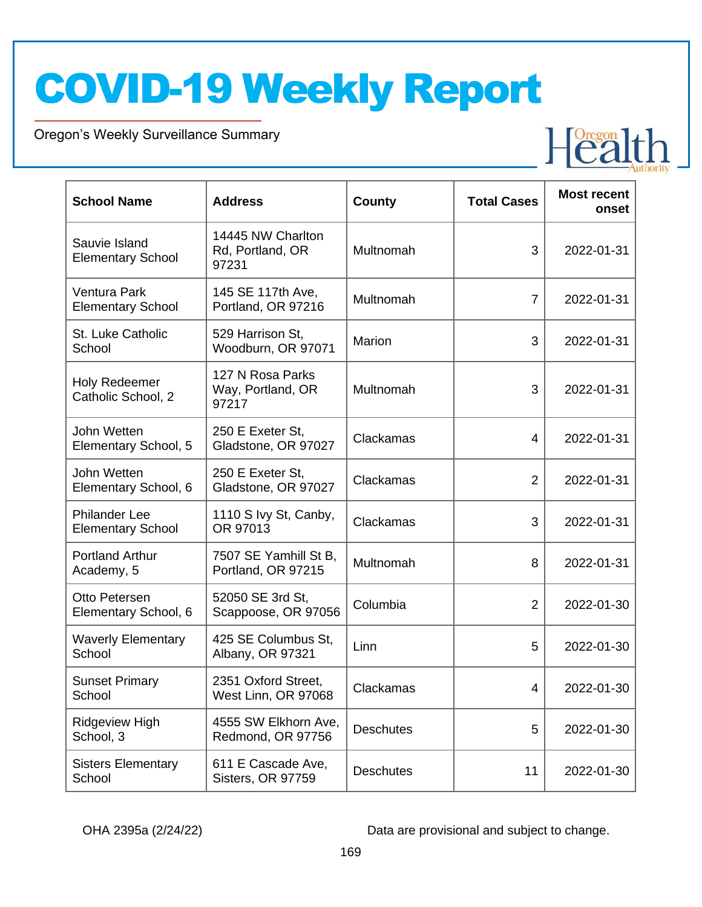Oregon's Weekly Surveillance Summary

Novel Coronavirus (COVID-19)

| <b>School Name</b>                               | <b>Address</b>                                 | County           | <b>Total Cases</b> | <b>Most recent</b><br>onset |
|--------------------------------------------------|------------------------------------------------|------------------|--------------------|-----------------------------|
| Sauvie Island<br><b>Elementary School</b>        | 14445 NW Charlton<br>Rd, Portland, OR<br>97231 | Multnomah        | 3                  | 2022-01-31                  |
| Ventura Park<br><b>Elementary School</b>         | 145 SE 117th Ave,<br>Portland, OR 97216        | Multnomah        | $\overline{7}$     | 2022-01-31                  |
| St. Luke Catholic<br>School                      | 529 Harrison St,<br>Woodburn, OR 97071         | Marion           | 3                  | 2022-01-31                  |
| <b>Holy Redeemer</b><br>Catholic School, 2       | 127 N Rosa Parks<br>Way, Portland, OR<br>97217 | Multnomah        | 3                  | 2022-01-31                  |
| John Wetten<br>Elementary School, 5              | 250 E Exeter St,<br>Gladstone, OR 97027        | Clackamas        | 4                  | 2022-01-31                  |
| John Wetten<br>Elementary School, 6              | 250 E Exeter St,<br>Gladstone, OR 97027        | Clackamas        | $\overline{2}$     | 2022-01-31                  |
| <b>Philander Lee</b><br><b>Elementary School</b> | 1110 S Ivy St, Canby,<br>OR 97013              | Clackamas        | 3                  | 2022-01-31                  |
| <b>Portland Arthur</b><br>Academy, 5             | 7507 SE Yamhill St B,<br>Portland, OR 97215    | Multnomah        | 8                  | 2022-01-31                  |
| Otto Petersen<br>Elementary School, 6            | 52050 SE 3rd St,<br>Scappoose, OR 97056        | Columbia         | $\overline{2}$     | 2022-01-30                  |
| <b>Waverly Elementary</b><br>School              | 425 SE Columbus St,<br>Albany, OR 97321        | Linn             | 5                  | 2022-01-30                  |
| <b>Sunset Primary</b><br>School                  | 2351 Oxford Street,<br>West Linn, OR 97068     | Clackamas        | 4                  | 2022-01-30                  |
| Ridgeview High<br>School, 3                      | 4555 SW Elkhorn Ave,<br>Redmond, OR 97756      | <b>Deschutes</b> | 5                  | 2022-01-30                  |
| <b>Sisters Elementary</b><br>School              | 611 E Cascade Ave,<br>Sisters, OR 97759        | <b>Deschutes</b> | 11                 | 2022-01-30                  |

OHA 2395a (2/24/22) Data are provisional and subject to change.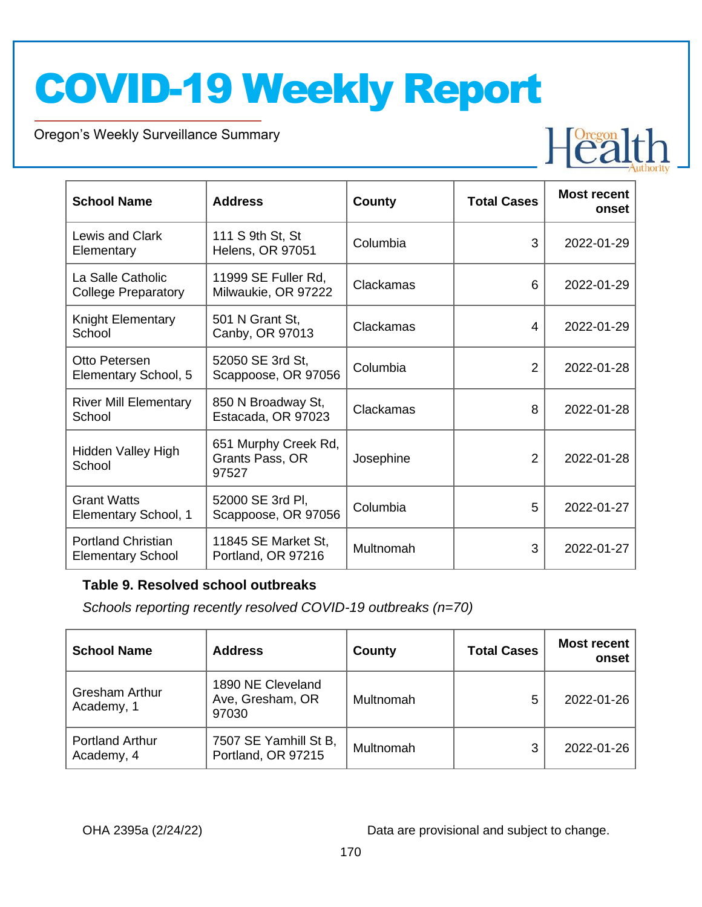Oregon's Weekly Surveillance Summary

Novel Coronavirus (COVID-19)

| <b>School Name</b>                                    | <b>Address</b>                                   | <b>County</b> | <b>Total Cases</b> | <b>Most recent</b><br>onset |
|-------------------------------------------------------|--------------------------------------------------|---------------|--------------------|-----------------------------|
| Lewis and Clark<br>Elementary                         | 111 S 9th St, St<br><b>Helens, OR 97051</b>      | Columbia      | 3                  | 2022-01-29                  |
| La Salle Catholic<br><b>College Preparatory</b>       | 11999 SE Fuller Rd,<br>Milwaukie, OR 97222       | Clackamas     | 6                  | 2022-01-29                  |
| Knight Elementary<br>School                           | 501 N Grant St,<br>Canby, OR 97013               | Clackamas     | 4                  | 2022-01-29                  |
| Otto Petersen<br>Elementary School, 5                 | 52050 SE 3rd St,<br>Scappoose, OR 97056          | Columbia      | $\overline{2}$     | 2022-01-28                  |
| <b>River Mill Elementary</b><br>School                | 850 N Broadway St,<br>Estacada, OR 97023         | Clackamas     | 8                  | 2022-01-28                  |
| Hidden Valley High<br>School                          | 651 Murphy Creek Rd,<br>Grants Pass, OR<br>97527 | Josephine     | 2                  | 2022-01-28                  |
| <b>Grant Watts</b><br>Elementary School, 1            | 52000 SE 3rd Pl,<br>Scappoose, OR 97056          | Columbia      | 5                  | 2022-01-27                  |
| <b>Portland Christian</b><br><b>Elementary School</b> | 11845 SE Market St,<br>Portland, OR 97216        | Multnomah     | 3                  | 2022-01-27                  |

#### **Table 9. Resolved school outbreaks**

*Schools reporting recently resolved COVID-19 outbreaks (n=70)*

| <b>School Name</b>                   | <b>Address</b>                                 | County    | <b>Total Cases</b> | <b>Most recent</b><br>onset |
|--------------------------------------|------------------------------------------------|-----------|--------------------|-----------------------------|
| <b>Gresham Arthur</b><br>Academy, 1  | 1890 NE Cleveland<br>Ave, Gresham, OR<br>97030 | Multnomah | 5                  | 2022-01-26                  |
| <b>Portland Arthur</b><br>Academy, 4 | 7507 SE Yamhill St B,<br>Portland, OR 97215    | Multnomah | 3                  | 2022-01-26                  |

OHA 2395a (2/24/22) Data are provisional and subject to change.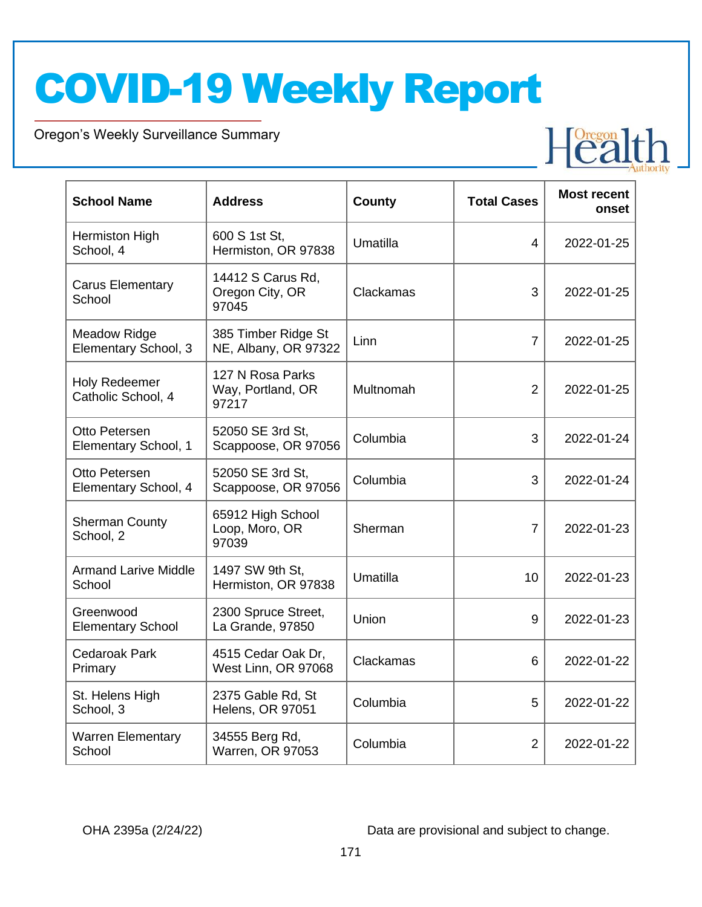Oregon's Weekly Surveillance Summary

Novel Coronavirus (COVID-19)

| <b>School Name</b>                          | <b>Address</b>                                 | <b>County</b> | <b>Total Cases</b> | <b>Most recent</b><br>onset |
|---------------------------------------------|------------------------------------------------|---------------|--------------------|-----------------------------|
| Hermiston High<br>School, 4                 | 600 S 1st St.<br>Hermiston, OR 97838           | Umatilla      | 4                  | 2022-01-25                  |
| <b>Carus Elementary</b><br>School           | 14412 S Carus Rd,<br>Oregon City, OR<br>97045  | Clackamas     | 3                  | 2022-01-25                  |
| <b>Meadow Ridge</b><br>Elementary School, 3 | 385 Timber Ridge St<br>NE, Albany, OR 97322    | Linn          | $\overline{7}$     | 2022-01-25                  |
| <b>Holy Redeemer</b><br>Catholic School, 4  | 127 N Rosa Parks<br>Way, Portland, OR<br>97217 | Multnomah     | $\overline{2}$     | 2022-01-25                  |
| Otto Petersen<br>Elementary School, 1       | 52050 SE 3rd St.<br>Scappoose, OR 97056        | Columbia      | 3                  | 2022-01-24                  |
| Otto Petersen<br>Elementary School, 4       | 52050 SE 3rd St.<br>Scappoose, OR 97056        | Columbia      | 3                  | 2022-01-24                  |
| <b>Sherman County</b><br>School, 2          | 65912 High School<br>Loop, Moro, OR<br>97039   | Sherman       | $\overline{7}$     | 2022-01-23                  |
| <b>Armand Larive Middle</b><br>School       | 1497 SW 9th St,<br>Hermiston, OR 97838         | Umatilla      | 10                 | 2022-01-23                  |
| Greenwood<br><b>Elementary School</b>       | 2300 Spruce Street,<br>La Grande, 97850        | Union         | 9                  | 2022-01-23                  |
| <b>Cedaroak Park</b><br>Primary             | 4515 Cedar Oak Dr,<br>West Linn, OR 97068      | Clackamas     | 6                  | 2022-01-22                  |
| St. Helens High<br>School, 3                | 2375 Gable Rd, St<br><b>Helens, OR 97051</b>   | Columbia      | 5                  | 2022-01-22                  |
| <b>Warren Elementary</b><br>School          | 34555 Berg Rd,<br><b>Warren, OR 97053</b>      | Columbia      | $\overline{2}$     | 2022-01-22                  |

OHA 2395a (2/24/22) Data are provisional and subject to change.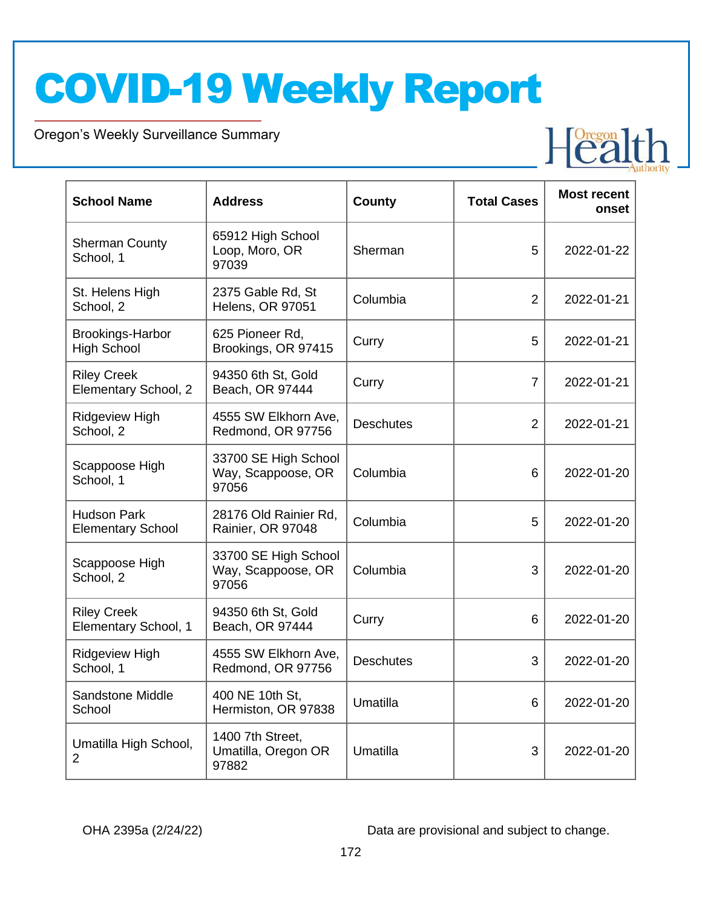Oregon's Weekly Surveillance Summary

Novel Coronavirus (COVID-19)

| <b>School Name</b>                             | <b>Address</b>                                      | County           | <b>Total Cases</b> | <b>Most recent</b><br>onset |
|------------------------------------------------|-----------------------------------------------------|------------------|--------------------|-----------------------------|
| <b>Sherman County</b><br>School, 1             | 65912 High School<br>Loop, Moro, OR<br>97039        | Sherman          | 5                  | 2022-01-22                  |
| St. Helens High<br>School, 2                   | 2375 Gable Rd, St<br><b>Helens, OR 97051</b>        | Columbia         | $\overline{2}$     | 2022-01-21                  |
| <b>Brookings-Harbor</b><br><b>High School</b>  | 625 Pioneer Rd,<br>Brookings, OR 97415              | Curry            | 5                  | 2022-01-21                  |
| <b>Riley Creek</b><br>Elementary School, 2     | 94350 6th St, Gold<br>Beach, OR 97444               | Curry            | 7                  | 2022-01-21                  |
| <b>Ridgeview High</b><br>School, 2             | 4555 SW Elkhorn Ave,<br>Redmond, OR 97756           | <b>Deschutes</b> | $\overline{2}$     | 2022-01-21                  |
| Scappoose High<br>School, 1                    | 33700 SE High School<br>Way, Scappoose, OR<br>97056 | Columbia         | 6                  | 2022-01-20                  |
| <b>Hudson Park</b><br><b>Elementary School</b> | 28176 Old Rainier Rd,<br>Rainier, OR 97048          | Columbia         | 5                  | 2022-01-20                  |
| Scappoose High<br>School, 2                    | 33700 SE High School<br>Way, Scappoose, OR<br>97056 | Columbia         | 3                  | 2022-01-20                  |
| <b>Riley Creek</b><br>Elementary School, 1     | 94350 6th St, Gold<br>Beach, OR 97444               | Curry            | 6                  | 2022-01-20                  |
| <b>Ridgeview High</b><br>School, 1             | 4555 SW Elkhorn Ave,<br>Redmond, OR 97756           | <b>Deschutes</b> | 3                  | 2022-01-20                  |
| <b>Sandstone Middle</b><br>School              | 400 NE 10th St,<br>Hermiston, OR 97838              | Umatilla         | 6                  | 2022-01-20                  |
| Umatilla High School,<br>$\overline{2}$        | 1400 7th Street,<br>Umatilla, Oregon OR<br>97882    | Umatilla         | 3                  | 2022-01-20                  |

OHA 2395a (2/24/22) Data are provisional and subject to change.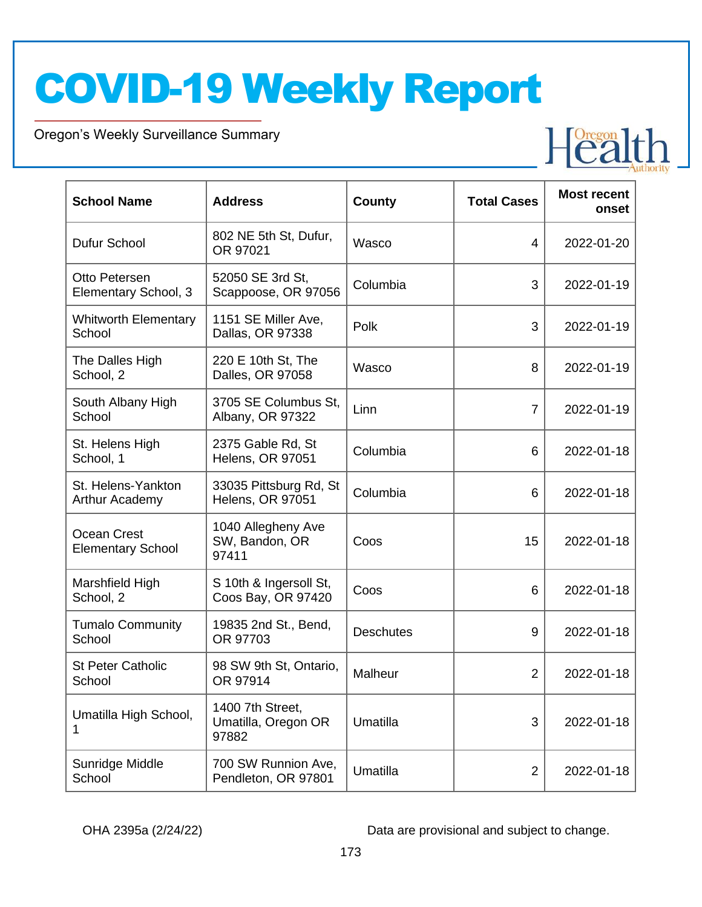Oregon's Weekly Surveillance Summary

Novel Coronavirus (COVID-19)

| <b>School Name</b>                             | <b>Address</b>                                   | County           | <b>Total Cases</b> | <b>Most recent</b><br>onset |
|------------------------------------------------|--------------------------------------------------|------------------|--------------------|-----------------------------|
| Dufur School                                   | 802 NE 5th St, Dufur,<br>OR 97021                | Wasco            | 4                  | 2022-01-20                  |
| Otto Petersen<br>Elementary School, 3          | 52050 SE 3rd St,<br>Scappoose, OR 97056          | Columbia         | 3                  | 2022-01-19                  |
| <b>Whitworth Elementary</b><br>School          | 1151 SE Miller Ave,<br>Dallas, OR 97338          | Polk             | 3                  | 2022-01-19                  |
| The Dalles High<br>School, 2                   | 220 E 10th St, The<br>Dalles, OR 97058           | Wasco            | 8                  | 2022-01-19                  |
| South Albany High<br>School                    | 3705 SE Columbus St,<br>Albany, OR 97322         | Linn             | $\overline{7}$     | 2022-01-19                  |
| St. Helens High<br>School, 1                   | 2375 Gable Rd, St<br><b>Helens, OR 97051</b>     | Columbia         | 6                  | 2022-01-18                  |
| St. Helens-Yankton<br>Arthur Academy           | 33035 Pittsburg Rd, St<br>Helens, OR 97051       | Columbia         | 6                  | 2022-01-18                  |
| <b>Ocean Crest</b><br><b>Elementary School</b> | 1040 Allegheny Ave<br>SW, Bandon, OR<br>97411    | Coos             | 15                 | 2022-01-18                  |
| Marshfield High<br>School, 2                   | S 10th & Ingersoll St,<br>Coos Bay, OR 97420     | Coos             | 6                  | 2022-01-18                  |
| <b>Tumalo Community</b><br>School              | 19835 2nd St., Bend,<br>OR 97703                 | <b>Deschutes</b> | 9                  | 2022-01-18                  |
| <b>St Peter Catholic</b><br>School             | 98 SW 9th St, Ontario,<br>OR 97914               | Malheur          | $\overline{2}$     | 2022-01-18                  |
| Umatilla High School,                          | 1400 7th Street,<br>Umatilla, Oregon OR<br>97882 | Umatilla         | 3                  | 2022-01-18                  |
| Sunridge Middle<br>School                      | 700 SW Runnion Ave,<br>Pendleton, OR 97801       | Umatilla         | 2                  | 2022-01-18                  |

OHA 2395a (2/24/22) Data are provisional and subject to change.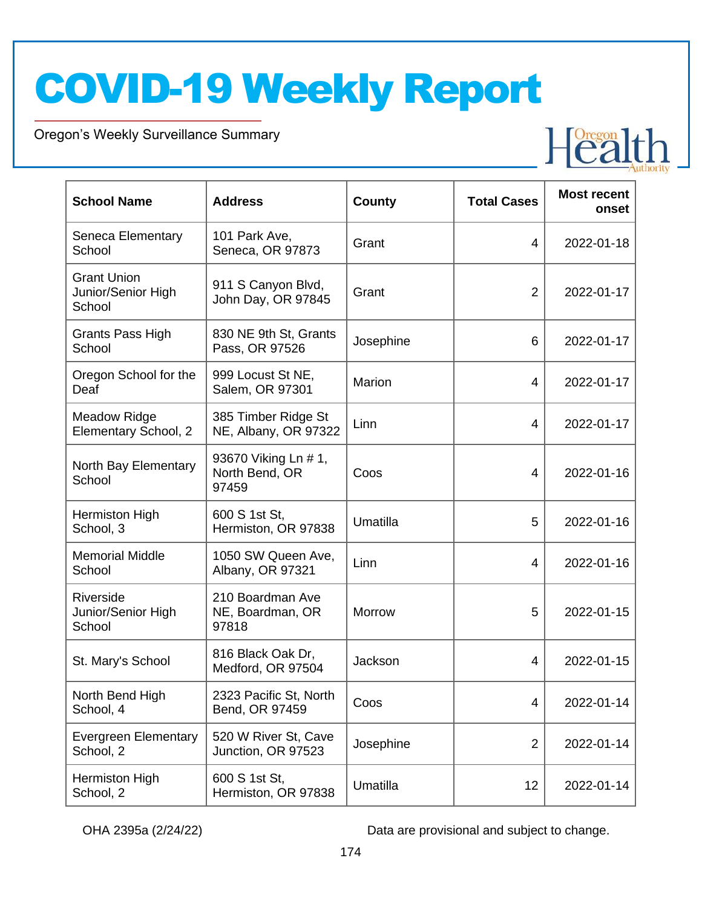Oregon's Weekly Surveillance Summary

Novel Coronavirus (COVID-19)

| <b>School Name</b>                                 | <b>Address</b>                                  | County    | <b>Total Cases</b> | <b>Most recent</b><br>onset |
|----------------------------------------------------|-------------------------------------------------|-----------|--------------------|-----------------------------|
| Seneca Elementary<br>School                        | 101 Park Ave,<br>Seneca, OR 97873               | Grant     | 4                  | 2022-01-18                  |
| <b>Grant Union</b><br>Junior/Senior High<br>School | 911 S Canyon Blvd,<br>John Day, OR 97845        | Grant     | $\overline{2}$     | 2022-01-17                  |
| Grants Pass High<br>School                         | 830 NE 9th St, Grants<br>Pass, OR 97526         | Josephine | 6                  | 2022-01-17                  |
| Oregon School for the<br>Deaf                      | 999 Locust St NE,<br>Salem, OR 97301            | Marion    | 4                  | 2022-01-17                  |
| <b>Meadow Ridge</b><br>Elementary School, 2        | 385 Timber Ridge St<br>NE, Albany, OR 97322     | Linn      | 4                  | 2022-01-17                  |
| North Bay Elementary<br>School                     | 93670 Viking Ln # 1,<br>North Bend, OR<br>97459 | Coos      | 4                  | 2022-01-16                  |
| Hermiston High<br>School, 3                        | 600 S 1st St,<br>Hermiston, OR 97838            | Umatilla  | 5                  | 2022-01-16                  |
| <b>Memorial Middle</b><br>School                   | 1050 SW Queen Ave,<br>Albany, OR 97321          | Linn      | 4                  | 2022-01-16                  |
| Riverside<br>Junior/Senior High<br>School          | 210 Boardman Ave<br>NE, Boardman, OR<br>97818   | Morrow    | 5                  | 2022-01-15                  |
| St. Mary's School                                  | 816 Black Oak Dr,<br>Medford, OR 97504          | Jackson   | 4                  | 2022-01-15                  |
| North Bend High<br>School, 4                       | 2323 Pacific St, North<br>Bend, OR 97459        | Coos      | 4                  | 2022-01-14                  |
| <b>Evergreen Elementary</b><br>School, 2           | 520 W River St, Cave<br>Junction, OR 97523      | Josephine | $\overline{2}$     | 2022-01-14                  |
| Hermiston High<br>School, 2                        | 600 S 1st St,<br>Hermiston, OR 97838            | Umatilla  | 12                 | 2022-01-14                  |

OHA 2395a (2/24/22) Data are provisional and subject to change.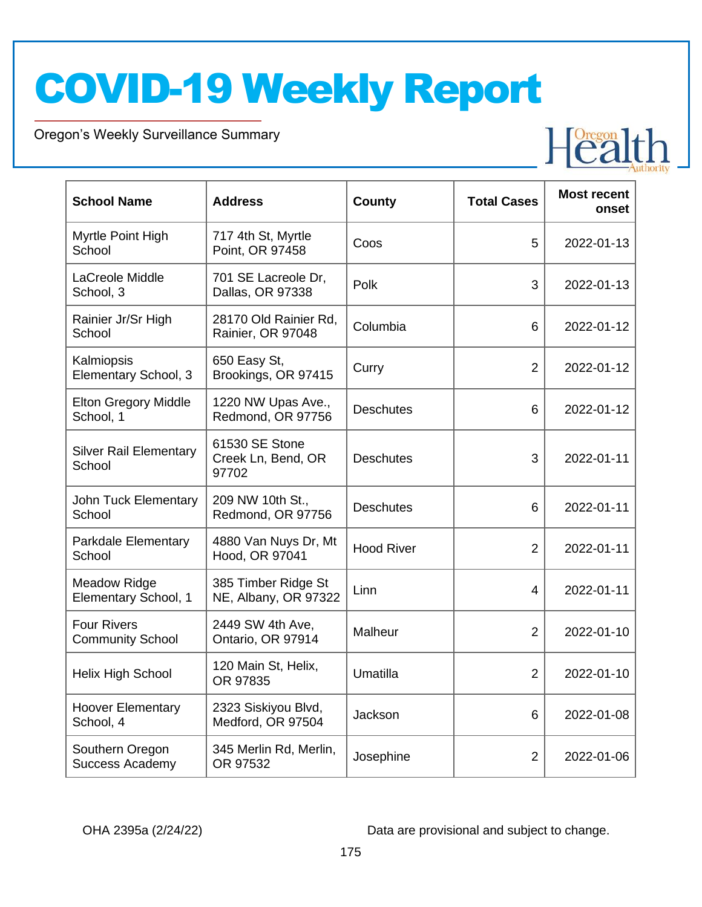Oregon's Weekly Surveillance Summary

Novel Coronavirus (COVID-19)

| <b>School Name</b>                            | <b>Address</b>                                | County            | <b>Total Cases</b> | <b>Most recent</b><br>onset |
|-----------------------------------------------|-----------------------------------------------|-------------------|--------------------|-----------------------------|
| Myrtle Point High<br>School                   | 717 4th St, Myrtle<br>Point, OR 97458         | Coos              | 5                  | 2022-01-13                  |
| LaCreole Middle<br>School, 3                  | 701 SE Lacreole Dr,<br>Dallas, OR 97338       | Polk              | 3                  | 2022-01-13                  |
| Rainier Jr/Sr High<br>School                  | 28170 Old Rainier Rd,<br>Rainier, OR 97048    | Columbia          | 6                  | 2022-01-12                  |
| Kalmiopsis<br>Elementary School, 3            | 650 Easy St,<br>Brookings, OR 97415           | Curry             | $\overline{2}$     | 2022-01-12                  |
| <b>Elton Gregory Middle</b><br>School, 1      | 1220 NW Upas Ave.,<br>Redmond, OR 97756       | <b>Deschutes</b>  | 6                  | 2022-01-12                  |
| <b>Silver Rail Elementary</b><br>School       | 61530 SE Stone<br>Creek Ln, Bend, OR<br>97702 | <b>Deschutes</b>  | 3                  | 2022-01-11                  |
| <b>John Tuck Elementary</b><br>School         | 209 NW 10th St.,<br>Redmond, OR 97756         | <b>Deschutes</b>  | 6                  | 2022-01-11                  |
| Parkdale Elementary<br>School                 | 4880 Van Nuys Dr, Mt<br>Hood, OR 97041        | <b>Hood River</b> | $\overline{2}$     | 2022-01-11                  |
| <b>Meadow Ridge</b><br>Elementary School, 1   | 385 Timber Ridge St<br>NE, Albany, OR 97322   | Linn              | 4                  | 2022-01-11                  |
| <b>Four Rivers</b><br><b>Community School</b> | 2449 SW 4th Ave,<br>Ontario, OR 97914         | Malheur           | $\overline{2}$     | 2022-01-10                  |
| Helix High School                             | 120 Main St, Helix,<br>OR 97835               | Umatilla          | $\overline{2}$     | 2022-01-10                  |
| <b>Hoover Elementary</b><br>School, 4         | 2323 Siskiyou Blvd,<br>Medford, OR 97504      | Jackson           | 6                  | 2022-01-08                  |
| Southern Oregon<br><b>Success Academy</b>     | 345 Merlin Rd, Merlin,<br>OR 97532            | Josephine         | $\overline{2}$     | 2022-01-06                  |

OHA 2395a (2/24/22) Data are provisional and subject to change.